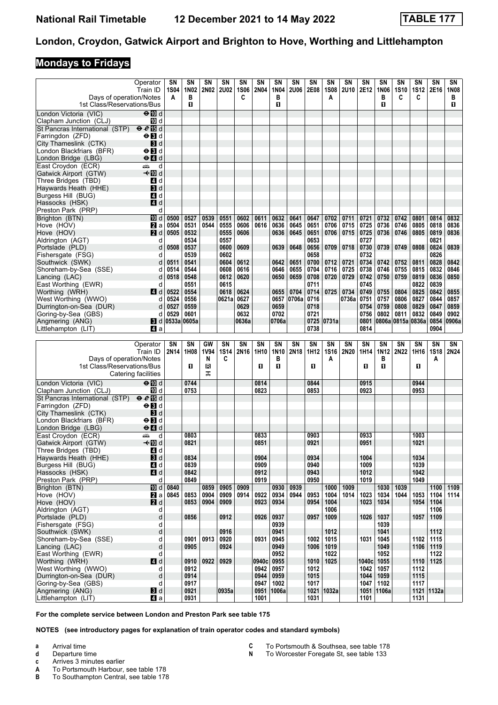#### **Mondays to Fridays**

|                                                   | Operator                                  | SΝ               | SN           | SΝ          | SΝ                | SΝ               | SΝ            | SΝ           | SΝ           | SΝ           | SΝ<br><b>1S08</b> | SN           | <b>SN</b>         | SΝ                | SN<br><b>1S10</b> | SΝ               | SΝ                | SN           |
|---------------------------------------------------|-------------------------------------------|------------------|--------------|-------------|-------------------|------------------|---------------|--------------|--------------|--------------|-------------------|--------------|-------------------|-------------------|-------------------|------------------|-------------------|--------------|
| Days of operation/Notes                           | Train ID                                  | <b>1S04</b><br>A | 1N02<br>в    | <b>2N02</b> | <b>2U02</b>       | <b>1S06</b><br>C | <b>2N04</b>   | 1N04<br>в    | <b>2U06</b>  | 2E08         | A                 | <b>2U10</b>  | 2E12              | 1N06<br>в         | C                 | <b>1S12</b><br>C | 2E16              | 1N08<br>в    |
| 1st Class/Reservations/Bus                        |                                           |                  | 0            |             |                   |                  |               | п            |              |              |                   |              |                   | 0                 |                   |                  |                   | П.           |
| London Victoria (VIC)<br>Clapham Junction (CLJ)   | $\Theta$ M d<br>TO d                      |                  |              |             |                   |                  |               |              |              |              |                   |              |                   |                   |                   |                  |                   |              |
| St Pancras International (STP)                    | $\Theta$ $\ell$ is d                      |                  |              |             |                   |                  |               |              |              |              |                   |              |                   |                   |                   |                  |                   |              |
| Farringdon (ZFD)                                  | $\Theta$ $\blacksquare$ d                 |                  |              |             |                   |                  |               |              |              |              |                   |              |                   |                   |                   |                  |                   |              |
| City Thameslink (CTK)                             | <b>B</b> d                                |                  |              |             |                   |                  |               |              |              |              |                   |              |                   |                   |                   |                  |                   |              |
| London Blackfriars (BFR)                          | $\Theta$ <b>B</b> d                       |                  |              |             |                   |                  |               |              |              |              |                   |              |                   |                   |                   |                  |                   |              |
| London Bridge (LBG)                               | $\Theta$ <sup><math>\Omega</math></sup> d |                  |              |             |                   |                  |               |              |              |              |                   |              |                   |                   |                   |                  |                   |              |
| East Croydon (ECR)                                | پیش<br>d                                  |                  |              |             |                   |                  |               |              |              |              |                   |              |                   |                   |                   |                  |                   |              |
| Gatwick Airport (GTW)<br>Three Bridges (TBD)      | <b>√</b> IIId<br>4 d                      |                  |              |             |                   |                  |               |              |              |              |                   |              |                   |                   |                   |                  |                   |              |
| Haywards Heath (HHE)                              | $\blacksquare$                            |                  |              |             |                   |                  |               |              |              |              |                   |              |                   |                   |                   |                  |                   |              |
| Burgess Hill (BUG)                                | 4 d                                       |                  |              |             |                   |                  |               |              |              |              |                   |              |                   |                   |                   |                  |                   |              |
| Hassocks (HSK)                                    | 4 d                                       |                  |              |             |                   |                  |               |              |              |              |                   |              |                   |                   |                   |                  |                   |              |
| Preston Park (PRP)                                | d                                         |                  |              |             |                   |                  |               |              |              |              |                   |              |                   |                   |                   |                  |                   |              |
| Brighton (BTN)                                    | III d                                     | 0500             | 0527         | 0539        | 0551              | 0602             | 0611          | 0632         | 0641         | 0647         | 0702              | 0711         | 0721              | 0732              | 0742              | 0801             | 0814              | 0832         |
| Hove (HOV)                                        | $\mathbf{z}$ a<br>2d                      | 0504<br>0505     | 0531<br>0532 | 0544        | 0555<br>0555      | 0606<br>0606     | 0616          | 0636<br>0636 | 0645<br>0645 | 0651<br>0651 | 0706<br>0706      | 0715<br>0715 | 0725<br>0725      | 0736<br>0736      | 0746<br>0746      | 0805<br>0805     | 0818<br>0819      | 0836<br>0836 |
| Hove (HOV)<br>Aldrington (AGT)                    | d                                         |                  | 0534         |             | 0557              |                  |               |              |              | 0653         |                   |              | 0727              |                   |                   |                  | 0821              |              |
| Portslade (PLD)                                   | d                                         | 0508             | 0537         |             | 0600              | 0609             |               | 0639         | 0648         | 0656         | 0709              | 0718         | 0730              | 0739              | 0749              | 0808             | 0824              | 0839         |
| Fishersgate (FSG)                                 | d                                         |                  | 0539         |             | 0602              |                  |               |              |              | 0658         |                   |              | 0732              |                   |                   |                  | 0826              |              |
| Southwick (SWK)                                   | d                                         | 0511             | 0541         |             | 0604              | 0612             |               | 0642         | 0651         | 0700         | 0712              | 0721         | 0734              | 0742              | 0752              | 0811             | 0828              | 0842         |
| Shoreham-by-Sea (SSE)                             | d                                         | 0514             | 0544         |             | 0608              | 0616             |               | 0646         | 0655         | 0704         | 0716              | 0725         | 0738              | 0746              | 0755              | 0815             | 0832              | 0846         |
| Lancing (LAC)                                     | d                                         | 0518             | 0548<br>0551 |             | 0612              | 0620             |               | 0650         | 0659         | 0708         | 0720              | 0729         | 0742              | 0750              | 0759              | 0819             | 0836              | 0850         |
| East Worthing (EWR)<br>Worthing (WRH)             | d<br>4 d                                  | 0522             | 0554         |             | 0615<br>0618      | 0624             |               | 0655         | 0704         | 0711<br>0714 |                   | 0725   0734  | 0745<br>0749      | 0755              | 0804              | 0822<br>0825     | 0839<br>0842      | 0855         |
| West Worthing (WWO)                               | d                                         | 0524             | 0556         |             | 0621al            | 0627             |               | 0657         | 0706a        | 0716         |                   | 0736a        | 0751              | 0757              | 0806              | 0827             | 0844              | 0857         |
| Durrington-on-Sea (DUR)                           | d                                         | 0527             | 0559         |             |                   | 0629             |               | 0659         |              | 0718         |                   |              | 0754              | 0759              | 0808              | 0829             | 0847              | 0859         |
| Goring-by-Sea (GBS)                               | d                                         | 0529             | 0601         |             |                   | 0632             |               | 0702         |              | 0721         |                   |              | 0756              | 0802              | 0811              | 0832             | 0849              | 0902         |
| Angmering (ANG)                                   | 3d                                        | 0533a 0605a      |              |             |                   | 0636a            |               | 0706a        |              |              | 0725 0731a        |              | 0801              | 0806a 0815a 0836a |                   |                  | 0854              | 0906a        |
| Littlehampton (LIT)                               | 41 a                                      |                  |              |             |                   |                  |               |              |              | 0738         |                   |              | 0814              |                   |                   |                  | 0904              |              |
|                                                   |                                           |                  |              |             |                   |                  |               |              |              |              |                   |              |                   |                   |                   |                  |                   |              |
|                                                   |                                           |                  |              |             |                   |                  |               |              |              |              |                   |              |                   |                   |                   |                  |                   |              |
|                                                   | Operator<br>Train ID                      | SΝ<br>2N14       | SN<br>1H08   | GW<br>1V94  | <b>SN</b><br>1S14 | SN<br>2N16       | SN<br>1H10    | SN<br>1N10   | SN<br>2N18   | SN<br>1H12   | SΝ<br><b>1S16</b> | SΝ<br>2N20   | <b>SN</b><br>1H14 | SΝ<br>1N12        | <b>SN</b><br>2N22 | SΝ<br>1H16       | SΝ<br><b>1S18</b> | SN           |
| Days of operation/Notes                           |                                           |                  |              | N           | C                 |                  |               | в            |              |              | A                 |              |                   | в                 |                   |                  | A                 |              |
| 1st Class/Reservations/Bus                        |                                           |                  | O            | R           |                   |                  | O             | O            |              | 0            |                   |              | О                 | O.                |                   | O                |                   |              |
|                                                   | Catering facilities                       |                  |              | ᠼ           |                   |                  |               |              |              |              |                   |              |                   |                   |                   |                  |                   | 2N24         |
| London Victoria (VIC)                             | $\Theta$ M d                              |                  | 0744         |             |                   |                  | 0814          |              |              | 0844         |                   |              | 0915              |                   |                   | 0944             |                   |              |
| Clapham Junction (CLJ)                            | 10 d                                      |                  | 0753         |             |                   |                  | 0823          |              |              | 0853         |                   |              | 0923              |                   |                   | 0953             |                   |              |
| St Pancras International (STP)                    | e e E d                                   |                  |              |             |                   |                  |               |              |              |              |                   |              |                   |                   |                   |                  |                   |              |
| Farringdon (ZFD)                                  | $\Theta$ $\blacksquare$ d                 |                  |              |             |                   |                  |               |              |              |              |                   |              |                   |                   |                   |                  |                   |              |
| City Thameslink (CTK)<br>London Blackfriars (BFR) | <b>B</b> d<br>$\Theta$ $\blacksquare$ d   |                  |              |             |                   |                  |               |              |              |              |                   |              |                   |                   |                   |                  |                   |              |
| London Bridge (LBG)                               | ⊖ Ø d                                     |                  |              |             |                   |                  |               |              |              |              |                   |              |                   |                   |                   |                  |                   |              |
| East Croydon (ECR)                                | d<br>پېښه                                 |                  | 0803         |             |                   |                  | 0833          |              |              | 0903         |                   |              | 0933              |                   |                   | 1003             |                   |              |
| Gatwick Airport (GTW)                             | –⊷n∏d                                     |                  | 0821         |             |                   |                  | 0851          |              |              | 0921         |                   |              | 0951              |                   |                   | 1021             |                   |              |
| Three Bridges (TBD)                               | 4 d                                       |                  |              |             |                   |                  |               |              |              |              |                   |              |                   |                   |                   |                  |                   |              |
| Haywards Heath (HHE)                              | $\blacksquare$                            |                  | 0834         |             |                   |                  | 0904          |              |              | 0934<br>0940 |                   |              | 1004              |                   |                   | 1034             |                   |              |
| Burgess Hill (BUG)<br>Hassocks (HSK)              | 4 d<br>$\blacksquare$ d                   |                  | 0839<br>0842 |             |                   |                  | 0909<br>0912  |              |              | 0943         |                   |              | 1009<br>1012      |                   |                   | 1039<br>1042     |                   |              |
| Preston Park (PRP)                                | d                                         |                  | 0849         |             |                   |                  | 0919          |              |              | 0950         |                   |              | 1019              |                   |                   | 1049             |                   |              |
| Brighton (BTN)                                    | 10 d                                      | 0840             |              | 0859        | 0905              | 0909             |               | 0930         | 0939         |              | 1000              | 1009         |                   | 1030              | 1039              |                  | 1100              | 1109         |
| Hove (HOV)                                        | <b>2</b> a                                | 0845             | 0853         | 0904        | 0909              | 0914             | 0922          | 0934         | 0944         | 0953         | 1004              | 1014         | 1023              | 1034              | 1044              | 1053             | 1104              | 1114         |
| Hove (HOV)                                        | 2d                                        |                  | 0853         | 0904        | 0909              |                  | 0923          | 0934         |              | 0954         | 1004              |              | 1023              | 1034              |                   | 1054             | 1104              |              |
| Aldrington (AGT)<br>Portslade (PLD)               | d<br>d                                    |                  | 0856         |             | 0912              |                  | 0926          | 0937         |              | 0957         | 1006<br>1009      |              | 1026              | 1037              |                   | 1057             | 1106<br>1109      |              |
| Fishersgate (FSG)                                 | d                                         |                  |              |             |                   |                  |               | 0939         |              |              |                   |              |                   | 1039              |                   |                  |                   |              |
| Southwick (SWK)                                   | d                                         |                  |              |             | 0916              |                  |               | 0941         |              |              | 1012              |              |                   | 1041              |                   |                  | 1112              |              |
| Shoreham-by-Sea (SSE)                             | d                                         |                  | 0901         | 0913        | 0920              |                  | 0931          | 0945         |              | 1002         | 1015              |              | 1031              | 1045              |                   | 1102             | 1115              |              |
| Lancing (LAC)                                     | d                                         |                  | 0905         |             | 0924              |                  |               | 0949         |              | 1006         | 1019              |              |                   | 1049              |                   | 1106             | 1119              |              |
| East Worthing (EWR)                               | d                                         |                  |              |             |                   |                  |               | 0952         |              |              | 1022              |              |                   | 1052              |                   |                  | 1122              |              |
| Worthing (WRH)<br>West Worthing (WWO)             | 4 d<br>d                                  |                  | 0910<br>0912 | 0922        | 0929              |                  | 0940c<br>0942 | 0955<br>0957 |              | 1010<br>1012 | 1025              |              | 1040c<br>1042     | 1055<br>1057      |                   | 1110<br>1112     | 1125              |              |
| Durrington-on-Sea (DUR)                           | d                                         |                  | 0914         |             |                   |                  | 0944          | 0959         |              | 1015         |                   |              | 1044              | 1059              |                   | 1115             |                   |              |
| Goring-by-Sea (GBS)                               | d                                         |                  | 0917         |             |                   |                  | 0947          | 1002         |              | 1017         |                   |              | 1047              | 1102              |                   | 1117             |                   |              |
| Angmering (ANG)<br>Littlehampton (LIT)            | 3d<br>41 a                                |                  | 0921<br>0931 |             | 0935a             |                  | 1001          | 0951 1006a   |              | 1031         | 1021 1032a        |              | 1051<br>1101      | 1106a             |                   | 1131             | 1121 1132a        |              |

**For the complete service between London and Preston Park see table 1**

- **a** Arrival time<br>**d** Departure t
- **d** Departure time
- 
- **c** Arrives 3 minutes earlier<br>**A** To Portsmouth Harbour, **A** To Portsmouth Harbour, see table 178<br>**B** To Southampton Central, see table 178
- To Southampton Central, see table 178
- **C** To Portsmouth & Southsea, see table 178<br>**N** To Worcester Foregate St. see table 133
	- To Worcester Foregate St, see table 133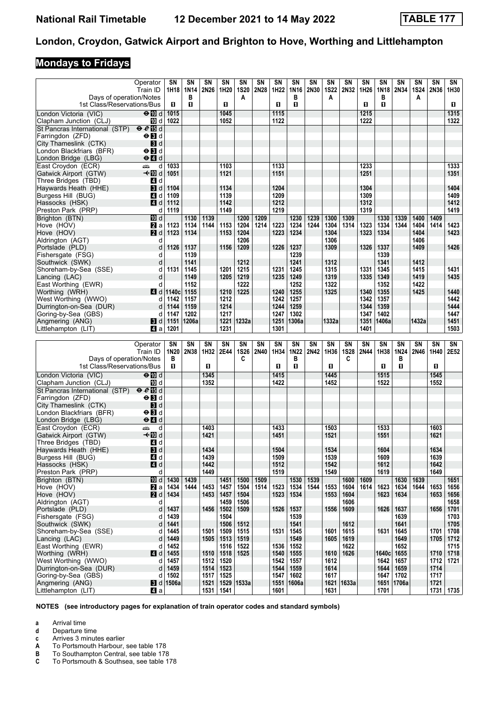# **Mondays to Fridays**

|                                        | Operator                           | SΝ               | SΝ    | SN           | <b>SN</b>           | SΝ          | SN   | SN        | SΝ           | SΝ   | SΝ          | SN          | <b>SN</b> | SΝ    | SN         | SΝ    | SΝ   | SN   |
|----------------------------------------|------------------------------------|------------------|-------|--------------|---------------------|-------------|------|-----------|--------------|------|-------------|-------------|-----------|-------|------------|-------|------|------|
|                                        | Train ID                           | 1H18             | 1N14  | 2N26         | 1H20                | <b>1S20</b> | 2N28 | 1H22      | 1N16         | 2N30 | <b>1S22</b> | 2N32        | 1H26      | 1N18  | 2N34       | 1S24  | 2N36 | 1H30 |
| Days of operation/Notes                |                                    |                  | в     |              |                     | A           |      |           | в            |      | A           |             |           | в     |            | A     |      |      |
| 1st Class/Reservations/Bus             |                                    | O.               | п     |              | O.                  |             |      | п         | п            |      |             |             | 0         | п     |            |       |      | П    |
| London Victoria (VIC)                  | $\Theta$ 10 d                      | 1015             |       |              | 1045                |             |      | 1115      |              |      |             |             | 1215      |       |            |       |      | 1315 |
| Clapham Junction (CLJ)                 | 10 d                               | 1022             |       |              | 1052                |             |      | 1122      |              |      |             |             | 1222      |       |            |       |      | 1322 |
| St Pancras International (STP)         | e e E d                            |                  |       |              |                     |             |      |           |              |      |             |             |           |       |            |       |      |      |
|                                        | $\Theta$ $\blacksquare$ d          |                  |       |              |                     |             |      |           |              |      |             |             |           |       |            |       |      |      |
| Farringdon (ZFD)                       |                                    |                  |       |              |                     |             |      |           |              |      |             |             |           |       |            |       |      |      |
| City Thameslink (CTK)                  | $\mathbf{3}$ d                     |                  |       |              |                     |             |      |           |              |      |             |             |           |       |            |       |      |      |
| London Blackfriars (BFR)               | $\Theta$ $\blacksquare$            |                  |       |              |                     |             |      |           |              |      |             |             |           |       |            |       |      |      |
| London Bridge (LBG)                    | $\Theta$ <sup><math>d</math></sup> |                  |       |              |                     |             |      |           |              |      |             |             |           |       |            |       |      |      |
| East Croydon (ECR)                     | یشته<br>d                          | 1033             |       |              | 1103                |             |      | 1133      |              |      |             |             | 1233      |       |            |       |      | 1333 |
| Gatwick Airport (GTW)                  | –t∙MDd                             | 1051             |       |              | 1121                |             |      | 1151      |              |      |             |             | 1251      |       |            |       |      | 1351 |
| Three Bridges (TBD)                    | 4 d                                |                  |       |              |                     |             |      |           |              |      |             |             |           |       |            |       |      |      |
| Haywards Heath (HHE)                   | $\mathbf{3}$ d                     | 1104             |       |              | 1134                |             |      | 1204      |              |      |             |             | 1304      |       |            |       |      | 1404 |
| Burgess Hill (BUG)                     | 4 d                                | 1109             |       |              | 1139                |             |      | 1209      |              |      |             |             | 1309      |       |            |       |      | 1409 |
| Hassocks (HSK)                         | ZI d                               | 1112             |       |              | 1142                |             |      | 1212      |              |      |             |             | 1312      |       |            |       |      | 1412 |
| Preston Park (PRP)                     | d                                  | 1119             |       |              | 1149                |             |      | 1219      |              |      |             |             | 1319      |       |            |       |      | 1419 |
| Brighton (BTN)                         | 10 d                               |                  | 1130  | 1139         |                     | 1200        | 1209 |           | 1230         | 1239 | 1300        | 1309        |           | 1330  | 1339       | 1400  | 1409 |      |
| Hove (HOV)                             | <b>Z</b> a                         | 1123             | 1134  | 1144         | 1153                | 1204        | 1214 | 1223      | 1234         | 1244 | 1304        | 1314        | 1323      | 1334  | 1344       | 1404  | 1414 | 1423 |
| Hove (HOV)                             | 2d                                 | 1123             | 1134  |              | 1153                | 1204        |      | 1223      | 1234         |      | 1304        |             | 1323      | 1334  |            | 1404  |      | 1423 |
|                                        |                                    |                  |       |              |                     | 1206        |      |           |              |      |             |             |           |       |            | 1406  |      |      |
| Aldrington (AGT)                       | d                                  |                  |       |              |                     |             |      |           |              |      | 1306        |             |           |       |            |       |      |      |
| Portslade (PLD)                        | d                                  | 1126             | 1137  |              | 1156                | 1209        |      | 1226      | 1237         |      | 1309        |             | 1326      | 1337  |            | 1409  |      | 1426 |
| Fishersgate (FSG)                      | d                                  |                  | 1139  |              |                     |             |      |           | 1239         |      |             |             |           | 1339  |            |       |      |      |
| Southwick (SWK)                        | d                                  |                  | 1141  |              |                     | 1212        |      |           | 1241         |      | 1312        |             |           | 1341  |            | 1412  |      |      |
| Shoreham-by-Sea (SSE)                  | d                                  | 1131             | 1145  |              | 1201                | 1215        |      | 1231      | 1245         |      | 1315        |             | 1331      | 1345  |            | 1415  |      | 1431 |
| Lancing (LAC)                          | d                                  |                  | 1149  |              | 1205                | 1219        |      | 1235      | 1249         |      | 1319        |             | 1335      | 1349  |            | 1419  |      | 1435 |
| East Worthing (EWR)                    | d                                  |                  | 1152  |              |                     | 1222        |      |           | 1252         |      | 1322        |             |           | 1352  |            | 1422  |      |      |
| Worthing (WRH)                         | 4 d                                | 1140c            | 1155  |              | 1210                | 1225        |      | 1240      | 1255         |      | 1325        |             | 1340      | 1355  |            | 1425  |      | 1440 |
| West Worthing (WWO)                    | d                                  | 1142             | 1157  |              | 1212                |             |      | 1242      | 1257         |      |             |             | 1342      | 1357  |            |       |      | 1442 |
| Durrington-on-Sea (DUR)                | d                                  | 1144             | 1159  |              | 1214                |             |      | 1244      | 1259         |      |             |             | 1344      | 1359  |            |       |      | 1444 |
| Goring-by-Sea (GBS)                    | d                                  | 1147             | 1202  |              | 1217                |             |      | 1247      | 1302         |      |             |             | 1347      | 1402  |            |       |      | 1447 |
| Angmering (ANG)                        | 3d                                 | 1151             | 1206a |              |                     | 1221 1232a  |      | 1251      | 1306a        |      | 1332a       |             | 1351      | 1406a |            | 1432a |      | 1451 |
| Littlehampton (LIT)                    | 41 a                               | 1201             |       |              | 1231                |             |      | 1301      |              |      |             |             | 1401      |       |            |       |      | 1503 |
|                                        |                                    |                  |       |              |                     |             |      |           |              |      |             |             |           |       |            |       |      |      |
|                                        |                                    |                  |       |              |                     |             |      |           |              |      |             |             |           |       |            |       |      |      |
|                                        |                                    |                  |       |              |                     |             |      |           |              |      |             |             |           |       |            |       |      |      |
|                                        | Operator                           | SΝ               | SN    | SΝ           | SN                  | SΝ          | SN   | <b>SN</b> | SN           | SΝ   | SN          | SN          | <b>SN</b> | SΝ    | <b>SN</b>  | SN    | SΝ   | SN   |
|                                        | Train ID                           | 1N20             | 2N38  | 1H32         | 2E44                | <b>1S26</b> | 2N40 | 1H34      | 1N22         | 2N42 | 1H36        | <b>1S28</b> | 2N44      | 1H38  | 1N24       | 2N46  | 1H40 | 2E52 |
| Days of operation/Notes                |                                    | в                |       |              |                     | C           |      |           | в            |      |             | C           |           |       | в          |       |      |      |
| 1st Class/Reservations/Bus             |                                    | O                |       | п            |                     |             |      | п         | п            |      | O           |             |           | п     | O.         |       | 0    |      |
| London Victoria (VIC)                  | $\Theta$ M d                       |                  |       | 1345         |                     |             |      | 1415      |              |      | 1445        |             |           | 1515  |            |       | 1545 |      |
| Clapham Junction (CLJ)                 | m d                                |                  |       | 1352         |                     |             |      | 1422      |              |      | 1452        |             |           | 1522  |            |       | 1552 |      |
| St Pancras International (STP)         | e e E d                            |                  |       |              |                     |             |      |           |              |      |             |             |           |       |            |       |      |      |
| Farringdon (ZFD)                       | $\Theta$ $\blacksquare$ d          |                  |       |              |                     |             |      |           |              |      |             |             |           |       |            |       |      |      |
| City Thameslink (CTK)                  | <b>3</b> d                         |                  |       |              |                     |             |      |           |              |      |             |             |           |       |            |       |      |      |
|                                        | $\Theta$ $\blacksquare$ d          |                  |       |              |                     |             |      |           |              |      |             |             |           |       |            |       |      |      |
| London Blackfriars (BFR)               |                                    |                  |       |              |                     |             |      |           |              |      |             |             |           |       |            |       |      |      |
| London Bridge (LBG)                    | $\Theta$ $\blacksquare$ d          |                  |       |              |                     |             |      |           |              |      |             |             |           |       |            |       |      |      |
| East Croydon (ECR)                     | پیشته<br>d                         |                  |       | 1403         |                     |             |      | 1433      |              |      | 1503        |             |           | 1533  |            |       | 1603 |      |
| Gatwick Airport (GTW)                  | —tn∏ d                             |                  |       | 1421         |                     |             |      | 1451      |              |      | 1521        |             |           | 1551  |            |       | 1621 |      |
| Three Bridges (TBD)                    | 4 d                                |                  |       |              |                     |             |      |           |              |      |             |             |           |       |            |       |      |      |
| Haywards Heath (HHE)                   | $\overline{\mathbf{B}}$ d          |                  |       | 1434         |                     |             |      | 1504      |              |      | 1534        |             |           | 1604  |            |       | 1634 |      |
| Burgess Hill (BUG)                     | 4 d                                |                  |       | 1439         |                     |             |      | 1509      |              |      | 1539        |             |           | 1609  |            |       | 1639 |      |
| Hassocks (HSK)                         | $\blacksquare$ d                   |                  |       | 1442         |                     |             |      | 1512      |              |      | 1542        |             |           | 1612  |            |       | 1642 |      |
| Preston Park (PRP)                     | d                                  |                  |       | 1449         |                     |             |      | 1519      |              |      | 1549        |             |           | 1619  |            |       | 1649 |      |
| Brighton (BTN)                         | III d                              | 1430             | 1439  |              | 1451                | 1500        | 1509 |           | 1530         | 1539 |             | 1600        | 1609      |       | 1630       | 1639  |      | 1651 |
| Hove (HOV)                             | $\mathbf{z}$ a                     | 1434             | 1444  | 1453         | 1457                | 1504        | 1514 | 1523      | 1534         | 1544 | 1553        | 1604        | 1614      | 1623  | 1634       | 1644  | 1653 | 1656 |
| Hove (HOV)                             | 2d                                 | 1434             |       | 1453         | 1457                | 1504        |      | 1523      | 1534         |      | 1553        | 1604        |           | 1623  | 1634       |       | 1653 | 1656 |
| Aldrington (AGT)                       | d                                  |                  |       |              | 1459                | 1506        |      |           |              |      |             | 1606        |           |       |            |       |      | 1658 |
| Portslade (PLD)                        | d                                  | 1437             |       | 1456         | 1502                | 1509        |      | 1526      | 1537         |      | 1556        | 1609        |           | 1626  | 1637       |       | 1656 | 1701 |
| Fishersgate (FSG)                      | d                                  | 1439             |       |              | 1504                |             |      |           | 1539         |      |             |             |           |       | 1639       |       |      | 1703 |
| Southwick (SWK)                        | d                                  | 1441             |       |              | 1506                | 1512        |      |           | 1541         |      |             | 1612        |           |       | 1641       |       |      | 1705 |
| Shoreham-by-Sea (SSE)                  | d                                  | 1445             |       | 1501         | 1509                | 1515        |      | 1531      | 1545         |      | 1601        | 1615        |           | 1631  | 1645       |       | 1701 | 1708 |
| Lancing (LAC)                          | d                                  | 1449             |       | 1505         | 1513                | 1519        |      |           | 1549         |      | 1605        | 1619        |           |       | 1649       |       | 1705 | 1712 |
| East Worthing (EWR)                    | d                                  | 1452             |       |              | 1516                | 1522        |      | 1536      | 1552         |      |             | 1622        |           |       | 1652       |       |      | 1715 |
| Worthing (WRH)                         | 4d                                 | 1455             |       | 1510         | 1518                | 1525        |      | 1540      | 1555         |      | 1610        | 1626        |           | 1640c | 1655       |       | 1710 | 1718 |
| West Worthing (WWO)                    | d                                  | 1457             |       | 1512         | 1520                |             |      | 1542      | 1557         |      | 1612        |             |           | 1642  | 1657       |       | 1712 | 1721 |
| Durrington-on-Sea (DUR)                | d                                  | 1459             |       |              | 1523                |             |      | 1544      | 1559         |      | 1614        |             |           | 1644  | 1659       |       | 1714 |      |
|                                        | d                                  | 1502             |       | 1514<br>1517 | 1525                |             |      | 1547      | 1602         |      | 1617        |             |           | 1647  | 1702       |       | 1717 |      |
| Goring-by-Sea (GBS)<br>Angmering (ANG) |                                    | <b>8</b> d 1506a |       |              | 1521   1529   1533a |             |      |           | 1551   1606a |      |             | 1621 1633a  |           |       | 1651 1706a |       | 1721 |      |

**NOTES (see introductory pages for explanation of train operator codes and standard symbols)**

**a** Arrival time<br>**d** Departure t

**d** Departure time

**c** Arrives 3 minutes earlier<br>**A** To Portsmouth Harbour,

**A** To Portsmouth Harbour, see table 178<br>**B** To Southampton Central, see table 178

To Southampton Central, see table 178

**C** To Portsmouth & Southsea, see table 178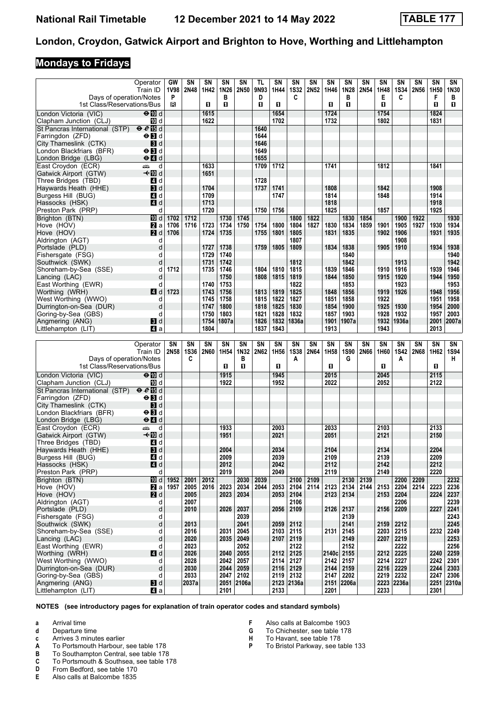#### **Mondays to Fridays**

|                                | Operator                           | GW   | SN          | SN          | SN             | SN          | TL        | <b>SN</b> | SN          | SN   | SN    | SN          | SΝ   | SΝ   | SN          | SN   | SN               | SN          |
|--------------------------------|------------------------------------|------|-------------|-------------|----------------|-------------|-----------|-----------|-------------|------|-------|-------------|------|------|-------------|------|------------------|-------------|
|                                | Train ID                           | 1V98 | 2N48        | 1H42        | 1N26           | <b>2N50</b> | 9N93      | 1H44      | <b>1S32</b> | 2N52 | 1H46  | 1N28        | 2N54 | 1H48 | <b>1S34</b> | 2N56 | 1H <sub>50</sub> | 1N30        |
| Days of operation/Notes        |                                    | P    |             |             | в              |             | D         |           | C           |      |       | в           |      | Е    | C           |      | F                | в           |
| 1st Class/Reservations/Bus     |                                    | в    |             | O           | П              |             | O         | п         |             |      | п     | П           |      | П    |             |      | $\mathbf{u}$     | 0.          |
|                                |                                    |      |             |             |                |             |           |           |             |      |       |             |      |      |             |      |                  |             |
| London Victoria (VIC)          | $\Theta$ III d                     |      |             | 1615        |                |             |           | 1654      |             |      | 1724  |             |      | 1754 |             |      | 1824             |             |
| Clapham Junction (CLJ)         | iD d                               |      |             | 1622        |                |             |           | 1702      |             |      | 1732  |             |      | 1802 |             |      | 1831             |             |
| St Pancras International (STP) | eE                                 |      |             |             |                |             | 1640      |           |             |      |       |             |      |      |             |      |                  |             |
| Farringdon (ZFD)               | $\Theta$ $\blacksquare$ d          |      |             |             |                |             | 1644      |           |             |      |       |             |      |      |             |      |                  |             |
|                                |                                    |      |             |             |                |             |           |           |             |      |       |             |      |      |             |      |                  |             |
| City Thameslink (CTK)          | <b>3</b> d                         |      |             |             |                |             | 1646      |           |             |      |       |             |      |      |             |      |                  |             |
| London Blackfriars (BFR)       | $\Theta$ $\blacksquare$ d          |      |             |             |                |             | 1649      |           |             |      |       |             |      |      |             |      |                  |             |
| London Bridge (LBG)            | $\Theta$ <sup><math>d</math></sup> |      |             |             |                |             | 1655      |           |             |      |       |             |      |      |             |      |                  |             |
| East Croydon (ECR)             | یشته<br>d                          |      |             | 1633        |                |             | 1709      | 1712      |             |      | 1741  |             |      | 1812 |             |      | 1841             |             |
|                                | <b>√</b> IIId                      |      |             |             |                |             |           |           |             |      |       |             |      |      |             |      |                  |             |
| Gatwick Airport (GTW)          |                                    |      |             | 1651        |                |             |           |           |             |      |       |             |      |      |             |      |                  |             |
| Three Bridges (TBD)            | 4 d                                |      |             |             |                |             | 1728      |           |             |      |       |             |      |      |             |      |                  |             |
| Haywards Heath (HHE)           | $\blacksquare$                     |      |             | 1704        |                |             | 1737      | 1741      |             |      | 1808  |             |      | 1842 |             |      | 1908             |             |
| Burgess Hill (BUG)             | 4 d                                |      |             | 1709        |                |             |           | 1747      |             |      | 1814  |             |      | 1848 |             |      | 1914             |             |
| Hassocks (HSK)                 | 4d                                 |      |             | 1713        |                |             |           |           |             |      | 1818  |             |      |      |             |      | 1918             |             |
| Preston Park (PRP)             | d                                  |      |             | 1720        |                |             | 1750      | 1756      |             |      | 1825  |             |      | 1857 |             |      | 1925             |             |
|                                |                                    |      |             |             |                |             |           |           |             |      |       |             |      |      |             |      |                  |             |
| Brighton (BTN)                 | III d                              | 1702 | 1712        |             | 1730           | 1745        |           |           | 1800        | 1822 |       | 1830        | 1854 |      | 1900        | 1922 |                  | 1930        |
| Hove (HOV)                     | <b>2</b> a                         | 1706 | 1716        | 1723        | 1734           | 1750        | 1754      | 1800      | 1804        | 1827 | 1830  | 1834        | 1859 | 1901 | 1905        | 1927 | 1930             | 1934        |
| Hove (HOV)                     | <b>2</b> d                         | 1706 |             | 1724        | 1735           |             | 1755      | 1801      | 1805        |      | 1831  | 1835        |      | 1902 | 1906        |      | 1931             | 1935        |
| Aldrington (AGT)               | d                                  |      |             |             |                |             |           |           | 1807        |      |       |             |      |      | 1908        |      |                  |             |
| Portslade (PLD)                | d                                  |      |             | 1727        | 1738           |             | 1759      | 1805      | 1809        |      | 1834  | 1838        |      | 1905 | 1910        |      | 1934             | 1938        |
|                                |                                    |      |             |             |                |             |           |           |             |      |       |             |      |      |             |      |                  |             |
| Fishersgate (FSG)              | d                                  |      |             | 1729        | 1740           |             |           |           |             |      |       | 1840        |      |      |             |      |                  | 1940        |
| Southwick (SWK)                | d                                  |      |             | 1731        | 1742           |             |           |           | 1812        |      |       | 1842        |      |      | 1913        |      |                  | 1942        |
| Shoreham-by-Sea (SSE)          | d                                  | 1712 |             | 1735        | 1746           |             | 1804      | 1810      | 1815        |      | 1839  | 1846        |      | 1910 | 1916        |      | 1939             | 1946        |
| Lancing (LAC)                  | d                                  |      |             |             | 1750           |             | 1808      | 1815      | 1819        |      | 1844  | 1850        |      | 1915 | 1920        |      | 1944             | 1950        |
| East Worthing (EWR)            | d                                  |      |             | 1740        | 1753           |             |           |           | 1822        |      |       | 1853        |      |      | 1923        |      |                  | 1953        |
|                                |                                    |      |             |             |                |             |           |           |             |      |       |             |      |      |             |      |                  |             |
| Worthing (WRH)                 | 4 d                                | 1723 |             | 1743        | 1756           |             | 1813      | 1819      | 1825        |      | 1848  | 1856        |      | 1919 | 1926        |      | 1948             | 1956        |
| West Worthing (WWO)            | d                                  |      |             | 1745        | 1758           |             | 1815      | 1822      | 1827        |      | 1851  | 1858        |      | 1922 |             |      | 1951             | 1958        |
| Durrington-on-Sea (DUR)        | d                                  |      |             | 1747        | 1800           |             | 1818      | 1825      | 1830        |      | 1854  | 1900        |      | 1925 | 1930        |      | 1954             | 2000        |
| Goring-by-Sea (GBS)            | d                                  |      |             | 1750        | 1803           |             | 1821      | 1828      | 1832        |      | 1857  | 1903        |      | 1928 | 1932        |      | 1957             | 2003        |
| Angmering (ANG)                | $\blacksquare$                     |      |             | 1754        | 1807a          |             | 1826      | 1832      | 1836a       |      | 1901  | 1907a       |      | 1932 | 1936a       |      | 2001             | 2007a       |
|                                |                                    |      |             |             |                |             | 1837      |           |             |      |       |             |      |      |             |      |                  |             |
| Littlehampton (LIT)            | ZI a                               |      |             | 1804        |                |             |           | 1843      |             |      | 1913  |             |      | 1943 |             |      | 2013             |             |
|                                |                                    |      |             |             |                |             |           |           |             |      |       |             |      |      |             |      |                  |             |
|                                |                                    |      |             |             |                |             |           |           |             |      |       |             |      |      |             |      |                  |             |
|                                | Operator                           | SΝ   | SN          | SN          | SN             | SN          | <b>SN</b> | <b>SN</b> | SN          | SN   | SN    | SN          | SN   | SN   | <b>SN</b>   | SΝ   | <b>SN</b>        | SN          |
|                                |                                    |      |             |             |                |             |           |           |             |      |       |             |      |      |             |      |                  |             |
|                                | Train ID                           | 2N58 | <b>1S36</b> | <b>2N60</b> | 1H54           | 1N32        | 2N62      | 1H56      | <b>1S38</b> | 2N64 | 1H58  | <b>1S90</b> | 2N66 | 1H60 | <b>1S42</b> | 2N68 | 1H62             | <b>1S94</b> |
| Days of operation/Notes        |                                    |      | C           |             |                | в           |           |           | A           |      |       | G           |      |      | A           |      |                  | н.          |
| 1st Class/Reservations/Bus     |                                    |      |             |             | $\blacksquare$ | O           |           | п         |             |      | п     |             |      | П    |             |      | п                |             |
| London Victoria (VIC)          | $\Theta$ M d                       |      |             |             | 1915           |             |           | 1945      |             |      | 2015  |             |      | 2045 |             |      | 2115             |             |
|                                |                                    |      |             |             |                |             |           |           |             |      |       |             |      |      |             |      |                  |             |
| Clapham Junction (CLJ)         | TO d                               |      |             |             | 1922           |             |           | 1952      |             |      | 2022  |             |      | 2052 |             |      | 2122             |             |
| St Pancras International (STP) | $e \in \mathbb{E}$ d               |      |             |             |                |             |           |           |             |      |       |             |      |      |             |      |                  |             |
| Farringdon (ZFD)               | $\Theta$ $\blacksquare$ d          |      |             |             |                |             |           |           |             |      |       |             |      |      |             |      |                  |             |
| City Thameslink (CTK)          | $\blacksquare$                     |      |             |             |                |             |           |           |             |      |       |             |      |      |             |      |                  |             |
| London Blackfriars (BFR)       | $\Theta$ $\blacksquare$            |      |             |             |                |             |           |           |             |      |       |             |      |      |             |      |                  |             |
|                                |                                    |      |             |             |                |             |           |           |             |      |       |             |      |      |             |      |                  |             |
| London Bridge (LBG)            | $\Theta$ <sup><math>d</math></sup> |      |             |             |                |             |           |           |             |      |       |             |      |      |             |      |                  |             |
| East Croydon (ECR)             | d<br>یشته                          |      |             |             | 1933           |             |           | 2003      |             |      | 2033  |             |      | 2103 |             |      | 2133             |             |
| Gatwick Airport (GTW)          | <b>√</b> IIId                      |      |             |             | 1951           |             |           | 2021      |             |      | 2051  |             |      | 2121 |             |      | 2150             |             |
| Three Bridges (TBD)            | 4 d                                |      |             |             |                |             |           |           |             |      |       |             |      |      |             |      |                  |             |
| Haywards Heath (HHE)           | $\mathbf{B}$ d                     |      |             |             | 2004           |             |           | 2034      |             |      | 2104  |             |      | 2134 |             |      | 2204             |             |
| Burgess Hill (BUG)             |                                    |      |             |             | 2009           |             |           | 2039      |             |      | 2109  |             |      | 2139 |             |      | 2209             |             |
|                                | $\blacksquare$ d                   |      |             |             |                |             |           |           |             |      |       |             |      |      |             |      |                  |             |
| Hassocks (HSK)                 | $\blacksquare$ d                   |      |             |             | 2012           |             |           | 2042      |             |      | 2112  |             |      | 2142 |             |      | 2212             |             |
| Preston Park (PRP)             | d                                  |      |             |             | 2019           |             |           | 2049      |             |      | 2119  |             |      | 2149 |             |      | 2220             |             |
| Brighton (BTN)                 | 10d                                | 1952 | 2001        | 2012        |                | 2030        | 2039      |           | 2100        | 2109 |       | 2130        | 2139 |      | 2200        | 2209 |                  | 2232        |
| Hove (HOV)                     | 2l a                               | 1957 | 2005        | 2016        | 2023           | 2034        | 2044      | 2053      | 2104        | 2114 | 2123  | 2134        | 2144 | 2153 | 2204        | 2214 | 2223             | 2236        |
| Hove (HOV)                     |                                    |      | 2005        |             | 2023           | 2034        |           | 2053      | 2104        |      | 2123  | 2134        |      | 2153 | 2204        |      | 2224             | 2237        |
|                                | 2d                                 |      |             |             |                |             |           |           |             |      |       |             |      |      |             |      |                  |             |
| Aldrington (AGT)               | d                                  |      | 2007        |             |                |             |           |           | 2106        |      |       |             |      |      | 2206        |      |                  | 2239        |
| Portslade (PLD)                | d                                  |      | 2010        |             | 2026           | 2037        |           | 2056      | 2109        |      | 2126  | 2137        |      | 2156 | 2209        |      | 2227             | 2241        |
| Fishersgate (FSG)              | d                                  |      |             |             |                | 2039        |           |           |             |      |       | 2139        |      |      |             |      |                  | 2243        |
| Southwick (SWK)                | d                                  |      | 2013        |             |                | 2041        |           | 2059      | 2112        |      |       | 2141        |      | 2159 | 2212        |      |                  | 2245        |
| Shoreham-by-Sea (SSE)          | d                                  |      | 2016        |             | 2031           | 2045        |           | 2103      | 2115        |      | 2131  | 2145        |      | 2203 | 2215        |      | 2232             | 2249        |
| Lancing (LAC)                  | d                                  |      | 2020        |             | 2035           | 2049        |           | 2107      | 2119        |      |       | 2149        |      | 2207 | 2219        |      |                  | 2253        |
| East Worthing (EWR)            | d                                  |      |             |             |                | 2052        |           |           | 2122        |      |       | 2152        |      |      | 2222        |      |                  | 2256        |
|                                |                                    |      | 2023        |             |                |             |           |           |             |      |       |             |      |      |             |      |                  |             |
| Worthing (WRH)                 | 4 d                                |      | 2026        |             | 2040           | 2055        |           | 2112      | 2125        |      | 2140c | 2155        |      | 2212 | 2225        |      | 2240             | 2259        |
| West Worthing (WWO)            | d                                  |      | 2028        |             | 2042           | 2057        |           | 2114      | 2127        |      | 2142  | 2157        |      | 2214 | 2227        |      | 2242             | 2301        |
| Durrington-on-Sea (DUR)        | d                                  |      | 2030        |             | 2044           | 2059        |           | 2116      | 2129        |      | 2144  | 2159        |      | 2216 | 2229        |      | 2244             | 2303        |
| Goring-by-Sea (GBS)            | d                                  |      | 2033        |             | 2047           | 2102        |           |           | 2119 2132   |      | 2147  | 2202        |      | 2219 | 2232        |      | 2247             | 2306        |
| Angmering (ANG)                | <b>3</b> d                         |      | 2037a       |             |                | 2051 2106a  |           |           | 2123 2136a  |      |       | 2151 2206a  |      |      | 2223 2236a  |      |                  | 2251 2310a  |

**NOTES (see introductory pages for explanation of train operator codes and standard symbols)**

**a** Arrival time<br>**d** Departure t

- **d** Departure time
- **c** Arrives 3 minutes earlier<br>**A** To Portsmouth Harbour,
- **A** To Portsmouth Harbour, see table 178<br>**B** To Southampton Central, see table 178
- To Southampton Central, see table 178
- **C** To Portsmouth & Southsea, see table 178
- **D** From Bedford, see table 170<br>**E** Also calls at Balcombe 1835
- **(** Also calls at Balcombe 135
- **F** Also calls at Balcombe 1903<br>**G** To Chichester see table 178
- To Chichester, see table 178
- **+** To Havant, see table 178<br>**P** To Bristol Parkway, see ta
	- To Bristol Parkway, see table 133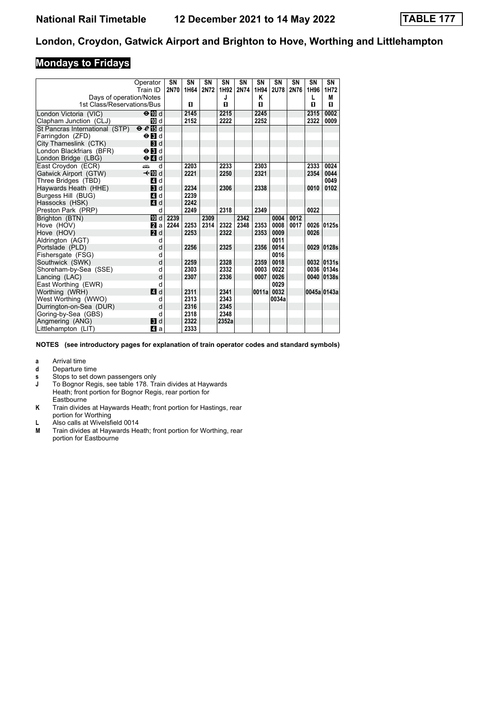#### **Mondays to Fridays**

|                                | Operator                           | SN   | SN   | <b>SN</b> | SN    | SN   | SN    | SN          | SN   | SN          | SN         |
|--------------------------------|------------------------------------|------|------|-----------|-------|------|-------|-------------|------|-------------|------------|
|                                | Train ID                           | 2N70 | 1H64 | 2N72      | 1H92  | 2N74 | 1H94  | <b>2U78</b> | 2N76 | 1H96        | 1H72       |
| Days of operation/Notes        |                                    |      |      |           | J     |      | κ     |             |      | L           | М          |
| 1st Class/Reservations/Bus     |                                    |      | п    |           | П     |      | П     |             |      | п           | 0          |
| London Victoria (VIC)          | $\Theta$ M d                       |      | 2145 |           | 2215  |      | 2245  |             |      | 2315        | 0002       |
| Clapham Junction (CLJ)         | TO d                               |      | 2152 |           | 2222  |      | 2252  |             |      | 2322        | 0009       |
| St Pancras International (STP) | $e e$ $d$                          |      |      |           |       |      |       |             |      |             |            |
| Farringdon (ZFD)               | $\Theta$ <b>B</b> d                |      |      |           |       |      |       |             |      |             |            |
| City Thameslink (CTK)          | $\blacksquare$                     |      |      |           |       |      |       |             |      |             |            |
| London Blackfriars (BFR)       | $\Theta$ $\blacksquare$ d          |      |      |           |       |      |       |             |      |             |            |
| London Bridge (LBG)            | $\Theta$ <sup><math>d</math></sup> |      |      |           |       |      |       |             |      |             |            |
| East Croydon (ECR)             | æ<br>d                             |      | 2203 |           | 2233  |      | 2303  |             |      | 2333        | 0024       |
| Gatwick Airport (GTW)          | –k¶ld                              |      | 2221 |           | 2250  |      | 2321  |             |      | 2354        | 0044       |
| Three Bridges (TBD)            | 41 d                               |      |      |           |       |      |       |             |      |             | 0049       |
| Haywards Heath (HHE)           | $\blacksquare$                     |      | 2234 |           | 2306  |      | 2338  |             |      | 0010        | 0102       |
| Burgess Hill (BUG)             | 41 d                               |      | 2239 |           |       |      |       |             |      |             |            |
| Hassocks (HSK)                 | $\blacksquare$ d                   |      | 2242 |           |       |      |       |             |      |             |            |
| Preston Park (PRP)             | d                                  |      | 2249 |           | 2318  |      | 2349  |             |      | 0022        |            |
| Brighton (BTN)                 | <b>TO</b> d                        | 2239 |      | 2309      |       | 2342 |       | 0004        | 0012 |             |            |
| Hove (HOV)                     | <b>2</b> a                         | 2244 | 2253 | 2314      | 2322  | 2348 | 2353  | 0008        | 0017 | 0026        | 0125s      |
| Hove (HOV)                     | $\blacksquare$ d                   |      | 2253 |           | 2322  |      | 2353  | 0009        |      | 0026        |            |
| Aldrington (AGT)               | d                                  |      |      |           |       |      |       | 0011        |      |             |            |
| Portslade (PLD)                | d                                  |      | 2256 |           | 2325  |      | 2356  | 0014        |      | 0029        | 0128s      |
| Fishersgate (FSG)              | d                                  |      |      |           |       |      |       | 0016        |      |             |            |
| Southwick (SWK)                | d                                  |      | 2259 |           | 2328  |      | 2359  | 0018        |      |             | 0032 0131s |
| Shoreham-by-Sea (SSE)          | d                                  |      | 2303 |           | 2332  |      | 0003  | 0022        |      | 0036        | 0134s      |
| Lancing (LAC)                  | d                                  |      | 2307 |           | 2336  |      | 0007  | 0026        |      | 0040        | 0138s      |
| East Worthing (EWR)            | d                                  |      |      |           |       |      |       | 0029        |      |             |            |
| Worthing (WRH)                 | ZI d                               |      | 2311 |           | 2341  |      | 0011a | 0032        |      | 0045a 0143a |            |
| West Worthing (WWO)            | d                                  |      | 2313 |           | 2343  |      |       | 0034a       |      |             |            |
| Durrington-on-Sea (DUR)        | d                                  |      | 2316 |           | 2345  |      |       |             |      |             |            |
| Goring-by-Sea (GBS)            | d                                  |      | 2318 |           | 2348  |      |       |             |      |             |            |
| Angmering (ANG)                | $\blacksquare$ d                   |      | 2322 |           | 2352a |      |       |             |      |             |            |
| Littlehampton (LIT)            | 41 a                               |      | 2333 |           |       |      |       |             |      |             |            |

- **a** Arrival time
- **d** Departure time
- **v** Stops to set down passengers only<br> **J** To Bognor Regis, see table 178. Tra
- To Bognor Regis, see table 178. Train divides at Haywards Heath, front portion for Bognor Regis, rear portion for **Eastbourne**
- **K** Train divides at Haywards Heath; front portion for Hastings, rear portion for Worthing
- L Also calls at Wivelsfield 0014<br>M Train divides at Haywards He
- Train divides at Haywards Heath; front portion for Worthing, rear portion for Eastbourne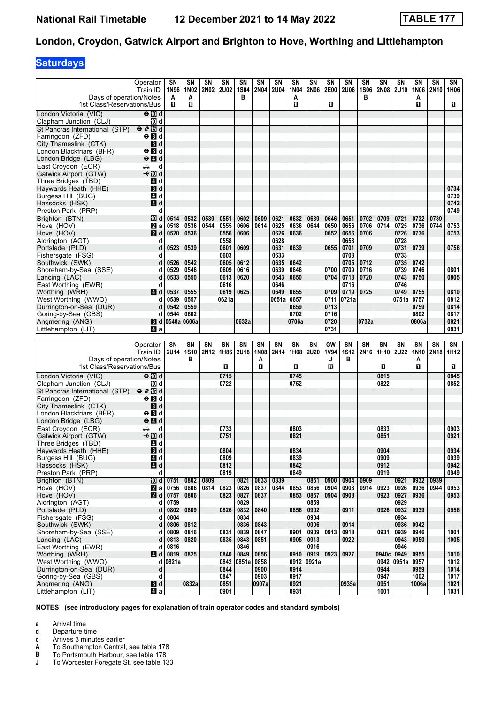# **Saturdays**

| Days of operation/Notes                                   | Operator<br>Train ID                                 | SΝ<br>1N96<br>A        | SN<br>1N02<br>Α   | SN<br><b>2N02</b> | SN<br><b>2U02</b> | SΝ<br>1S04<br>в   | SN<br><b>2N04</b> | <b>SN</b><br><b>2U04</b> | SΝ<br>1N04<br>A | SN<br><b>2N06</b> | SΝ<br>2E00        | SN<br><b>2U06</b> | SΝ<br><b>1S06</b><br>в        | SΝ<br><b>2N08</b> | SΝ<br><b>2U10</b>        | SΝ<br><b>1N06</b><br>Α | SΝ<br>2N <sub>10</sub> | SN<br>1H06           |
|-----------------------------------------------------------|------------------------------------------------------|------------------------|-------------------|-------------------|-------------------|-------------------|-------------------|--------------------------|-----------------|-------------------|-------------------|-------------------|-------------------------------|-------------------|--------------------------|------------------------|------------------------|----------------------|
| 1st Class/Reservations/Bus                                |                                                      | П                      | O                 |                   |                   |                   |                   |                          | п               |                   | O                 |                   |                               |                   |                          | O.                     |                        | 0.                   |
| London Victoria (VIC)<br>Clapham Junction (CLJ)           | $\Theta$ M d<br>III d                                |                        |                   |                   |                   |                   |                   |                          |                 |                   |                   |                   |                               |                   |                          |                        |                        |                      |
| St Pancras International (STP) $\theta \ell$ is d         |                                                      |                        |                   |                   |                   |                   |                   |                          |                 |                   |                   |                   |                               |                   |                          |                        |                        |                      |
| Farringdon (ZFD)                                          | $\Theta$ <b>B</b> d                                  |                        |                   |                   |                   |                   |                   |                          |                 |                   |                   |                   |                               |                   |                          |                        |                        |                      |
| City Thameslink (CTK)                                     | $\blacksquare$                                       |                        |                   |                   |                   |                   |                   |                          |                 |                   |                   |                   |                               |                   |                          |                        |                        |                      |
| London Blackfriars (BFR)                                  | $\Theta$ <b>B</b> d                                  |                        |                   |                   |                   |                   |                   |                          |                 |                   |                   |                   |                               |                   |                          |                        |                        |                      |
| London Bridge (LBG)<br>East Croydon (ECR)                 | $\Theta$ <sup><math>\blacksquare</math> d</sup><br>d |                        |                   |                   |                   |                   |                   |                          |                 |                   |                   |                   |                               |                   |                          |                        |                        |                      |
| Gatwick Airport (GTW)                                     | یشته<br>–≁Mid                                        |                        |                   |                   |                   |                   |                   |                          |                 |                   |                   |                   |                               |                   |                          |                        |                        |                      |
| Three Bridges (TBD)                                       | 4 d                                                  |                        |                   |                   |                   |                   |                   |                          |                 |                   |                   |                   |                               |                   |                          |                        |                        |                      |
| Haywards Heath (HHE)                                      | $\blacksquare$                                       |                        |                   |                   |                   |                   |                   |                          |                 |                   |                   |                   |                               |                   |                          |                        |                        | 0734                 |
| Burgess Hill (BUG)                                        | 4 d                                                  |                        |                   |                   |                   |                   |                   |                          |                 |                   |                   |                   |                               |                   |                          |                        |                        | 0739                 |
| Hassocks (HSK)                                            | 4d                                                   |                        |                   |                   |                   |                   |                   |                          |                 |                   |                   |                   |                               |                   |                          |                        |                        | 0742                 |
| Preston Park (PRP)                                        | d                                                    |                        |                   |                   |                   |                   |                   |                          |                 |                   |                   |                   |                               |                   |                          |                        |                        | 0749                 |
| Brighton (BTN)<br>Hove (HOV)                              | <b>ID</b> d<br><b>Z</b> a                            | 0514<br>0518           | 0532<br>0536      | 0539<br>0544      | 0551<br>0555      | 0602<br>0606      | 0609<br>0614      | 0621<br>0625             | 0632<br>0636    | 0639<br>0644      | 0646<br>0650      | 0651<br>0656      | 0702<br>0706                  | 0709<br>0714      | 0721<br>0725             | 0732<br>0736           | 0739<br>0744           | 0753                 |
| Hove (HOV)                                                | 2d                                                   | 0520                   | 0536              |                   | 0556              | 0606              |                   | 0626                     | 0636            |                   | 0652              | 0656              | 0706                          |                   | 0726                     | 0736                   |                        | 0753                 |
| Aldrington (AGT)                                          | d                                                    |                        |                   |                   | 0558              |                   |                   | 0628                     |                 |                   |                   | 0658              |                               |                   | 0728                     |                        |                        |                      |
| Portslade (PLD)                                           | d                                                    | 0523                   | 0539              |                   | 0601              | 0609              |                   | 0631                     | 0639            |                   | 0655              | 0701              | 0709                          |                   | 0731                     | 0739                   |                        | 0756                 |
| Fishersgate (FSG)                                         | d                                                    |                        |                   |                   | 0603              |                   |                   | 0633                     |                 |                   |                   | 0703              |                               |                   | 0733                     |                        |                        |                      |
| Southwick (SWK)                                           | d                                                    | 0526                   | 0542              |                   | 0605              | 0612              |                   | 0635                     | 0642            |                   |                   | 0705              | 0712                          |                   | 0735                     | 0742                   |                        |                      |
| Shoreham-by-Sea (SSE)                                     | d                                                    | 0529                   | 0546              |                   | 0609              | 0616              |                   | 0639                     | 0646            |                   | 0700              | 0709              | 0716                          |                   | 0739                     | 0746                   |                        | 0801                 |
| Lancing (LAC)<br>East Worthing (EWR)                      | d<br>d                                               | 0533                   | 0550              |                   | 0613<br>0616      | 0620              |                   | 0643<br>0646             | 0650            |                   | 0704              | 0713<br>0716      | 0720                          |                   | 0743<br>0746             | 0750                   |                        | 0805                 |
| Worthing (WRH)                                            | 4d                                                   | 0537                   | 0555              |                   | 0619              | 0625              |                   | 0649                     | 0655            |                   | 0709              | 0719              | 0725                          |                   | 0749                     | 0755                   |                        | 0810                 |
| West Worthing (WWO)                                       | d                                                    | 0539                   | 0557              |                   | 0621a             |                   |                   | 0651a                    | 0657            |                   | 0711              | 0721a             |                               |                   | 0751a                    | 0757                   |                        | 0812                 |
| Durrington-on-Sea (DUR)                                   | d                                                    | 0542                   | 0559              |                   |                   |                   |                   |                          | 0659            |                   | 0713              |                   |                               |                   |                          | 0759                   |                        | 0814                 |
| Goring-by-Sea (GBS)                                       | d                                                    | 0544                   | 0602              |                   |                   |                   |                   |                          | 0702            |                   | 0716              |                   |                               |                   |                          | 0802                   |                        | 0817                 |
| Angmering (ANG)                                           |                                                      | $\bf{8}$ d 0548a 0606a |                   |                   |                   | 0632a             |                   |                          | 0706a           |                   | 0720              |                   | 0732a                         |                   |                          | 0806a                  |                        | 0821                 |
| Littlehampton (LIT)                                       | ZI a                                                 |                        |                   |                   |                   |                   |                   |                          |                 |                   | 0731              |                   |                               |                   |                          |                        |                        | 0831                 |
|                                                           |                                                      |                        |                   |                   |                   |                   |                   |                          |                 |                   |                   |                   |                               |                   |                          |                        |                        |                      |
|                                                           |                                                      |                        |                   |                   |                   |                   |                   | SN                       |                 |                   |                   |                   |                               |                   |                          |                        |                        |                      |
|                                                           | Operator<br>Train ID                                 | SΝ<br>2U14             | SN<br><b>1S10</b> | SΝ<br>2N12        | SN<br>1H86        | SN<br><b>2U18</b> | SΝ<br><b>1N08</b> | 2N14                     | SN<br>1H08      | SΝ<br>2U20        | GW<br><b>1V94</b> | SN<br><b>1S12</b> | <b>SN</b><br>2N <sub>16</sub> | SΝ<br>1H10        | <b>SN</b><br><b>2U22</b> | SΝ<br>1N10             | SN<br><b>2N18</b>      | SN<br>1H12           |
| Days of operation/Notes                                   |                                                      |                        | в                 |                   |                   |                   | Α                 |                          |                 |                   | J                 | в                 |                               |                   |                          | A                      |                        |                      |
| 1st Class/Reservations/Bus                                |                                                      |                        |                   |                   | O.                |                   | O                 |                          | п               |                   | B                 |                   |                               | 0                 |                          | O.                     |                        | 0                    |
| London Victoria (VIC)                                     | $\Theta$ M d                                         |                        |                   |                   | 0715              |                   |                   |                          | 0745            |                   |                   |                   |                               | 0815              |                          |                        |                        | 0845                 |
| Clapham Junction (CLJ)                                    | III d                                                |                        |                   |                   | 0722              |                   |                   |                          | 0752            |                   |                   |                   |                               | 0822              |                          |                        |                        | 0852                 |
| St Pancras International (STP) $\Theta \cdot \Theta$ Is d |                                                      |                        |                   |                   |                   |                   |                   |                          |                 |                   |                   |                   |                               |                   |                          |                        |                        |                      |
| Farringdon (ZFD)                                          | $\Theta$ $\blacksquare$ d                            |                        |                   |                   |                   |                   |                   |                          |                 |                   |                   |                   |                               |                   |                          |                        |                        |                      |
| City Thameslink (CTK)                                     | BI d<br>$\Theta$ $\blacksquare$ d                    |                        |                   |                   |                   |                   |                   |                          |                 |                   |                   |                   |                               |                   |                          |                        |                        |                      |
| London Blackfriars (BFR)<br>London Bridge (LBG)           | $\Theta$ $\blacksquare$ d                            |                        |                   |                   |                   |                   |                   |                          |                 |                   |                   |                   |                               |                   |                          |                        |                        |                      |
| East Croydon (ECR)                                        | پیشته<br>d                                           |                        |                   |                   | 0733              |                   |                   |                          | 0803            |                   |                   |                   |                               | 0833              |                          |                        |                        | 0903                 |
| Gatwick Airport (GTW)                                     | —tMDd                                                |                        |                   |                   | 0751              |                   |                   |                          | 0821            |                   |                   |                   |                               | 0851              |                          |                        |                        | 0921                 |
| Three Bridges (TBD)                                       | 4 d                                                  |                        |                   |                   |                   |                   |                   |                          |                 |                   |                   |                   |                               |                   |                          |                        |                        |                      |
| Haywards Heath (HHE)                                      | $\blacksquare$                                       |                        |                   |                   | 0804              |                   |                   |                          | 0834            |                   |                   |                   |                               | 0904              |                          |                        |                        | 0934                 |
| Burgess Hill (BUG)<br>Hassocks (HSK)                      | 4 d                                                  |                        |                   |                   | 0809              |                   |                   |                          | 0839<br>0842    |                   |                   |                   |                               | 0909              |                          |                        |                        | 0939<br>0942         |
| Preston Park (PRP)                                        | 4d<br>d                                              |                        |                   |                   | 0812<br>0819      |                   |                   |                          | 0849            |                   |                   |                   |                               | 0912<br>0919      |                          |                        |                        | 0949                 |
| Brighton (BTN)                                            | iD d                                                 | 0751                   | 0802              | 0809              |                   | 0821              | 0833              | 0839                     |                 | 0851              | 0900              | 0904              | 0909                          |                   | 0921                     | 0932                   | 0939                   |                      |
| Hove (HOV)                                                | $\mathbf{z}$ a                                       | 0756                   | 0806              | 0814              | 0823              | 0826              | 0837              | 0844                     | 0853            | 0856              | 0904              | 0908              | 0914                          | 0923              | 0926                     | 0936                   | 0944                   | 0953                 |
| Hove (HOV)                                                | 2d                                                   | 0757                   | 0806              |                   | 0823              | 0827              | 0837              |                          | 0853            | 0857              | 0904              | 0908              |                               | 0923              | 0927                     | 0936                   |                        | 0953                 |
| Aldrington (AGT)                                          | d                                                    | 0759                   |                   |                   |                   | 0829              |                   |                          |                 | 0859              |                   |                   |                               |                   | 0929                     |                        |                        |                      |
| Portslade (PLD)<br>Fishersgate (FSG)                      | d<br>d                                               | 0802<br>0804           | 0809              |                   | 0826              | 0832<br>0834      | 0840              |                          | 0856            | 0902<br>0904      |                   | 0911              |                               | 0926              | 0932<br>0934             | 0939                   |                        | 0956                 |
| Southwick (SWK)                                           | d                                                    | 0806                   | 0812              |                   |                   | 0836              | 0843              |                          |                 | 0906              |                   | 0914              |                               |                   | 0936                     | 0942                   |                        |                      |
| Shoreham-by-Sea (SSE)                                     | d                                                    | 0809                   | 0816              |                   | 0831              | 0839              | 0847              |                          | 0901            | 0909              | 0913              | 0918              |                               | 0931              | 0939                     | 0946                   |                        | 1001                 |
| Lancing (LAC)                                             | d                                                    | 0813                   | 0820              |                   | 0835              | 0843              | 0851              |                          | 0905            | 0913              |                   | 0922              |                               |                   | 0943                     | 0950                   |                        | 1005                 |
| East Worthing (EWR)                                       | d                                                    | 0816                   |                   |                   |                   | 0846              |                   |                          |                 | 0916              |                   |                   |                               |                   | 0946                     |                        |                        |                      |
| Worthing (WRH)                                            | ZI d                                                 | 0819                   | 0825              |                   | 0840              | 0849              | 0856              |                          | 0910            | 0919              | 0923              | 0927              |                               | 0940c             | 0949                     | 0955                   |                        | 1010                 |
| West Worthing (WWO)<br>Durrington-on-Sea (DUR)            | d<br>d                                               | 0821a                  |                   |                   | 0844              | 0842 0851a        | 0858<br>0900      |                          | 0912<br>0914    | 0921a             |                   |                   |                               | 0942<br>0944      | 0951a                    | 0957<br>0959           |                        | 1012<br>1014         |
| Goring-by-Sea (GBS)                                       | d                                                    |                        |                   |                   | 0847              |                   | 0903              |                          | 0917            |                   |                   |                   |                               | 0947              |                          | 1002                   |                        |                      |
| Angmering (ANG)<br>Littlehampton (LIT)                    | $\blacksquare$<br>41 a                               |                        | 0832a             |                   | 0851<br>0901      |                   | 0907a             |                          | 0921<br>0931    |                   |                   | 0935a             |                               | 0951<br>1001      |                          | 1006a                  |                        | 1017<br>1021<br>1031 |

**NOTES (see introductory pages for explanation of train operator codes and standard symbols)**

**a** Arrival time

- **d** Departure time<br>**c** Arrives 3 minut
- **c** Arrives 3 minutes earlier<br>**A** To Southampton Central
- **A** To Southampton Central, see table 178<br>**B** To Portsmouth Harbour, see table 178
- **B** To Portsmouth Harbour, see table 178<br>**J** To Worcester Foregate St, see table 13 To Worcester Foregate St, see table 133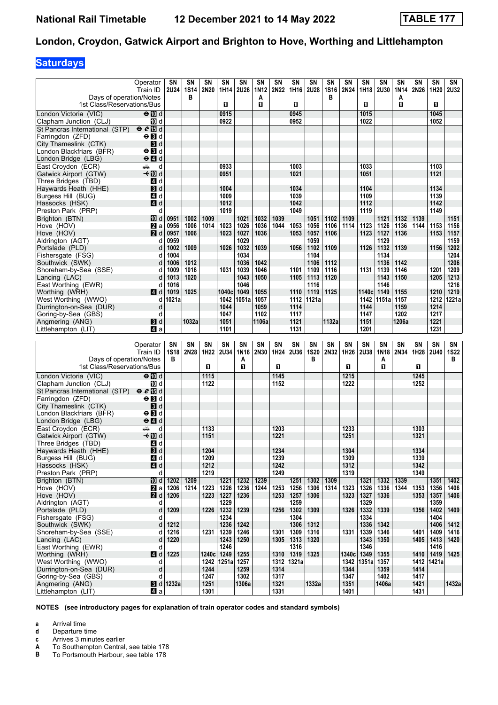# **Saturdays**

| Days of operation/Notes                                                  | Operator<br>Train ID                      | SΝ<br><b>2U24</b>        | SΝ<br>1S14<br>в | SN<br>2N20   | SΝ<br>1H14                        | SΝ<br><b>2U26</b> | SΝ<br>1N12<br>A | <b>SN</b><br>2N22 | SΝ<br>1H16             | SΝ<br>2U28   | SΝ<br><b>1S16</b><br>в | SN<br>2N24   | SΝ<br>1H18    | SN<br><b>2U30</b> | SN<br>1N14<br>A | SN<br>2N26   | SN<br>1H20         | SN<br><b>2U32</b> |
|--------------------------------------------------------------------------|-------------------------------------------|--------------------------|-----------------|--------------|-----------------------------------|-------------------|-----------------|-------------------|------------------------|--------------|------------------------|--------------|---------------|-------------------|-----------------|--------------|--------------------|-------------------|
| 1st Class/Reservations/Bus                                               |                                           |                          |                 |              | O.                                |                   | O.              |                   | п                      |              |                        |              | O             |                   | п               |              | п                  |                   |
| London Victoria (VIC)                                                    | $\Theta$ $\overline{w}$ d                 |                          |                 |              | 0915                              |                   |                 |                   | 0945                   |              |                        |              | 1015          |                   |                 |              | 1045               |                   |
| Clapham Junction (CLJ)<br>St Pancras International (STP) $\Theta$ # in d | iD d                                      |                          |                 |              | 0922                              |                   |                 |                   | 0952                   |              |                        |              | 1022          |                   |                 |              | 1052               |                   |
| Farringdon (ZFD)                                                         | $\Theta$ $\blacksquare$ d                 |                          |                 |              |                                   |                   |                 |                   |                        |              |                        |              |               |                   |                 |              |                    |                   |
| City Thameslink (CTK)                                                    | $\mathbf{3}$ d                            |                          |                 |              |                                   |                   |                 |                   |                        |              |                        |              |               |                   |                 |              |                    |                   |
| London Blackfriars (BFR)                                                 | $\Theta$ $\blacksquare$                   |                          |                 |              |                                   |                   |                 |                   |                        |              |                        |              |               |                   |                 |              |                    |                   |
| London Bridge (LBG)                                                      | $e$ $d$                                   |                          |                 |              |                                   |                   |                 |                   |                        |              |                        |              |               |                   |                 |              |                    |                   |
| East Croydon (ECR)                                                       | d<br>پیش                                  |                          |                 |              | 0933                              |                   |                 |                   | 1003                   |              |                        |              | 1033          |                   |                 |              | 1103               |                   |
| Gatwick Airport (GTW)                                                    | <b>√</b> IIId                             |                          |                 |              | 0951                              |                   |                 |                   | 1021                   |              |                        |              | 1051          |                   |                 |              | 1121               |                   |
| Three Bridges (TBD)                                                      | 4 d                                       |                          |                 |              |                                   |                   |                 |                   |                        |              |                        |              |               |                   |                 |              |                    |                   |
| Haywards Heath (HHE)                                                     | <b>3</b> d                                |                          |                 |              | 1004                              |                   |                 |                   | 1034                   |              |                        |              | 1104          |                   |                 |              | 1134               |                   |
| Burgess Hill (BUG)                                                       | 4 d                                       |                          |                 |              | 1009                              |                   |                 |                   | 1039                   |              |                        |              | 1109          |                   |                 |              | 1139               |                   |
| Hassocks (HSK)<br>Preston Park (PRP)                                     | 4d<br>d                                   |                          |                 |              | 1012<br>1019                      |                   |                 |                   | 1042<br>1049           |              |                        |              | 1112<br>1119  |                   |                 |              | 1142<br>1149       |                   |
| Brighton (BTN)                                                           | <b>ID</b> d                               | 0951                     | 1002            | 1009         |                                   | 1021              | 1032            | 1039              |                        | 1051         | 1102                   | 1109         |               | 1121              | 1132            | 1139         |                    | 1151              |
| Hove (HOV)                                                               | 2a                                        | 0956                     | 1006            | 1014         | 1023                              | 1026              | 1036            | 1044              | 1053                   | 1056         | 1106                   | 1114         | 1123          | 1126              | 1136            | 1144         | 1153               | 1156              |
| Hove (HOV)                                                               | 2d                                        | 0957                     | 1006            |              | 1023                              | 1027              | 1036            |                   | 1053                   | 1057         | 1106                   |              | 1123          | 1127              | 1136            |              | 1153               | 1157              |
| Aldrington (AGT)                                                         | d                                         | 0959                     |                 |              |                                   | 1029              |                 |                   |                        | 1059         |                        |              |               | 1129              |                 |              |                    | 1159              |
| Portslade (PLD)                                                          | d                                         | 1002                     | 1009            |              | 1026                              | 1032              | 1039            |                   | 1056                   | 1102         | 1109                   |              | 1126          | 1132              | 1139            |              | 1156               | 1202              |
| Fishersgate (FSG)                                                        | d                                         | 1004                     |                 |              |                                   | 1034              |                 |                   |                        | 1104         |                        |              |               | 1134              |                 |              |                    | 1204              |
| Southwick (SWK)                                                          | d                                         | 1006                     | 1012            |              |                                   | 1036              | 1042            |                   |                        | 1106         | 1112                   |              |               | 1136              | 1142            |              |                    | 1206              |
| Shoreham-by-Sea (SSE)                                                    | d                                         | 1009                     | 1016            |              | 1031                              | 1039              | 1046            |                   | 1101                   | 1109         | 1116                   |              | 1131          | 1139              | 1146            |              | 1201               | 1209              |
| Lancing (LAC)                                                            | d                                         | 1013                     | 1020            |              |                                   | 1043              | 1050            |                   | 1105                   | 1113         | 1120                   |              |               | 1143              | 1150            |              | 1205               | 1213              |
| East Worthing (EWR)                                                      | d                                         | 1016<br>1019             | 1025            |              |                                   | 1046<br>1049      | 1055            |                   | 1110                   | 1116<br>1119 | 1125                   |              | 1140c         | 1146              | 1155            |              | 1210               | 1216<br>1219      |
| Worthing (WRH)<br>West Worthing (WWO)                                    | ZI d<br>d                                 | 1021a                    |                 |              | 1040c<br>1042                     | 1051a             | 1057            |                   | 1112                   | 1121a        |                        |              | 1142          | 1149<br>1151a     | 1157            |              | 1212               | 1221a             |
| Durrington-on-Sea (DUR)                                                  | d                                         |                          |                 |              | 1044                              |                   | 1059            |                   | 1114                   |              |                        |              | 1144          |                   | 1159            |              | 1214               |                   |
| Goring-by-Sea (GBS)                                                      | d                                         |                          |                 |              | 1047                              |                   | 1102            |                   | 1117                   |              |                        |              | 1147          |                   | 1202            |              | 1217               |                   |
| Angmering (ANG)                                                          | 3d                                        |                          | 1032a           |              | 1051                              |                   | 1106a           |                   | 1121                   |              | 1132a                  |              | 1151          |                   | 1206a           |              | 1221               |                   |
| Littlehampton (LIT)                                                      | 41 a                                      |                          |                 |              | 1101                              |                   |                 |                   | 1131                   |              |                        |              | 1201          |                   |                 |              | 1231               |                   |
|                                                                          |                                           |                          |                 |              |                                   |                   |                 |                   |                        |              |                        |              |               |                   |                 |              |                    |                   |
|                                                                          |                                           |                          |                 |              |                                   |                   |                 |                   |                        |              |                        |              |               |                   |                 |              |                    |                   |
|                                                                          | Operator                                  | SΝ                       | SN              | SN           | $\overline{\text{SN}}$            | SN                | <b>SN</b>       | SN                | $\overline{\text{SN}}$ | SN           | <b>SN</b>              | SN           | <b>SN</b>     | <b>SN</b>         | <b>SN</b>       | SN           | SN                 | SN                |
|                                                                          | Train ID                                  | <b>1S18</b>              | <b>2N28</b>     | 1H22         | <b>2U34</b>                       | 1N16              | <b>2N30</b>     | 1H24              | 2U36                   | <b>1S20</b>  | 2N32                   | 1H26         | 2U38          | <b>1N18</b>       | 2N34            | 1H28         | <b>2U40</b>        | <b>1S22</b>       |
| Days of operation/Notes                                                  |                                           | в                        |                 |              |                                   | Α                 |                 |                   |                        | B            |                        |              |               | Α                 |                 |              |                    | в                 |
| 1st Class/Reservations/Bus                                               |                                           |                          |                 | П            |                                   | п                 |                 | п                 |                        |              |                        | O            |               | O                 |                 | 0            |                    |                   |
| London Victoria (VIC)                                                    | $\Theta$ M d                              |                          |                 | 1115         |                                   |                   |                 | 1145              |                        |              |                        | 1215         |               |                   |                 | 1245         |                    |                   |
| Clapham Junction (CLJ)                                                   | 吅 d                                       |                          |                 | 1122         |                                   |                   |                 | 1152              |                        |              |                        | 1222         |               |                   |                 | 1252         |                    |                   |
| St Pancras International (STP) $\Theta \cdot \Theta$ Is d                |                                           |                          |                 |              |                                   |                   |                 |                   |                        |              |                        |              |               |                   |                 |              |                    |                   |
| Farringdon (ZFD)                                                         | $\Theta$ $\blacksquare$ d                 |                          |                 |              |                                   |                   |                 |                   |                        |              |                        |              |               |                   |                 |              |                    |                   |
| City Thameslink (CTK)<br>London Blackfriars (BFR)                        | 3d<br>$\Theta$ <b>B</b> d                 |                          |                 |              |                                   |                   |                 |                   |                        |              |                        |              |               |                   |                 |              |                    |                   |
| London Bridge (LBG)                                                      | $\Theta$ <sup><math>\Omega</math></sup> d |                          |                 |              |                                   |                   |                 |                   |                        |              |                        |              |               |                   |                 |              |                    |                   |
| East Croydon (ECR)                                                       | پیش<br>d                                  |                          |                 | 1133         |                                   |                   |                 | 1203              |                        |              |                        | 1233         |               |                   |                 | 1303         |                    |                   |
| Gatwick Airport (GTW)                                                    | <b>√</b> IIId                             |                          |                 | 1151         |                                   |                   |                 | 1221              |                        |              |                        | 1251         |               |                   |                 | 1321         |                    |                   |
| Three Bridges (TBD)                                                      | 4 d                                       |                          |                 |              |                                   |                   |                 |                   |                        |              |                        |              |               |                   |                 |              |                    |                   |
| Haywards Heath (HHE)                                                     | 3d                                        |                          |                 | 1204         |                                   |                   |                 | 1234              |                        |              |                        | 1304         |               |                   |                 | 1334         |                    |                   |
| Burgess Hill (BUG)                                                       | 4 d                                       |                          |                 | 1209         |                                   |                   |                 | 1239              |                        |              |                        | 1309         |               |                   |                 | 1339         |                    |                   |
| Hassocks (HSK)                                                           | 4d                                        |                          |                 | 1212         |                                   |                   |                 | 1242              |                        |              |                        | 1312         |               |                   |                 | 1342         |                    |                   |
| Preston Park (PRP)                                                       | d                                         |                          |                 | 1219         |                                   |                   |                 | 1249              |                        |              |                        | 1319         |               |                   |                 | 1349         |                    |                   |
| Brighton (BTN)<br>Hove (HOV)                                             | <b>ID</b> d                               | 1202                     | 1209<br>1214    | 1223         | 1221<br>1226                      | 1232              | 1239<br>1244    | 1253              | 1251<br>1256           | 1302         | 1309<br>1314           | 1323         | 1321<br>1326  | 1332              | 1339<br>1344    |              | 1351<br>1356       | 1402<br>1406      |
| Hove (HOV)                                                               | 2a<br>2d                                  | 1206<br>1206             |                 | 1223         | 1227                              | 1236<br>1236      |                 | 1253              | 1257                   | 1306<br>1306 |                        | 1323         | 1327          | 1336<br>1336      |                 | 1353<br>1353 | 1357               | 1406              |
| Aldrington (AGT)                                                         | d                                         |                          |                 |              | 1229                              |                   |                 |                   | 1259                   |              |                        |              | 1329          |                   |                 |              | 1359               |                   |
| Portslade (PLD)                                                          | d                                         | 1209                     |                 |              | 1226   1232                       | 1239              |                 | 1256              | 1302                   | 1309         |                        | 1326         | 1332          | 1339              |                 | 1356         | 1402               | 1409              |
| Fishersgate (FSG)                                                        | d                                         |                          |                 |              | 1234                              |                   |                 |                   | 1304                   |              |                        |              | 1334          |                   |                 |              | 1404               |                   |
| Southwick (SWK)                                                          | d                                         | 1212                     |                 |              | 1236                              | 1242              |                 |                   | 1306                   | 1312         |                        |              | 1336          | 1342              |                 |              | 1406               | 1412              |
| Shoreham-by-Sea (SSE)                                                    | d                                         | 1216                     |                 | 1231         | 1239                              | 1246              |                 | 1301              | 1309                   | 1316         |                        | 1331         | 1339          | 1346              |                 | 1401         | 1409               | 1416              |
| Lancing (LAC)                                                            | d<br>d                                    | 1220                     |                 |              | 1243                              | 1250              |                 | 1305              | 1313                   | 1320         |                        |              | 1343          | 1350              |                 | 1405         | 1413               | 1420              |
| East Worthing (EWR)                                                      |                                           | 1225                     |                 |              | 1246                              |                   |                 |                   | 1316                   |              |                        | 1340c        | 1346          |                   |                 |              | 1416               | 1425              |
| Worthing (WRH)<br>West Worthing (WWO)                                    | 4d<br>d                                   |                          |                 |              | 1240c   1249  <br>1242 1251a 1257 | 1255              |                 | 1310<br>1312      | 1319<br>∣1321a         | 1325         |                        | 1342         | 1349<br>1351a | 1355<br>1357      |                 | 1410         | 1419<br>1412 1421a |                   |
| Durrington-on-Sea (DUR)                                                  | d                                         |                          |                 | 1244         |                                   | 1259              |                 | 1314              |                        |              |                        | 1344         |               | 1359              |                 | 1414         |                    |                   |
| Goring-by-Sea (GBS)                                                      | d                                         |                          |                 | 1247         |                                   | 1302              |                 | 1317              |                        |              |                        | 1347         |               | 1402              |                 | 1417         |                    |                   |
| Angmering (ANG)<br>Littlehampton (LIT)                                   | 41 a                                      | $\blacksquare$ d   1232a |                 | 1251<br>1301 |                                   | 1306a             |                 | 1321<br>1331      |                        | 1332a        |                        | 1351<br>1401 |               | 1406a             |                 | 1421<br>1431 |                    | 1432a             |

**NOTES (see introductory pages for explanation of train operator codes and standard symbols)**

**a** Arrival time

**d** Departure time

**c** Arrives 3 minutes earlier<br>**A** To Southampton Central

**A** To Southampton Central, see table 178<br>**B** To Portsmouth Harbour, see table 178 To Portsmouth Harbour, see table 178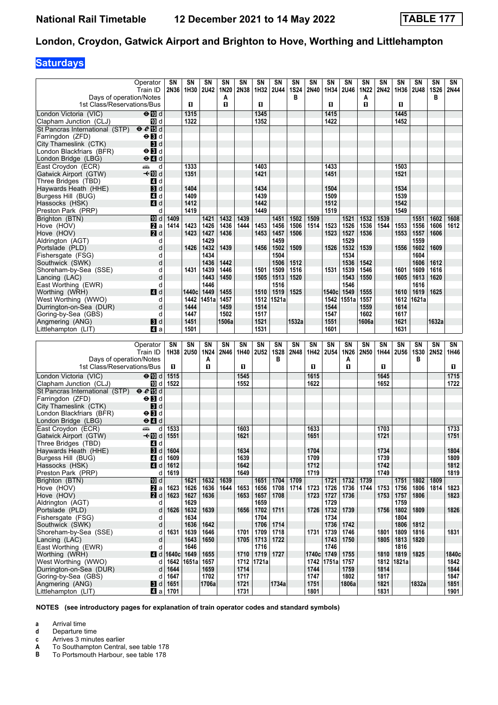# **Saturdays**

| Days of operation/Notes                                                       | Operator<br>Train ID                                         | SΝ<br>2N36          | SN<br>1H30   | SN<br><b>2U42</b> | SΝ<br>1N20<br>A | SΝ<br>2N38   | SΝ<br>1H32   | <b>SN</b><br><b>2U44</b> | SN<br><b>1S24</b><br>в | SΝ<br>2N40   | SΝ<br>1H34   | SN<br>2U46 | SΝ<br>1N <sub>22</sub><br>A | SN<br>2N42   | SN<br>1H36   | SN<br><b>2U48</b> | SN<br><b>1S26</b><br>в | SN<br>2N44   |
|-------------------------------------------------------------------------------|--------------------------------------------------------------|---------------------|--------------|-------------------|-----------------|--------------|--------------|--------------------------|------------------------|--------------|--------------|------------|-----------------------------|--------------|--------------|-------------------|------------------------|--------------|
| 1st Class/Reservations/Bus                                                    |                                                              |                     | O.           |                   | П               |              | п            |                          |                        |              | п            |            | O                           |              | D.           |                   |                        |              |
| London Victoria (VIC)                                                         | $\Theta$ $\blacksquare$ $d$                                  |                     | 1315         |                   |                 |              | 1345         |                          |                        |              | 1415         |            |                             |              | 1445         |                   |                        |              |
| Clapham Junction (CLJ)                                                        | 10 d                                                         |                     | 1322         |                   |                 |              | 1352         |                          |                        |              | 1422         |            |                             |              | 1452         |                   |                        |              |
| St Pancras International (STP) $\Theta \cdot \Theta$ II d<br>Farringdon (ZFD) | $\Theta$ $\blacksquare$ d                                    |                     |              |                   |                 |              |              |                          |                        |              |              |            |                             |              |              |                   |                        |              |
| City Thameslink (CTK)                                                         | 3d                                                           |                     |              |                   |                 |              |              |                          |                        |              |              |            |                             |              |              |                   |                        |              |
| London Blackfriars (BFR)                                                      | $\Theta$ $\blacksquare$                                      |                     |              |                   |                 |              |              |                          |                        |              |              |            |                             |              |              |                   |                        |              |
| London Bridge (LBG)                                                           | $\Theta$ <sup><math>\blacksquare</math> <math>d</math></sup> |                     |              |                   |                 |              |              |                          |                        |              |              |            |                             |              |              |                   |                        |              |
| East Croydon (ECR)                                                            | añ.<br>d                                                     |                     | 1333         |                   |                 |              | 1403         |                          |                        |              | 1433         |            |                             |              | 1503         |                   |                        |              |
| Gatwick Airport (GTW)                                                         | –≁Mid                                                        |                     | 1351         |                   |                 |              | 1421         |                          |                        |              | 1451         |            |                             |              | 1521         |                   |                        |              |
| Three Bridges (TBD)                                                           | 4 d                                                          |                     |              |                   |                 |              |              |                          |                        |              |              |            |                             |              |              |                   |                        |              |
| Haywards Heath (HHE)                                                          | $\mathbf{3}$ d                                               |                     | 1404         |                   |                 |              | 1434         |                          |                        |              | 1504         |            |                             |              | 1534         |                   |                        |              |
| Burgess Hill (BUG)                                                            | 4 d                                                          |                     | 1409         |                   |                 |              | 1439         |                          |                        |              | 1509         |            |                             |              | 1539         |                   |                        |              |
| Hassocks (HSK)                                                                | 4d                                                           |                     | 1412         |                   |                 |              | 1442         |                          |                        |              | 1512         |            |                             |              | 1542         |                   |                        |              |
| Preston Park (PRP)                                                            | d<br><b>ID</b> d                                             |                     | 1419         | 1421              |                 | 1439         | 1449         | 1451                     |                        | 1509         | 1519         | 1521       | 1532                        |              | 1549         | 1551              | 1602                   | 1608         |
| Brighton (BTN)<br>Hove (HOV)                                                  | 2a                                                           | 1409<br>1414        | 1423         | 1426              | 1432<br>1436    | 1444         | 1453         | 1456                     | 1502<br>1506           | 1514         | 1523         | 1526       | 1536                        | 1539<br>1544 | 1553         | 1556              | 1606                   | 1612         |
| Hove (HOV)                                                                    | <b>2</b> d                                                   |                     | 1423         | 1427              | 1436            |              | 1453         | 1457                     | 1506                   |              | 1523         | 1527       | 1536                        |              | 1553         | 1557              | 1606                   |              |
| Aldrington (AGT)                                                              | d                                                            |                     |              | 1429              |                 |              |              | 1459                     |                        |              |              | 1529       |                             |              |              | 1559              |                        |              |
| Portslade (PLD)                                                               | d                                                            |                     | 1426         | 1432              | 1439            |              | 1456         | 1502                     | 1509                   |              | 1526         | 1532       | 1539                        |              | 1556         | 1602              | 1609                   |              |
| Fishersgate (FSG)                                                             | d                                                            |                     |              | 1434              |                 |              |              | 1504                     |                        |              |              | 1534       |                             |              |              | 1604              |                        |              |
| Southwick (SWK)                                                               | d                                                            |                     |              | 1436              | 1442            |              |              | 1506                     | 1512                   |              |              | 1536       | 1542                        |              |              | 1606              | 1612                   |              |
| Shoreham-by-Sea (SSE)                                                         | d                                                            |                     | 1431         | 1439              | 1446            |              | 1501         | 1509                     | 1516                   |              | 1531         | 1539       | 1546                        |              | 1601         | 1609              | 1616                   |              |
| Lancing (LAC)                                                                 | d                                                            |                     |              | 1443              | 1450            |              | 1505         | 1513                     | 1520                   |              |              | 1543       | 1550                        |              | 1605         | 1613              | 1620                   |              |
| East Worthing (EWR)                                                           | d                                                            |                     |              | 1446              |                 |              |              | 1516                     |                        |              |              | 1546       |                             |              |              | 1616              |                        |              |
| Worthing (WRH)                                                                | 4 d                                                          |                     | 1440c        | 1449              | 1455            |              | 1510         | 1519                     | 1525                   |              | 1540c        | 1549       | 1555                        |              | 1610         | 1619              | 1625                   |              |
| West Worthing (WWO)                                                           | d<br>d                                                       |                     | 1444         | 1442 1451a        | 1457<br>1459    |              | 1512<br>1514 | 1521a                    |                        |              | 1542<br>1544 | 1551a      | 1557<br>1559                |              | 1612<br>1614 | 1621a             |                        |              |
| Durrington-on-Sea (DUR)<br>Goring-by-Sea (GBS)                                | d                                                            |                     | 1447         |                   | 1502            |              | 1517         |                          |                        |              | 1547         |            | 1602                        |              | 1617         |                   |                        |              |
| Angmering (ANG)                                                               | 3d                                                           |                     | 1451         |                   | 1506a           |              | 1521         |                          | 1532a                  |              | 1551         |            | 1606a                       |              | 1621         |                   | 1632a                  |              |
| Littlehampton (LIT)                                                           | Z1 a                                                         |                     | 1501         |                   |                 |              | 1531         |                          |                        |              | 1601         |            |                             |              | 1631         |                   |                        |              |
|                                                                               |                                                              |                     |              |                   |                 |              |              |                          |                        |              |              |            |                             |              |              |                   |                        |              |
|                                                                               |                                                              |                     |              |                   |                 |              |              |                          |                        |              |              |            |                             |              |              |                   |                        |              |
|                                                                               | Operator                                                     | SΝ                  | SN           | SΝ                | SN              | SΝ           | <b>SN</b>    | SN                       | <b>SN</b>              | SΝ           | <b>SN</b>    | SΝ         | <b>SN</b>                   | SN           | SN           | SΝ                | SN                     | SN           |
|                                                                               | Train ID                                                     |                     | 1H38   2U50  | 1N24              | 2N46            | 1H40         | <b>2U52</b>  | <b>1S28</b>              | 2N48                   | 1H42         | <b>2U54</b>  | 1N26       | 2N50                        | 1H44         | <b>2U56</b>  | <b>1S30</b>       | 2N52                   | 1H46         |
| Days of operation/Notes                                                       |                                                              |                     |              | A                 |                 |              |              | в                        |                        |              |              | A          |                             |              |              | в                 |                        |              |
| 1st Class/Reservations/Bus                                                    |                                                              | п                   |              | П                 |                 | П            |              |                          |                        | п            |              | O          |                             | П            |              |                   |                        | 0            |
| London Victoria (VIC)                                                         | $\Theta$ M d                                                 | 1515                |              |                   |                 | 1545         |              |                          |                        | 1615         |              |            |                             | 1645         |              |                   |                        | 1715         |
| Clapham Junction (CLJ)                                                        | 10 d                                                         | 1522                |              |                   |                 | 1552         |              |                          |                        | 1622         |              |            |                             | 1652         |              |                   |                        | 1722         |
| St Pancras International (STP) $\Theta \cdot \Theta$ Is d                     |                                                              |                     |              |                   |                 |              |              |                          |                        |              |              |            |                             |              |              |                   |                        |              |
| Farringdon (ZFD)                                                              | $\Theta$ $\blacksquare$ d                                    |                     |              |                   |                 |              |              |                          |                        |              |              |            |                             |              |              |                   |                        |              |
| City Thameslink (CTK)                                                         | <b>B</b> d                                                   |                     |              |                   |                 |              |              |                          |                        |              |              |            |                             |              |              |                   |                        |              |
| London Blackfriars (BFR)                                                      | $\Theta$ <b>B</b> d                                          |                     |              |                   |                 |              |              |                          |                        |              |              |            |                             |              |              |                   |                        |              |
| London Bridge (LBG)                                                           | $\Theta$ $\blacksquare$ d                                    |                     |              |                   |                 |              |              |                          |                        |              |              |            |                             | 1703         |              |                   |                        |              |
| East Croydon (ECR)<br>Gatwick Airport (GTW)                                   | $\frac{1}{\frac{1}{2}}$<br>d<br>—t110 d                      | 1533<br>1551        |              |                   |                 | 1603<br>1621 |              |                          |                        | 1633<br>1651 |              |            |                             | 1721         |              |                   |                        | 1733<br>1751 |
| Three Bridges (TBD)                                                           | 4 d                                                          |                     |              |                   |                 |              |              |                          |                        |              |              |            |                             |              |              |                   |                        |              |
| Haywards Heath (HHE)                                                          | $\mathbf{B}$ d                                               | 1604                |              |                   |                 | 1634         |              |                          |                        | 1704         |              |            |                             | 1734         |              |                   |                        | 1804         |
| Burgess Hill (BUG)                                                            | 4 d                                                          | 1609                |              |                   |                 | 1639         |              |                          |                        | 1709         |              |            |                             | 1739         |              |                   |                        | 1809         |
| Hassocks (HSK)                                                                | 4d                                                           | 1612                |              |                   |                 | 1642         |              |                          |                        | 1712         |              |            |                             | 1742         |              |                   |                        | 1812         |
| Preston Park (PRP)                                                            | d                                                            | 1619                |              |                   |                 | 1649         |              |                          |                        | 1719         |              |            |                             | 1749         |              |                   |                        | 1819         |
| Brighton (BTN)                                                                | iD d                                                         |                     | 1621         | 1632              | 1639            |              | 1651         | 1704                     | 1709                   |              | 1721         | 1732       | 1739                        |              | 1751         | 1802              | 1809                   |              |
| Hove (HOV)                                                                    | a                                                            | 1623                | 1626         | 1636              | 1644            | 1653         | 1656         | 1708                     | 1714                   | 1723         | 1726         | 1736       | 1744                        | 1753         | 1756         | 1806              | 1814                   | 1823         |
| Hove (HOV)                                                                    | 2d                                                           | 1623                | 1627         | 1636              |                 | 1653         | 1657         | 1708                     |                        | 1723         | 1727         | 1736       |                             | 1753         | 1757         | 1806              |                        | 1823         |
| Aldrington (AGT)                                                              | d                                                            |                     | 1629         |                   |                 |              | 1659         |                          |                        |              | 1729         |            |                             |              | 1759         |                   |                        |              |
| Portslade (PLD)<br>Fishersgate (FSG)                                          | d<br>d                                                       | 1626                | 1632<br>1634 | 1639              |                 | 1656         | 1702<br>1704 | 1711                     |                        | 1726         | 1732<br>1734 | 1739       |                             | 1756         | 1802<br>1804 | 1809              |                        | 1826         |
| Southwick (SWK)                                                               | d                                                            |                     | 1636         | 1642              |                 |              | 1706         | 1714                     |                        |              |              | 1742       |                             |              | 1806         | 1812              |                        |              |
| Shoreham-by-Sea (SSE)                                                         | d                                                            | 1631                | 1639         | 1646              |                 | 1701         | 1709         | 1718                     |                        | 1731         | 1736<br>1739 | 1746       |                             | 1801         | 1809         | 1816              |                        | 1831         |
| Lancing (LAC)                                                                 | d                                                            |                     | 1643         | 1650              |                 | 1705         | 1713         | 1722                     |                        |              | 1743         | 1750       |                             | 1805         | 1813         | 1820              |                        |              |
| East Worthing (EWR)                                                           | d                                                            |                     | 1646         |                   |                 |              | 1716         |                          |                        |              | 1746         |            |                             |              | 1816         |                   |                        |              |
| Worthing (WRH)                                                                | 4 d                                                          | 1640c               | 1649         | 1655              |                 | 1710         | 1719         | 1727                     |                        | 1740c        | 1749         | 1755       |                             | 1810         | 1819         | 1825              |                        | 1840c        |
| West Worthing (WWO)                                                           | d                                                            | 1642                | 1651a 1657   |                   |                 |              | 1712 1721a   |                          |                        | 1742         | 1751a        | 1757       |                             | 1812         | ∣1821a       |                   |                        | 1842         |
| Durrington-on-Sea (DUR)                                                       | d                                                            | 1644                |              | 1659              |                 | 1714         |              |                          |                        | 1744         |              | 1759       |                             | 1814         |              |                   |                        | 1844         |
| Goring-by-Sea (GBS)                                                           | d                                                            | 1647                |              | 1702              |                 | 1717         |              |                          |                        | 1747         |              | 1802       |                             | 1817         |              |                   |                        | 1847         |
| Angmering (ANG)<br>Littlehampton (LIT)                                        | 3d                                                           | 1651<br>Z] a   1701 |              | 1706a             |                 | 1721<br>1731 |              | 1734a                    |                        | 1751<br>1801 |              | 1806a      |                             | 1821<br>1831 |              | 1832a             |                        | 1851<br>1901 |

**NOTES (see introductory pages for explanation of train operator codes and standard symbols)**

**a** Arrival time

**d** Departure time

**c** Arrives 3 minutes earlier<br>**A** To Southampton Central

**A** To Southampton Central, see table 178<br>**B** To Portsmouth Harbour, see table 178 To Portsmouth Harbour, see table 178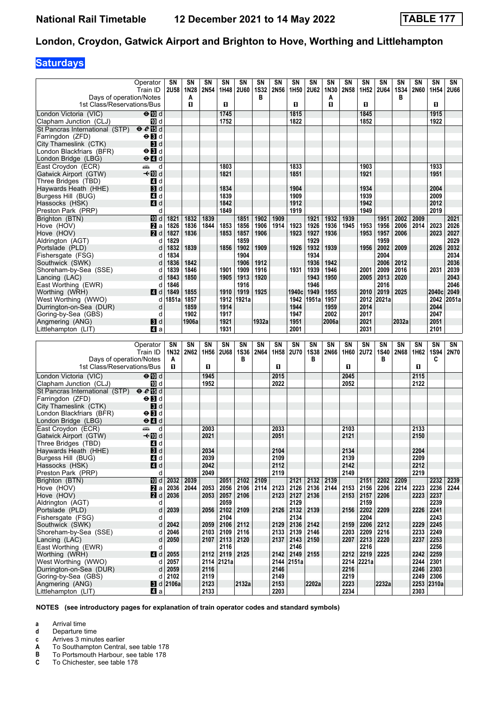# **Saturdays**

|                                                           | Operator                                                                                                                                                                                                                                            | SN                     | SΝ           | SΝ           | SΝ             | SN           | SN               | SN               | SΝ                | SN           | SΝ           | SN           | SΝ           | <b>SN</b>    | <b>SN</b>        | SN   | SN               | SN           |
|-----------------------------------------------------------|-----------------------------------------------------------------------------------------------------------------------------------------------------------------------------------------------------------------------------------------------------|------------------------|--------------|--------------|----------------|--------------|------------------|------------------|-------------------|--------------|--------------|--------------|--------------|--------------|------------------|------|------------------|--------------|
| Days of operation/Notes                                   | Train ID                                                                                                                                                                                                                                            | <b>2U58</b>            | 1N28<br>Α    | 2N54         | 1H48           | <b>2U60</b>  | <b>1S32</b><br>в | 2N56             | 1H50              | <b>2U62</b>  | 1N30<br>A    | 2N58         | 1H52         | <b>2U64</b>  | <b>1S34</b><br>в | 2N60 | 1H <sub>54</sub> | 2U66         |
| 1st Class/Reservations/Bus                                |                                                                                                                                                                                                                                                     |                        | $\mathbf{u}$ |              | $\mathbf{u}$   |              |                  |                  | п                 |              | п            |              | O            |              |                  |      | п                |              |
| London Victoria (VIC)                                     | $\Theta$ M d                                                                                                                                                                                                                                        |                        |              |              | 1745           |              |                  |                  | 1815              |              |              |              | 1845         |              |                  |      | 1915             |              |
| Clapham Junction (CLJ)                                    | iD d                                                                                                                                                                                                                                                |                        |              |              | 1752           |              |                  |                  | 1822              |              |              |              | 1852         |              |                  |      | 1922             |              |
| St Pancras International (STP) $\theta \ell$ 個 d          |                                                                                                                                                                                                                                                     |                        |              |              |                |              |                  |                  |                   |              |              |              |              |              |                  |      |                  |              |
| Farringdon (ZFD)                                          | $\Theta$ $\blacksquare$ d                                                                                                                                                                                                                           |                        |              |              |                |              |                  |                  |                   |              |              |              |              |              |                  |      |                  |              |
| City Thameslink (CTK)                                     | $\mathbf{B}$ d                                                                                                                                                                                                                                      |                        |              |              |                |              |                  |                  |                   |              |              |              |              |              |                  |      |                  |              |
| London Blackfriars (BFR)                                  | $\Theta$ $\blacksquare$                                                                                                                                                                                                                             |                        |              |              |                |              |                  |                  |                   |              |              |              |              |              |                  |      |                  |              |
| London Bridge (LBG)                                       | $\Theta$ <sup><math>\blacksquare</math> d</sup>                                                                                                                                                                                                     |                        |              |              | 1803           |              |                  |                  | 1833              |              |              |              |              |              |                  |      | 1933             |              |
| East Croydon (ECR)<br>Gatwick Airport (GTW)               | and the second second second second the second second second second second second second second second second second second second second second second second second second second second second second second second second<br>d<br><b>√</b> IIId |                        |              |              | 1821           |              |                  |                  | 1851              |              |              |              | 1903<br>1921 |              |                  |      | 1951             |              |
| Three Bridges (TBD)                                       | 4 d                                                                                                                                                                                                                                                 |                        |              |              |                |              |                  |                  |                   |              |              |              |              |              |                  |      |                  |              |
| Haywards Heath (HHE)                                      | 3d                                                                                                                                                                                                                                                  |                        |              |              | 1834           |              |                  |                  | 1904              |              |              |              | 1934         |              |                  |      | 2004             |              |
| Burgess Hill (BUG)                                        | 4 d                                                                                                                                                                                                                                                 |                        |              |              | 1839           |              |                  |                  | 1909              |              |              |              | 1939         |              |                  |      | 2009             |              |
| Hassocks (HSK)                                            | 4 d                                                                                                                                                                                                                                                 |                        |              |              | 1842           |              |                  |                  | 1912              |              |              |              | 1942         |              |                  |      | 2012             |              |
| Preston Park (PRP)                                        | d                                                                                                                                                                                                                                                   |                        |              |              | 1849           |              |                  |                  | 1919              |              |              |              | 1949         |              |                  |      | 2019             |              |
| Brighton (BTN)                                            | iD d                                                                                                                                                                                                                                                | 1821                   | 1832         | 1839         |                | 1851         | 1902             | 1909             |                   | 1921         | 1932         | 1939         |              | 1951         | 2002             | 2009 |                  | 2021         |
| Hove (HOV)                                                | $\mathbf{z}$ a                                                                                                                                                                                                                                      | 1826                   | 1836         | 1844         | 1853           | 1856         | 1906             | 1914             | 1923              | 1926         | 1936         | 1945         | 1953         | 1956         | 2006             | 2014 | 2023             | 2026         |
| Hove (HOV)<br>Aldrington (AGT)                            | <b>2</b> d                                                                                                                                                                                                                                          | 1827<br>1829           | 1836         |              | 1853           | 1857<br>1859 | 1906             |                  | 1923              | 1927<br>1929 | 1936         |              | 1953         | 1957<br>1959 | 2006             |      | 2023             | 2027<br>2029 |
| Portslade (PLD)                                           | d<br>d                                                                                                                                                                                                                                              | 1832                   | 1839         |              | 1856           | 1902         | 1909             |                  | 1926              | 1932         | 1939         |              | 1956         | 2002         | 2009             |      | 2026             | 2032         |
| Fishersgate (FSG)                                         | d                                                                                                                                                                                                                                                   | 1834                   |              |              |                | 1904         |                  |                  |                   | 1934         |              |              |              | 2004         |                  |      |                  | 2034         |
| Southwick (SWK)                                           | d                                                                                                                                                                                                                                                   | 1836                   | 1842         |              |                | 1906         | 1912             |                  |                   | 1936         | 1942         |              |              | 2006         | 2012             |      |                  | 2036         |
| Shoreham-by-Sea (SSE)                                     | d                                                                                                                                                                                                                                                   | 1839                   | 1846         |              | 1901           | 1909         | 1916             |                  | 1931              | 1939         | 1946         |              | 2001         | 2009         | 2016             |      | 2031             | 2039         |
| Lancing (LAC)                                             | d                                                                                                                                                                                                                                                   | 1843                   | 1850         |              | 1905           | 1913         | 1920             |                  |                   | 1943         | 1950         |              | 2005         | 2013         | 2020             |      |                  | 2043         |
| East Worthing (EWR)                                       | d                                                                                                                                                                                                                                                   | 1846                   |              |              |                | 1916         |                  |                  |                   | 1946         |              |              |              | 2016         |                  |      |                  | 2046         |
| Worthing (WRH)                                            | 4 d                                                                                                                                                                                                                                                 | 1849                   | 1855         |              | 1910           | 1919         | 1925             |                  | 1940 <sub>c</sub> | 1949         | 1955         |              | 2010         | 2019         | 2025             |      | 2040c            | 2049         |
| West Worthing (WWO)                                       | d                                                                                                                                                                                                                                                   | 1851a                  | 1857         |              |                | 1912 1921a   |                  |                  | 1942              | 1951a        | 1957         |              | 2012         | 2021a        |                  |      | 2042             | 2051a        |
| Durrington-on-Sea (DUR)<br>Goring-by-Sea (GBS)            | d<br>d                                                                                                                                                                                                                                              |                        | 1859<br>1902 |              | 1914<br>1917   |              |                  |                  | 1944<br>1947      |              | 1959<br>2002 |              | 2014<br>2017 |              |                  |      | 2044<br>2047     |              |
| Angmering (ANG)                                           | 3d                                                                                                                                                                                                                                                  |                        | 1906a        |              | 1921           |              | 1932a            |                  | 1951              |              | 2006a        |              | 2021         |              | 2032a            |      | 2051             |              |
| Littlehampton (LIT)                                       | 4a                                                                                                                                                                                                                                                  |                        |              |              | 1931           |              |                  |                  | 2001              |              |              |              | 2031         |              |                  |      | 2101             |              |
|                                                           |                                                                                                                                                                                                                                                     |                        |              |              |                |              |                  |                  |                   |              |              |              |              |              |                  |      |                  |              |
|                                                           |                                                                                                                                                                                                                                                     |                        |              |              |                |              |                  |                  |                   |              |              |              |              |              |                  |      |                  |              |
|                                                           | Operator                                                                                                                                                                                                                                            | SN                     | SN           | SN           | SN             | SΝ           | <b>SN</b>        | SN               | SN                | SN           | <b>SN</b>    | SN           | SN           | <b>SN</b>    | <b>SN</b>        | SN   | SN               | SN           |
|                                                           | Train ID                                                                                                                                                                                                                                            | 1N32                   | 2N62         | 1H56         | <b>2U68</b>    | <b>1S36</b>  | <b>2N64</b>      | 1H <sub>58</sub> | 2U70              | <b>1S38</b>  | 2N66         | 1H60         | 2U72         | <b>1S40</b>  | 2N68             | 1H62 | <b>1S94</b>      | 2N70         |
| Days of operation/Notes                                   |                                                                                                                                                                                                                                                     | A                      |              |              |                | в            |                  |                  |                   | в            |              |              |              | в            |                  |      | C                |              |
| 1st Class/Reservations/Bus                                |                                                                                                                                                                                                                                                     | п                      |              | п            |                |              |                  | п                |                   |              |              | п            |              |              |                  | п    |                  |              |
| London Victoria (VIC)                                     | $\Theta$ M d                                                                                                                                                                                                                                        |                        |              | 1945         |                |              |                  | 2015             |                   |              |              | 2045         |              |              |                  | 2115 |                  |              |
| Clapham Junction (CLJ)                                    | 吅 d                                                                                                                                                                                                                                                 |                        |              | 1952         |                |              |                  | 2022             |                   |              |              | 2052         |              |              |                  | 2122 |                  |              |
| St Pancras International (STP) $\Theta \cdot \Theta$ is d |                                                                                                                                                                                                                                                     |                        |              |              |                |              |                  |                  |                   |              |              |              |              |              |                  |      |                  |              |
| Farringdon (ZFD)                                          | $\Theta$ $\blacksquare$                                                                                                                                                                                                                             |                        |              |              |                |              |                  |                  |                   |              |              |              |              |              |                  |      |                  |              |
| City Thameslink (CTK)<br>London Blackfriars (BFR)         | $\mathbf{3}$ d                                                                                                                                                                                                                                      |                        |              |              |                |              |                  |                  |                   |              |              |              |              |              |                  |      |                  |              |
| London Bridge (LBG)                                       | $\Theta$ $\blacksquare$<br>$\Theta$ <sup><math>\Omega</math></sup> d                                                                                                                                                                                |                        |              |              |                |              |                  |                  |                   |              |              |              |              |              |                  |      |                  |              |
| East Croydon (ECR)                                        | æ<br>d                                                                                                                                                                                                                                              |                        |              | 2003         |                |              |                  | 2033             |                   |              |              | 2103         |              |              |                  | 2133 |                  |              |
| Gatwick Airport (GTW)                                     | <b>√</b> IIId                                                                                                                                                                                                                                       |                        |              | 2021         |                |              |                  | 2051             |                   |              |              | 2121         |              |              |                  | 2150 |                  |              |
| Three Bridges (TBD)                                       | 4 d                                                                                                                                                                                                                                                 |                        |              |              |                |              |                  |                  |                   |              |              |              |              |              |                  |      |                  |              |
| Haywards Heath (HHE)                                      | 3d                                                                                                                                                                                                                                                  |                        |              | 2034         |                |              |                  | 2104             |                   |              |              | 2134         |              |              |                  | 2204 |                  |              |
| Burgess Hill (BUG)                                        | 4 d                                                                                                                                                                                                                                                 |                        |              | 2039         |                |              |                  | 2109             |                   |              |              | 2139         |              |              |                  | 2209 |                  |              |
| Hassocks (HSK)                                            | $\blacksquare$ d                                                                                                                                                                                                                                    |                        |              | 2042         |                |              |                  | 2112             |                   |              |              | 2142         |              |              |                  | 2212 |                  |              |
| Preston Park (PRP)                                        | d                                                                                                                                                                                                                                                   |                        |              | 2049         |                |              |                  | 2119             |                   |              |              | 2149         |              |              |                  | 2219 |                  |              |
| Brighton (BTN)<br>Hove (HOV)                              | III d<br><b>2</b> a                                                                                                                                                                                                                                 | 2032<br>2036           | 2039<br>2044 | 2053         | 2051           | 2102         | 2109<br>2114     | 2123             | 2121              | 2132         | 2139<br>2144 | 2153         | 2151<br>2156 | 2202         | 2209<br>2214     | 2223 | 2232<br>2236     | 2239<br>2244 |
| Hove (HOV)                                                | 2 d                                                                                                                                                                                                                                                 | 2036                   |              | 2053         | 2056<br>2057   | 2106<br>2106 |                  | 2123             | 2126<br>2127      | 2136<br>2136 |              | 2153         | 2157         | 2206<br>2206 |                  | 2223 | 2237             |              |
| Aldrington (AGT)                                          | d                                                                                                                                                                                                                                                   |                        |              |              | 2059           |              |                  |                  | 2129              |              |              |              | 2159         |              |                  |      | 2239             |              |
| Portslade (PLD)                                           | d                                                                                                                                                                                                                                                   | 2039                   |              | 2056         | 2102           | 2109         |                  | 2126             | 2132              | 2139         |              | 2156         | 2202         | 2209         |                  | 2226 | 2241             |              |
| Fishersgate (FSG)                                         | d                                                                                                                                                                                                                                                   |                        |              |              | 2104           |              |                  |                  | 2134              |              |              |              | 2204         |              |                  |      | 2243             |              |
| Southwick (SWK)                                           |                                                                                                                                                                                                                                                     | 2042                   |              | 2059         | 2106           | 2112         |                  | 2129             | 2136              | 2142         |              | 2159         | 2206         | 2212         |                  | 2229 | 2245             |              |
| Shoreham-by-Sea (SSE)                                     | d                                                                                                                                                                                                                                                   | 2046                   |              | 2103         | 2109           | 2116         |                  | 2133             | 2139              | 2146         |              | 2203         | 2209         | 2216         |                  | 2233 | 2249             |              |
| Lancing (LAC)<br>East Worthing (EWR)                      | d<br>d                                                                                                                                                                                                                                              | 2050                   |              | 2107         | 2113<br>2116   | 2120         |                  | 2137             | 2143<br>2146      | 2150         |              | 2207         | 2213<br>2216 | 2220         |                  | 2237 | 2253<br>2256     |              |
| Worthing (WRH)                                            | 4d                                                                                                                                                                                                                                                  | 2055                   |              |              | 2112 2119 2125 |              |                  | 2142             | 2149              | 2155         |              | 2212         | 2219         | 2225         |                  | 2242 | 2259             |              |
| West Worthing (WWO)                                       | d                                                                                                                                                                                                                                                   | 2057                   |              |              | 2114 2121a     |              |                  |                  | 2144 2151a        |              |              |              | 2214 2221a   |              |                  | 2244 | 2301             |              |
| Durrington-on-Sea (DUR)                                   | d                                                                                                                                                                                                                                                   | 2059                   |              | 2116         |                |              |                  | 2146             |                   |              |              | 2216         |              |              |                  | 2246 | 2303             |              |
| Goring-by-Sea (GBS)                                       | d                                                                                                                                                                                                                                                   | 2102                   |              | 2119         |                |              |                  | 2149             |                   |              |              | 2219         |              |              |                  | 2249 | 2306             |              |
| Angmering (ANG)<br>Littlehampton (LIT)                    | $\blacksquare$ a                                                                                                                                                                                                                                    | $\blacksquare$ d 2106a |              | 2123<br>2133 |                | 2132a        |                  | 2153<br>2203     |                   | 2202a        |              | 2223<br>2234 |              | 2232a        |                  | 2303 | 2253 2310a       |              |

**NOTES (see introductory pages for explanation of train operator codes and standard symbols)**

**a** Arrival time

**d** Departure time<br>**c** Arrives 3 minut

**c** Arrives 3 minutes earlier<br>**A** To Southampton Central

**A** To Southampton Central, see table 178<br>**B** To Portsmouth Harbour, see table 178

**B** To Portsmouth Harbour, see table 178<br>**C** To Chichester, see table 178

To Chichester, see table 178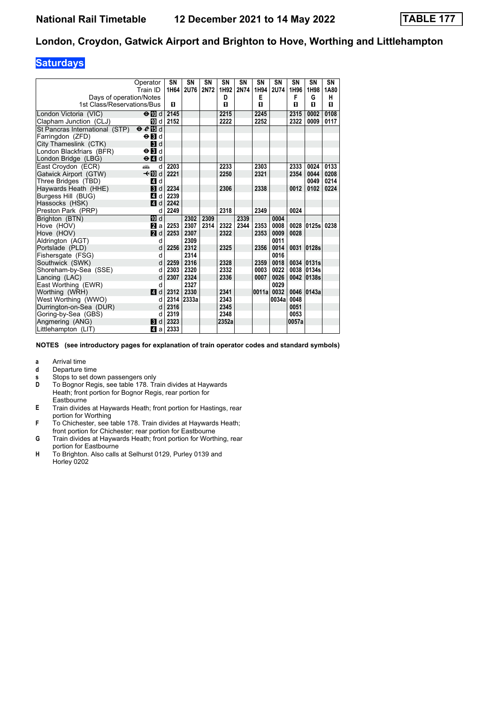# **Saturdays**

|                                | Operator                                        | SN   | SN          | SN          | SN    | SN   | SN    | <b>SN</b>   | SN    | SN              | SN   |
|--------------------------------|-------------------------------------------------|------|-------------|-------------|-------|------|-------|-------------|-------|-----------------|------|
|                                | Train ID                                        | 1H64 | <b>2U76</b> | <b>2N72</b> | 1H92  | 2N74 | 1H94  | <b>2U74</b> | 1H96  | 1H98            | 1A80 |
| Days of operation/Notes        |                                                 |      |             |             | D     |      | Е     |             | F     | G               | н    |
| 1st Class/Reservations/Bus     |                                                 | п    |             |             | п     |      | п     |             | п     | п               | п    |
| London Victoria (VIC)          | $\Theta$ M d                                    | 2145 |             |             | 2215  |      | 2245  |             | 2315  | 0002            | 0108 |
| Clapham Junction (CLJ)         | III d                                           | 2152 |             |             | 2222  |      | 2252  |             | 2322  | 0009            | 0117 |
| St Pancras International (STP) | $eE$ is d                                       |      |             |             |       |      |       |             |       |                 |      |
| Farringdon (ZFD)               | $\Theta$ <b>E</b>                               |      |             |             |       |      |       |             |       |                 |      |
| City Thameslink (CTK)          | $\blacksquare$                                  |      |             |             |       |      |       |             |       |                 |      |
| London Blackfriars (BFR)       | $\Theta$ $\blacksquare$ d                       |      |             |             |       |      |       |             |       |                 |      |
| London Bridge (LBG)            | $\Theta$ <sup><math>\blacksquare</math> d</sup> |      |             |             |       |      |       |             |       |                 |      |
| East Croydon (ECR)             | aîn<br>d                                        | 2203 |             |             | 2233  |      | 2303  |             | 2333  | 0024            | 0133 |
| Gatwick Airport (GTW)          | <b>√</b> IIId                                   | 2221 |             |             | 2250  |      | 2321  |             | 2354  | 0044            | 0208 |
| Three Bridges (TBD)            | ZI d                                            |      |             |             |       |      |       |             |       | 0049            | 0214 |
| Haywards Heath (HHE)           | $\blacksquare$                                  | 2234 |             |             | 2306  |      | 2338  |             | 0012  | 0102            | 0224 |
| Burgess Hill (BUG)             | 4 d                                             | 2239 |             |             |       |      |       |             |       |                 |      |
| Hassocks (HSK)                 | ZI d                                            | 2242 |             |             |       |      |       |             |       |                 |      |
| Preston Park (PRP)             | d                                               | 2249 |             |             | 2318  |      | 2349  |             | 0024  |                 |      |
| Brighton (BTN)                 | <b>ID</b> d                                     |      | 2302        | 2309        |       | 2339 |       | 0004        |       |                 |      |
| Hove (HOV)                     | <b>и</b> а                                      | 2253 | 2307        | 2314        | 2322  | 2344 | 2353  | 0008        |       | 0028 0125s 0238 |      |
| Hove (HOV)                     | $\blacksquare$ d                                | 2253 | 2307        |             | 2322  |      | 2353  | 0009        | 0028  |                 |      |
| Aldrington (AGT)               | d                                               |      | 2309        |             |       |      |       | 0011        |       |                 |      |
| Portslade (PLD)                | d                                               | 2256 | 2312        |             | 2325  |      | 2356  | 0014        |       | 0031 0128s      |      |
| Fishersgate (FSG)              | d                                               |      | 2314        |             |       |      |       | 0016        |       |                 |      |
| Southwick (SWK)                | d                                               | 2259 | 2316        |             | 2328  |      | 2359  | 0018        |       | 0034 0131s      |      |
| Shoreham-by-Sea (SSE)          | d                                               | 2303 | 2320        |             | 2332  |      | 0003  | 0022        |       | 0038 0134s      |      |
| Lancing (LAC)                  | d                                               | 2307 | 2324        |             | 2336  |      | 0007  | 0026        |       | 0042 0138s      |      |
| East Worthing (EWR)            | d                                               |      | 2327        |             |       |      |       | 0029        |       |                 |      |
| Worthing (WRH)                 | ZI d                                            | 2312 | 2330        |             | 2341  |      | 0011a | 0032        |       | 0046 0143a      |      |
| West Worthing (WWO)            | d                                               | 2314 | 2333a       |             | 2343  |      |       | 0034a       | 0048  |                 |      |
| Durrington-on-Sea (DUR)        | d                                               | 2316 |             |             | 2345  |      |       |             | 0051  |                 |      |
| Goring-by-Sea (GBS)            | d                                               | 2319 |             |             | 2348  |      |       |             | 0053  |                 |      |
| Angmering (ANG)                | BI d                                            | 2323 |             |             | 2352a |      |       |             | 0057a |                 |      |
| Littlehampton (LIT)            | ZI al                                           | 2333 |             |             |       |      |       |             |       |                 |      |

- **a** Arrival time<br>**d** Departure t
- **d** Departure time
- **s** Stops to set down passengers only
- **D** To Bognor Regis, see table 178. Train divides at Haywards Heath, front portion for Bognor Regis, rear portion for **Eastbourne**
- **E** Train divides at Haywards Heath; front portion for Hastings, rear portion for Worthing
- **F** To Chichester, see table 178. Train divides at Haywards Heath; front portion for Chichester; rear portion for Eastbourne
- **G** Train divides at Haywards Heath; front portion for Worthing, rear portion for Eastbourne
- **H** To Brighton. Also calls at Selhurst 0129, Purley 0139 and Horley 0202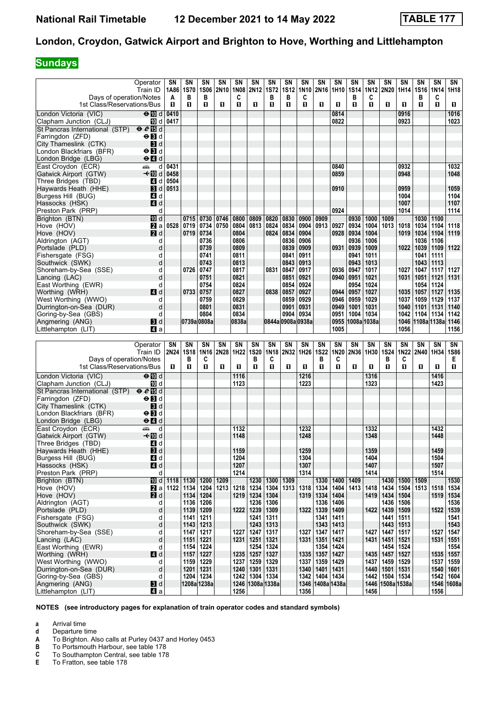# **Sundays**

|                                                               | Operator<br>Train ID                    | SN<br>1A86   | SN<br><b>1S70</b>   | SN<br><b>1S06</b> | SΝ<br>2N10 | SΝ<br>1N08   | SN<br>2N12                 | SN<br><b>1S72</b> | SΝ<br><b>1S12</b> | SΝ<br>1N10   | SΝ<br>2N16 1H10 | SN           | SN<br><b>1S14</b> | SΝ<br>1N12   | SΝ<br>2N20   | SN<br>1H14   | SN<br>1S16       | SN<br>1N14          | SN<br>1H18   |
|---------------------------------------------------------------|-----------------------------------------|--------------|---------------------|-------------------|------------|--------------|----------------------------|-------------------|-------------------|--------------|-----------------|--------------|-------------------|--------------|--------------|--------------|------------------|---------------------|--------------|
| Days of operation/Notes<br>1st Class/Reservations/Bus         |                                         | A<br>O.      | в<br>п              | в<br>п            | O          | C<br>п       | п                          | в<br>п            | в<br>O            | C<br>п       | п               | O.           | в<br>п            | C<br>O       | П            | п            | в<br>п           | C<br>п              | 0            |
| London Victoria (VIC)                                         | $\Theta$ M d                            | 0410         |                     |                   |            |              |                            |                   |                   |              |                 | 0814         |                   |              |              | 0916         |                  |                     | 1016         |
| Clapham Junction (CLJ)                                        | 10 d                                    | 0417         |                     |                   |            |              |                            |                   |                   |              |                 | 0822         |                   |              |              | 0923         |                  |                     | 1023         |
| St Pancras International (STP) $\theta \ell$ <sup>1</sup> 8 d |                                         |              |                     |                   |            |              |                            |                   |                   |              |                 |              |                   |              |              |              |                  |                     |              |
| Farringdon (ZFD)                                              | $\Theta$ $\blacksquare$ d               |              |                     |                   |            |              |                            |                   |                   |              |                 |              |                   |              |              |              |                  |                     |              |
| City Thameslink (CTK)                                         | <b>3</b> d                              |              |                     |                   |            |              |                            |                   |                   |              |                 |              |                   |              |              |              |                  |                     |              |
| London Blackfriars (BFR)                                      | $\Theta$ $\blacksquare$ d               |              |                     |                   |            |              |                            |                   |                   |              |                 |              |                   |              |              |              |                  |                     |              |
| London Bridge (LBG)                                           | $\Theta$ $\blacksquare$ d               |              |                     |                   |            |              |                            |                   |                   |              |                 |              |                   |              |              |              |                  |                     |              |
| East Croydon (ECR)<br>Gatwick Airport (GTW)                   | پیشته<br>d<br>–≁Mid                     | 0431<br>0458 |                     |                   |            |              |                            |                   |                   |              |                 | 0840<br>0859 |                   |              |              | 0932<br>0948 |                  |                     | 1032<br>1048 |
| Three Bridges (TBD)                                           | $\overline{A}$<br>d                     | 0504         |                     |                   |            |              |                            |                   |                   |              |                 |              |                   |              |              |              |                  |                     |              |
| Havwards Heath (HHE)                                          | <b>B</b> d                              | 0513         |                     |                   |            |              |                            |                   |                   |              |                 | 0910         |                   |              |              | 0959         |                  |                     | 1059         |
| Burgess Hill (BUG)                                            | 4 d                                     |              |                     |                   |            |              |                            |                   |                   |              |                 |              |                   |              |              | 1004         |                  |                     | 1104         |
| Hassocks (HSK)                                                | 4d                                      |              |                     |                   |            |              |                            |                   |                   |              |                 |              |                   |              |              | 1007         |                  |                     | 1107         |
| Preston Park (PRP)                                            | d                                       |              |                     |                   |            |              |                            |                   |                   |              |                 | 0924         |                   |              |              | 1014         |                  |                     | 1114         |
| Brighton (BTN)                                                | <b>ID</b> d                             |              | 0715                | 0730              | 0746       | 0800         | 0809                       | 0820              | 0830              | 0900         | 0909            |              | 0930              | 1000         | 1009         |              | 1030             | 1100                |              |
| Hove (HOV)                                                    | 2a                                      | 0528         | 0719                | 0734              | 0750       | 0804         | 0813                       | 0824              | 0834              | 0904         | 0913            | 0927         | 0934              | 1004         | 1013         | 1018         | 1034             | 1104                | 1118         |
| Hove (HOV)                                                    | 2d                                      |              | 0719                | 0734              |            | 0804         |                            | 0824              | 0834              | 0904         |                 | 0928         | 0934              | 1004         |              | 1019         | 1034             | 1104                | 1119         |
| Aldrington (AGT)<br>Portslade (PLD)                           | d<br>d                                  |              |                     | 0736<br>0739      |            | 0806<br>0809 |                            |                   | 0836<br>0839      | 0906<br>0909 |                 | 0931         | 0936<br>0939      | 1006<br>1009 |              | 1022         | 1036<br>1039     | 1106<br>1109        | 1122         |
| Fishersgate (FSG)                                             | d                                       |              |                     | 0741              |            | 0811         |                            |                   | 0841              | 0911         |                 |              | 0941              | 1011         |              |              | 1041             | 1111                |              |
| Southwick (SWK)                                               | d                                       |              |                     | 0743              |            | 0813         |                            |                   | 0843              | 0913         |                 |              | 0943              | 1013         |              |              | 1043             | 1113                |              |
| Shoreham-by-Sea (SSE)                                         | d                                       |              | 0726                | 0747              |            | 0817         |                            | 0831              | 0847              | 0917         |                 | 0936         | 0947              | 1017         |              | 1027         | 1047             | 1117                | 1127         |
| Lancing (LAC)                                                 | d                                       |              |                     | 0751              |            | 0821         |                            |                   | 0851              | 0921         |                 | 0940         | 0951              | 1021         |              | 1031         | 1051             | 1121                | 1131         |
| East Worthing (EWR)                                           | d                                       |              |                     | 0754              |            | 0824         |                            |                   | 0854              | 0924         |                 |              | 0954              | 1024         |              |              | 1054             | 1124                |              |
| Worthing (WRH)                                                | 4d                                      |              | 0733                | 0757              |            | 0827         |                            | 0838              | 0857              | 0927         |                 | 0944         | 0957              | 1027         |              | 1035         | 1057             | 1127                | 1135         |
| West Worthing (WWO)                                           | d                                       |              |                     | 0759              |            | 0829         |                            |                   | 0859              | 0929         |                 | 0946         | 0959              | 1029         |              | 1037         | 1059             | 1129                | 1137         |
| Durrington-on-Sea (DUR)<br>Goring-by-Sea (GBS)                | d<br>d                                  |              |                     | 0801<br>0804      |            | 0831<br>0834 |                            |                   | 0901<br>0904      | 0931<br>0934 |                 | 0949<br>0951 | 1001<br>1004      | 1031<br>1034 |              | 1040<br>1042 | 1101<br>1104     | 1131<br>1134        | 1140<br>1142 |
| Angmering (ANG)                                               | 3d                                      |              | 0739a 0808a         |                   |            | 0838a        |                            | 0844a 0908a 0938a |                   |              |                 | 0955         |                   | 1008a 1038a  |              |              | 1046 1108a 1138a |                     | 1146         |
| Littlehampton (LIT)                                           | ZI a                                    |              |                     |                   |            |              |                            |                   |                   |              |                 | 1005         |                   |              |              | 1056         |                  |                     | 1156         |
|                                                               |                                         |              |                     |                   |            |              |                            |                   |                   |              |                 |              |                   |              |              |              |                  |                     |              |
|                                                               |                                         |              |                     |                   |            |              |                            |                   |                   |              |                 |              |                   |              |              |              |                  |                     |              |
|                                                               | Operator                                | SN           | SN                  | SN                | SN         | SN           | <b>SN</b>                  | <b>SN</b>         | <b>SN</b>         | SΝ           | SΝ              | <b>SN</b>    | SN                | SN           | SΝ           | <b>SN</b>    | SN               | <b>SN</b>           | SN           |
|                                                               | Train ID                                | 2N24         | <b>1S18</b>         | 1N16              | 2N28       | 1H22         | <b>1S20</b>                | 1N18              | 2N32              | 1H26         | <b>1S22</b>     | 1N20         | 2N36              | 1H30         | <b>1S24</b>  | 1N22         | 2N40             | 1H34                | <b>1S86</b>  |
| Days of operation/Notes                                       |                                         |              | в                   | C                 |            |              | в                          | C                 |                   |              | в               | C            |                   |              | в            | C            |                  |                     | Е            |
| 1st Class/Reservations/Bus                                    |                                         | O.           | 0                   | п                 | O          | п            | O                          | О                 | П                 | O.           | п               | O            | O                 | O            | O            | п            | п                | O                   | O            |
| London Victoria (VIC)                                         | $\Theta$ M d                            |              |                     |                   |            | 1116         |                            |                   |                   | 1216         |                 |              |                   | 1316         |              |              |                  | 1416                |              |
| Clapham Junction (CLJ)                                        | 100 d                                   |              |                     |                   |            | 1123         |                            |                   |                   | 1223         |                 |              |                   | 1323         |              |              |                  | 1423                |              |
| St Pancras International (STP)                                | eE                                      |              |                     |                   |            |              |                            |                   |                   |              |                 |              |                   |              |              |              |                  |                     |              |
| Farringdon (ZFD)                                              | $\Theta$ $\blacksquare$ d               |              |                     |                   |            |              |                            |                   |                   |              |                 |              |                   |              |              |              |                  |                     |              |
| City Thameslink (CTK)                                         | $\mathbf{3}$ d                          |              |                     |                   |            |              |                            |                   |                   |              |                 |              |                   |              |              |              |                  |                     |              |
| London Blackfriars (BFR)                                      | $\Theta$ $\blacksquare$                 |              |                     |                   |            |              |                            |                   |                   |              |                 |              |                   |              |              |              |                  |                     |              |
| London Bridge (LBG)<br>East Croydon (ECR)                     | $\Theta$ $\blacksquare$ d<br>پیشته<br>d |              |                     |                   |            | 1132         |                            |                   |                   | 1232         |                 |              |                   | 1332         |              |              |                  | 1432                |              |
| Gatwick Airport (GTW)                                         | <b>√</b> IIId                           |              |                     |                   |            | 1148         |                            |                   |                   | 1248         |                 |              |                   | 1348         |              |              |                  | 1448                |              |
| Three Bridges (TBD)                                           | 4 d                                     |              |                     |                   |            |              |                            |                   |                   |              |                 |              |                   |              |              |              |                  |                     |              |
| Haywards Heath (HHE)                                          | $\mathbf{B}$ d                          |              |                     |                   |            | 1159         |                            |                   |                   | 1259         |                 |              |                   | 1359         |              |              |                  | 1459                |              |
| Burgess Hill (BUG)                                            | 4 d                                     |              |                     |                   |            | 1204         |                            |                   |                   | 1304         |                 |              |                   | 1404         |              |              |                  | 1504                |              |
| Hassocks (HSK)                                                | 4d                                      |              |                     |                   |            | 1207         |                            |                   |                   | 1307         |                 |              |                   | 1407         |              |              |                  | 1507                |              |
| Preston Park (PRP)                                            | d                                       |              |                     |                   |            | 1214         |                            |                   |                   | 1314         |                 |              |                   | 1414         |              |              |                  | 1514                |              |
| Brighton (BTN)                                                |                                         | 10 d   1118  | 1130                | 1200              | 1209       |              |                            | 1230   1300       | 1309              |              | 1330            | 1400         | 1409              |              | 1430         | 1500         | 1509             |                     | 1530         |
| Hove (HOV)                                                    | $\mathbf{z}$ a                          | 1122         | 1134                | 1204              | 1213       | 1218         | 1234                       | 1304              | 1313              | 1318         | 1334            | 1404         | 1413              | 1418         | 1434         | 1504         | 1513             | 1518                | 1534         |
| Hove (HOV)<br>Aldrington (AGT)                                | 2d<br>d                                 |              | 1134   1204<br>1136 | 1206              |            | 1219         | 1234<br>1236               | 1304<br>1306      |                   | 1319         | 1334<br>1336    | 1404<br>1406 |                   | 1419         | 1434<br>1436 | 1504<br>1506 |                  | 1519   1534         | 1536         |
| Portslade (PLD)                                               | d                                       |              | 1139                | 1209              |            | 1222         | 1239                       | 1309              |                   | 1322         | 1339            | 1409         |                   | 1422         | 1439         | 1509         |                  | 1522                | 1539         |
| Fishersgate (FSG)                                             | d                                       |              | 1141                | 1211              |            |              | 1241                       | 1311              |                   |              | 1341            | 1411         |                   |              | 1441         | 1511         |                  |                     | 1541         |
| Southwick (SWK)                                               | d                                       |              | 1143                | 1213              |            |              | $1243$   1313              |                   |                   |              | 1343            | 1413         |                   |              | 1443         | 1513         |                  |                     | 1543         |
| Shoreham-by-Sea (SSE)                                         | d                                       |              | 1147   1217         |                   |            | 1227         | 1247 1317                  |                   |                   | 1327         | 1347            | 1417         |                   | 1427         | 1447         | 1517         |                  | 1527                | 1547         |
| Lancing (LAC)                                                 | d                                       |              | 1151                | 1221              |            | 1231         | 1251                       | 1321              |                   | 1331         | 1351            | 1421         |                   | 1431         | 1451         | 1521         |                  | 1531                | 1551         |
| East Worthing (EWR)                                           | d                                       |              | 1154                | 1224              |            |              | 1254                       | 1324              |                   |              | 1354            | 1424         |                   |              | 1454         | 1524         |                  |                     | 1554         |
| Worthing (WRH)                                                | 4d                                      |              | 1157                | 1227              |            | 1235         | 1257                       | 1327              |                   | 1335         | 1357            | 1427         |                   | 1435         | 1457         | 1527         |                  | 1535                | 1557         |
| West Worthing (WWO)<br>Durrington-on-Sea (DUR)                | d<br>d                                  |              | 1159<br>1201        | 1229<br>1231      |            | 1237<br>1240 | 1259 1329<br>$1301$   1331 |                   |                   | 1337<br>1340 | 1359<br>1401    | 1429<br>1431 |                   | 1437<br>1440 | 1459<br>1501 | 1529<br>1531 |                  | 1537<br>1540   1601 | 1559         |
| Goring-by-Sea (GBS)                                           | d                                       |              | 1204                | 1234              |            | 1242         | 1304   1334                |                   |                   | 1342         | 1404            | 1434         |                   | 1442         |              | 1504 1534    |                  | 1542 1604           |              |
| Angmering (ANG)<br>Littlehampton (LIT)                        | 3d<br>41 a                              |              | 1208a 1238a         |                   |            | 1256         |                            | 1246 1308a 1338a  |                   | 1346<br>1356 | 1408a 1438a     |              |                   | 1446<br>1456 |              | 1508a 1538a  |                  | 1556                | 1546 1608a   |

- **a** Arrival time
- **d** Departure time<br>**A** To Brighton. Als
- **A** To Brighton. Also calls at Purley 0437 and Horley 0453<br>**B** To Portsmouth Harbour, see table 178
- **B** To Portsmouth Harbour, see table 178<br>**C** To Southampton Central, see table 178
- **C** To Southampton Central, see table 178<br>**E** To Fratton, see table 178
- To Fratton, see table 178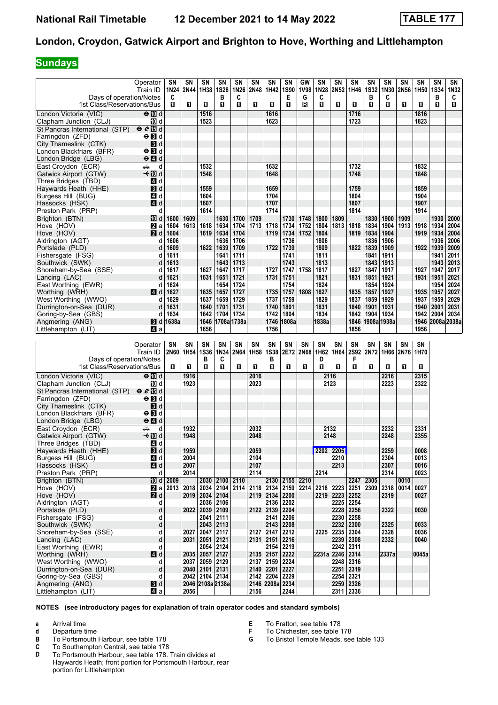# **Sundays**

|                                                  | Operator                  | SN        | SN                 | <b>SN</b>      | SN               | SΝ           | SΝ          | SN              | SN          | GW   | SΝ        | SΝ              | SN          | SN          | SN               | SN   | SΝ               | SN          | SΝ   |
|--------------------------------------------------|---------------------------|-----------|--------------------|----------------|------------------|--------------|-------------|-----------------|-------------|------|-----------|-----------------|-------------|-------------|------------------|------|------------------|-------------|------|
|                                                  | Train ID                  | 1N24      | 2N44               | 1H38           | <b>1S28</b>      | 1N26         | <b>2N48</b> | 1H42            | <b>1S90</b> | 1V98 |           | 1N28 2N52 1H46  |             | <b>1S32</b> | 1N30             | 2N56 | 1H <sub>50</sub> | <b>1S34</b> | 1N32 |
| Days of operation/Notes                          |                           | C         |                    |                | в                | C            |             |                 | Е           | G    | C         |                 |             | в           | C                |      |                  | B           | C    |
| 1st Class/Reservations/Bus                       |                           | П.        | п                  | п              | O                | $\mathbf{u}$ | п           | п               | П           | в    | O.        | п               | П           | 0           | O.               | п    | п                | O           | П    |
| London Victoria (VIC)                            | $\Theta$ M d              |           |                    | 1516           |                  |              |             | 1616            |             |      |           |                 | 1716        |             |                  |      | 1816             |             |      |
|                                                  |                           |           |                    |                |                  |              |             |                 |             |      |           |                 |             |             |                  |      |                  |             |      |
| Clapham Junction (CLJ)                           | TO d                      |           |                    | 1523           |                  |              |             | 1623            |             |      |           |                 | 1723        |             |                  |      | 1823             |             |      |
| St Pancras International (STP) $\theta \ell$ 個 d |                           |           |                    |                |                  |              |             |                 |             |      |           |                 |             |             |                  |      |                  |             |      |
| Farringdon (ZFD)                                 | $\Theta$ $\blacksquare$ d |           |                    |                |                  |              |             |                 |             |      |           |                 |             |             |                  |      |                  |             |      |
| City Thameslink (CTK)                            | 3d                        |           |                    |                |                  |              |             |                 |             |      |           |                 |             |             |                  |      |                  |             |      |
| London Blackfriars (BFR)                         | $\Theta$ $\blacksquare$ d |           |                    |                |                  |              |             |                 |             |      |           |                 |             |             |                  |      |                  |             |      |
| London Bridge (LBG)                              | $\Theta$ $\blacksquare$ d |           |                    |                |                  |              |             |                 |             |      |           |                 |             |             |                  |      |                  |             |      |
| East Croydon (ECR)                               | d<br>پیش                  |           |                    | 1532           |                  |              |             | 1632            |             |      |           |                 | 1732        |             |                  |      | 1832             |             |      |
| Gatwick Airport (GTW)                            | –t∙l∏0 d                  |           |                    | 1548           |                  |              |             | 1648            |             |      |           |                 | 1748        |             |                  |      | 1848             |             |      |
| Three Bridges (TBD)                              | 4 d                       |           |                    |                |                  |              |             |                 |             |      |           |                 |             |             |                  |      |                  |             |      |
| Haywards Heath (HHE)                             | 3d                        |           |                    | 1559           |                  |              |             | 1659            |             |      |           |                 | 1759        |             |                  |      | 1859             |             |      |
|                                                  |                           |           |                    |                |                  |              |             | 1704            |             |      |           |                 | 1804        |             |                  |      | 1904             |             |      |
| Burgess Hill (BUG)                               | 4 d                       |           |                    | 1604           |                  |              |             |                 |             |      |           |                 |             |             |                  |      |                  |             |      |
| Hassocks (HSK)                                   | 4d                        |           |                    | 1607           |                  |              |             | 1707            |             |      |           |                 | 1807        |             |                  |      | 1907             |             |      |
| Preston Park (PRP)                               | d                         |           |                    | 1614           |                  |              |             | 1714            |             |      |           |                 | 1814        |             |                  |      | 1914             |             |      |
| Brighton (BTN)                                   | <b>ID</b> d               | 1600      | 1609               |                | 1630             | 1700         | 1709        |                 | 1730        | 1748 | 1800      | 1809            |             | 1830        | 1900             | 1909 |                  | 1930        | 2000 |
| Hove (HOV)                                       | 2a                        | 1604      | 1613               | 1618           | 1634             | 1704         | 1713        | 1718            | 1734        | 1752 | 1804      | 1813            | 1818        | 1834        | 1904             | 1913 | 1918             | 1934        | 2004 |
| Hove (HOV)                                       | 2d                        | 1604      |                    | 1619           | 1634             | 1704         |             | 1719            | 1734        | 1752 | 1804      |                 | 1819        | 1834        | 1904             |      | 1919             | 1934        | 2004 |
| Aldrington (AGT)                                 | d                         | 1606      |                    |                | 1636             | 1706         |             |                 | 1736        |      | 1806      |                 |             | 1836        | 1906             |      |                  | 1936        | 2006 |
| Portslade (PLD)                                  | d                         | 1609      |                    | 1622           | 1639             | 1709         |             | 1722            | 1739        |      | 1809      |                 | 1822        | 1839        | 1909             |      | 1922             | 1939        | 2009 |
| Fishersgate (FSG)                                |                           | 1611      |                    |                |                  | 1711         |             |                 | 1741        |      | 1811      |                 |             |             | 1911             |      |                  |             | 2011 |
|                                                  | d                         |           |                    |                | 1641             |              |             |                 |             |      |           |                 |             | 1841        |                  |      |                  | 1941        |      |
| Southwick (SWK)                                  | d                         | 1613      |                    |                | 1643             | 1713         |             |                 | 1743        |      | 1813      |                 |             | 1843        | 1913             |      |                  | 1943        | 2013 |
| Shoreham-by-Sea (SSE)                            | d                         | 1617      |                    | 1627           | 1647             | 1717         |             | 1727            | 1747        | 1758 | 1817      |                 | 1827        | 1847        | 1917             |      | 1927             | 1947        | 2017 |
| Lancing (LAC)                                    | d                         | 1621      |                    | 1631           | 1651             | 1721         |             | 1731            | 1751        |      | 1821      |                 | 1831        | 1851        | 1921             |      | 1931             | 1951        | 2021 |
| East Worthing (EWR)                              | d                         | 1624      |                    |                | 1654             | 1724         |             |                 | 1754        |      | 1824      |                 |             | 1854        | 1924             |      |                  | 1954        | 2024 |
| Worthing (WRH)                                   | 4 d                       | 1627      |                    | 1635           | 1657             | 1727         |             | 1735            | 1757        | 1808 | 1827      |                 | 1835        | 1857        | 1927             |      | 1935             | 1957        | 2027 |
| West Worthing (WWO)                              | d                         | 1629      |                    | 1637           | 1659             | 1729         |             | 1737            | 1759        |      | 1829      |                 | 1837        | 1859        | 1929             |      | 1937             | 1959        | 2029 |
| Durrington-on-Sea (DUR)                          | d                         | 1631      |                    | 1640           | 1701             | 1731         |             | 1740            | 1801        |      | 1831      |                 | 1840        | 1901        | 1931             |      | 1940             | 2001        | 2031 |
| Goring-by-Sea (GBS)                              | d                         | 1634      |                    | 1642           | 1704             | 1734         |             | 1742            | 1804        |      | 1834      |                 | 1842        | 1904        | 1934             |      | 1942             | 2004        | 2034 |
| Angmering (ANG)                                  | 3d                        | 1638a     |                    | 1646           | 1708a 1738a      |              |             |                 | 1746 1808a  |      | 1838a     |                 |             |             | 1846 1908a 1938a |      | 1946             | 2008a 2038a |      |
| Littlehampton (LIT)                              | ZI a                      |           |                    | 1656           |                  |              |             | 1756            |             |      |           |                 | 1856        |             |                  |      | 1956             |             |      |
|                                                  |                           |           |                    |                |                  |              |             |                 |             |      |           |                 |             |             |                  |      |                  |             |      |
|                                                  |                           |           |                    |                |                  |              |             |                 |             |      |           |                 |             |             |                  |      |                  |             |      |
|                                                  |                           |           |                    |                |                  |              |             |                 |             |      |           |                 |             |             |                  |      |                  |             |      |
|                                                  | Operator                  | SN        | SN                 | SN             | SN               | SN           | SN          | SN              | SN          | SΝ   | SN        | SΝ              | SN          | SN          | SN               | SN   | SN               |             |      |
|                                                  | Train ID                  |           | 2N60   1H54   1S36 |                | 1N34             | 2N64         | 1H58        | <b>1S38</b>     | 2E72        | 2N68 |           | 1H62 1H64 2S92  |             | 2N72        | 1H66             | 2N76 | 1H70             |             |      |
| Days of operation/Notes                          |                           |           |                    | в              | C                |              |             | в               |             |      | D         |                 | F           |             |                  |      |                  |             |      |
| 1st Class/Reservations/Bus                       |                           | П.        | O                  | O              | п                | п            | П           | п               | П           | O    | O         | п               | П           | 0           | П                | п    | п                |             |      |
|                                                  |                           |           |                    |                |                  |              |             |                 |             |      |           |                 |             |             |                  |      |                  |             |      |
| London Victoria (VIC)                            | ⊖n∏d                      |           | 1916               |                |                  |              | 2016        |                 |             |      |           | 2116            |             |             | 2216             |      | 2315             |             |      |
| Clapham Junction (CLJ)                           | TO d                      |           | 1923               |                |                  |              | 2023        |                 |             |      |           | 2123            |             |             | 2223             |      | 2322             |             |      |
| St Pancras International (STP)                   | eE                        |           |                    |                |                  |              |             |                 |             |      |           |                 |             |             |                  |      |                  |             |      |
| Farringdon (ZFD)                                 | $\Theta$ $\blacksquare$ d |           |                    |                |                  |              |             |                 |             |      |           |                 |             |             |                  |      |                  |             |      |
| City Thameslink (CTK)                            | 3d                        |           |                    |                |                  |              |             |                 |             |      |           |                 |             |             |                  |      |                  |             |      |
| London Blackfriars (BFR)                         | $\Theta$ $\blacksquare$ d |           |                    |                |                  |              |             |                 |             |      |           |                 |             |             |                  |      |                  |             |      |
|                                                  | $\Theta$ $\blacksquare$ d |           |                    |                |                  |              |             |                 |             |      |           |                 |             |             |                  |      |                  |             |      |
| London Bridge (LBG)                              |                           |           |                    |                |                  |              |             |                 |             |      |           |                 |             |             |                  |      |                  |             |      |
| East Croydon (ECR)                               | يشبه<br>d                 |           | 1932               |                |                  |              | 2032        |                 |             |      |           | 2132            |             |             | 2232             |      | 2331             |             |      |
| Gatwick Airport (GTW)                            | ←III d                    |           | 1948               |                |                  |              | 2048        |                 |             |      |           | 2148            |             |             | 2248             |      | 2355             |             |      |
| Three Bridges (TBD)                              | 4 d                       |           |                    |                |                  |              |             |                 |             |      |           |                 |             |             |                  |      |                  |             |      |
| Haywards Heath (HHE)                             | $\mathbf{B}$ d            |           | 1959               |                |                  |              | 2059        |                 |             |      | 2202 2205 |                 |             |             | 2259             |      | 0008             |             |      |
| Burgess Hill (BUG)                               | 41 d                      |           | 2004               |                |                  |              | 2104        |                 |             |      |           | 2210            |             |             | 2304             |      | 0013             |             |      |
| Hassocks (HSK)                                   | $\blacksquare$ d          |           | 2007               |                |                  |              | 2107        |                 |             |      |           | 2213            |             |             | 2307             |      | 0016             |             |      |
| Preston Park (PRP)                               | d                         |           | 2014               |                |                  |              | 2114        |                 |             |      | 2214      |                 |             |             | 2314             |      | 0023             |             |      |
| Brighton (BTN)                                   |                           | 10 d 2009 |                    |                | 2030 2100 2110   |              |             |                 | 2130 2155   | 2210 |           |                 | 2247        | 2305        |                  | 0010 |                  |             |      |
|                                                  |                           |           |                    |                |                  |              |             |                 |             |      |           |                 |             | 2309        |                  | 0014 |                  |             |      |
| Hove (HOV)                                       | Zа                        | 2013      | 2018               | 2019 2034 2104 | 2034 2104 2114   |              | 2118        | 2134 2159       |             | 2214 |           | 2218 2223 2251  |             |             | 2318             |      | 0027<br>0027     |             |      |
| Hove (HOV)                                       | 2d                        |           |                    |                |                  |              |             | 2119 2134 2200  |             |      |           | 2219 2223       | 2252        |             | 2319             |      |                  |             |      |
| Aldrington (AGT)                                 | d                         |           |                    |                | 2036 2106        |              |             | 2136   2202     |             |      |           | 2225 2254       |             |             |                  |      |                  |             |      |
| Portslade (PLD)                                  | d                         |           |                    | 2022 2039 2109 |                  |              |             | 2122 2139 2204  |             |      |           |                 | 2228 2256   |             | 2322             |      | 0030             |             |      |
| Fishersgate (FSG)                                | d                         |           |                    |                | 2041 2111        |              |             | 2141 2206       |             |      |           |                 | 2230 2258   |             |                  |      |                  |             |      |
| Southwick (SWK)                                  | d                         |           |                    |                | $2043$ 2113      |              |             |                 | 2143   2208 |      |           |                 | 2232 2300   |             | 2325             |      | 0033             |             |      |
| Shoreham-by-Sea (SSE)                            | d                         |           | 2027               | 2047 2117      |                  |              |             | 2127 2147 2212  |             |      |           | 2225 2235 2304  |             |             | 2328             |      | 0036             |             |      |
| Lancing (LAC)                                    | d                         |           | 2031               | 2051 2121      |                  |              |             | 2131 2151 2216  |             |      |           | 2239 2308       |             |             | 2332             |      | 0040             |             |      |
| East Worthing (EWR)                              | d                         |           |                    |                | 2054 2124        |              |             | 2154 2219       |             |      |           |                 | 2242 2311   |             |                  |      |                  |             |      |
| Worthing (WRH)                                   | 4d                        |           |                    | 2035 2057 2127 |                  |              |             | $2135$   2157   | 2222        |      |           | 2231a 2246 2314 |             |             | 2337a            |      | 0045a            |             |      |
| West Worthing (WWO)                              | d                         |           | 2037               | 2059 2129      |                  |              |             | 2137 2159 2224  |             |      |           |                 | 2248   2316 |             |                  |      |                  |             |      |
| Durrington-on-Sea (DUR)                          | d                         |           |                    | 2040 2101 2131 |                  |              |             | $2140$   2201   | 2227        |      |           |                 | 2251 2319   |             |                  |      |                  |             |      |
| Goring-by-Sea (GBS)                              | d                         |           |                    | 2042 2104 2134 |                  |              |             | 2142 2204 2229  |             |      |           |                 | 2254 2321   |             |                  |      |                  |             |      |
| Angmering (ANG)                                  | 3d                        |           |                    |                | 2046 2108a 2138a |              |             | 2146 2208a 2234 |             |      |           |                 | 2259 2326   |             |                  |      |                  |             |      |

- **a** Arrival time
- **d** Departure time<br>**B** To Portsmouth
- **B** To Portsmouth Harbour, see table 178<br>**C** To Southampton Central, see table 178
- 
- **E** To Fratton, see table 178
- **F** To Chichester, see table 178<br>**G** To Bristol Temple Meads, see
- To Bristol Temple Meads, see table 133
- **C** To Southampton Central, see table 178<br>**D** To Portsmouth Harbour, see table 178. To Portsmouth Harbour, see table 178. Train divides at Haywards Heath; front portion for Portsmouth Harbour, rear portion for Littlehampton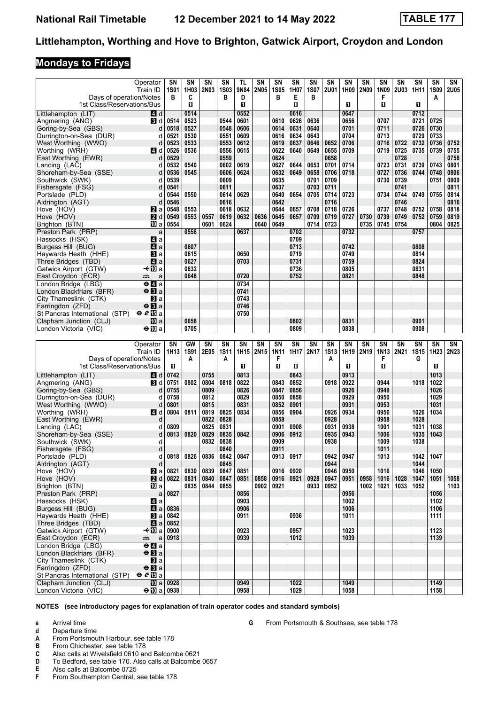#### **Mondays to Fridays**

|                                                          | Operator                                    | SΝ                      | SΝ           | SN           | SN               | TL           | SN          | SN               | SN           | SN               | SN           | SN           | SN          | SN                | SN          | SN           | SN               | SN          |
|----------------------------------------------------------|---------------------------------------------|-------------------------|--------------|--------------|------------------|--------------|-------------|------------------|--------------|------------------|--------------|--------------|-------------|-------------------|-------------|--------------|------------------|-------------|
| Days of operation/Notes                                  | Train ID                                    | <b>1S01</b><br>в        | 1H03<br>C    | <b>2N03</b>  | <b>1S03</b><br>в | 9N84<br>D    | <b>2N05</b> | <b>1S05</b><br>в | 1H07<br>Е    | <b>1S07</b><br>в | <b>2U01</b>  | 1H09         | <b>2N09</b> | 1N09<br>F         | <b>2U03</b> | 1H11         | <b>1S09</b><br>А | <b>2U05</b> |
| 1st Class/Reservations/Bus                               |                                             |                         | O.           |              |                  | п            |             |                  | O            |                  |              | O.           |             | O.                |             | п            |                  |             |
| Littlehampton (LIT)                                      | 4 d                                         |                         | 0514         |              |                  | 0552         |             |                  | 0616         |                  |              | 0647         |             |                   |             | 0712         |                  |             |
| Angmering (ANG)                                          | <b>B</b> d                                  | 0514                    | 0523         |              | 0544             | 0601         |             | 0610             | 0626         | 0636             |              | 0656         |             | 0707              |             | 0721         | 0725             |             |
| Goring-by-Sea (GBS)                                      | d                                           | 0518                    | 0527         |              | 0548             | 0606<br>0609 |             | 0614             | 0631         | 0640<br>0643     |              | 0701<br>0704 |             | 0711<br>0713      |             | 0726<br>0729 | 0730<br>0733     |             |
| Durrington-on-Sea (DUR)<br>West Worthing (WWO)           | d<br>d                                      | 0521<br>0523            | 0530<br>0533 |              | 0551<br>0553     | 0612         |             | 0616<br>0619     | 0634<br>0637 | 0646             | 0652         | 0706         |             | 0716              | 0722        | 0732         | 0736             | 0752        |
| Worthing (WRH)                                           | ZI d                                        | 0526                    | 0536         |              | 0556             | 0615         |             | 0622             | 0640         | 0649             | 0655         | 0709         |             | 0719              | 0725        | 0735         | 0739             | 0755        |
| East Worthing (EWR)                                      | d                                           | 0529                    |              |              | 0559             |              |             | 0624             |              |                  | 0658         |              |             |                   | 0728        |              |                  | 0758        |
| Lancing (LAC)                                            | d                                           | 0532                    | 0540         |              | 0602             | 0619         |             | 0627             | 0644         | 0653             | 0701         | 0714         |             | 0723              | 0731        | 0739         | 0743             | 0801        |
| Shoreham-by-Sea (SSE)                                    | d                                           | 0536                    | 0545         |              | 0606             | 0624         |             | 0632             | 0649         | 0658             | 0706         | 0718         |             | 0727              | 0736        | 0744         | 0748             | 0806        |
| Southwick (SWK)                                          | d                                           | 0539                    |              |              | 0609             |              |             | 0635             |              | 0701             | 0709         |              |             | 0730              | 0739        |              | 0751             | 0809        |
| Fishersgate (FSG)                                        | d                                           | 0541                    |              |              | 0611             |              |             | 0637             |              | 0703             | 0711         |              |             |                   | 0741        |              |                  | 0811        |
| Portslade (PLD)                                          | d                                           | 0544                    | 0550         |              | 0614             | 0629         |             | 0640             | 0654         | 0705             | 0714         | 0723         |             | 0734              | 0744        | 0749         | 0755             | 0814        |
| Aldrington (AGT)                                         | d                                           | 0546                    |              |              | 0616             |              |             | 0642             |              |                  | 0716         |              |             |                   | 0746        |              |                  | 0816        |
| Hove (HOV)                                               | <b>Z</b> a                                  | 0548                    | 0553         |              | 0618             | 0632         |             | 0644             | 0657         | 0708             | 0718         | 0726         |             | 0737              | 0748        | 0752         | 0758             | 0818        |
| Hove (HOV)                                               | 2d                                          | 0549                    | 0553         | 0557         | 0619             | 0632         | 0636        | 0645             | 0657         | 0709             | 0719         | 0727         | 0730        | 0739              | 0749        | 0752         | 0759             | 0819        |
| Brighton (BTN)                                           | 吅 a                                         | 0554                    |              | 0601         | 0624             |              | 0640        | 0649             |              | 0714             | 0723         |              | 0735        | 0745              | 0754        |              | 0804             | 0825        |
| Preston Park (PRP)                                       | a                                           |                         | 0558         |              |                  | 0637         |             |                  | 0702         |                  |              | 0732         |             |                   |             | 0757         |                  |             |
| Hassocks (HSK)                                           | 41 a                                        |                         |              |              |                  |              |             |                  | 0709         |                  |              |              |             |                   |             |              |                  |             |
| Burgess Hill (BUG)                                       | 4a<br>$\mathbf{B}$ a                        |                         | 0607<br>0615 |              |                  | 0650         |             |                  | 0713<br>0719 |                  |              | 0742<br>0749 |             |                   |             | 0808<br>0814 |                  |             |
| Haywards Heath (HHE)<br>Three Bridges (TBD)              | ZI a                                        |                         | 0627         |              |                  | 0703         |             |                  | 0731         |                  |              | 0759         |             |                   |             | 0824         |                  |             |
| Gatwick Airport (GTW)                                    | —t∙l∏Da                                     |                         | 0632         |              |                  |              |             |                  | 0736         |                  |              | 0805         |             |                   |             | 0831         |                  |             |
| East Croydon (ECR)                                       | پیشته<br>a                                  |                         | 0648         |              |                  | 0720         |             |                  | 0752         |                  |              | 0821         |             |                   |             | 0848         |                  |             |
| London Bridge (LBG)                                      | $\Theta$ <b><math>\blacksquare</math></b> a |                         |              |              |                  | 0734         |             |                  |              |                  |              |              |             |                   |             |              |                  |             |
| London Blackfriars (BFR)                                 | $\Theta$ <b>B</b> a                         |                         |              |              |                  | 0741         |             |                  |              |                  |              |              |             |                   |             |              |                  |             |
| City Thameslink (CTK)                                    | Вl а                                        |                         |              |              |                  | 0743         |             |                  |              |                  |              |              |             |                   |             |              |                  |             |
| Farringdon (ZFD)                                         | $\Theta$ <b>B</b> a                         |                         |              |              |                  | 0746         |             |                  |              |                  |              |              |             |                   |             |              |                  |             |
| St Pancras International (STP)                           | $e e E$ a                                   |                         |              |              |                  | 0750         |             |                  |              |                  |              |              |             |                   |             |              |                  |             |
| Clapham Junction (CLJ)                                   | 吅 a                                         |                         | 0658         |              |                  |              |             |                  | 0802         |                  |              | 0831         |             |                   |             | 0901         |                  |             |
| London Victoria (VIC)                                    | $\Theta$ III a                              |                         | 0705         |              |                  |              |             |                  | 0809         |                  |              | 0838         |             |                   |             | 0908         |                  |             |
|                                                          |                                             |                         |              |              |                  |              |             |                  |              |                  |              |              |             |                   |             |              |                  |             |
|                                                          |                                             |                         |              |              |                  |              |             |                  |              |                  |              |              |             |                   |             |              |                  |             |
|                                                          | Operator                                    | SN                      | GW           | SN           | <b>SN</b>        | <b>SN</b>    | SN          | SN               | SN           | SN               | SN           | <b>SN</b>    | <b>SN</b>   | <b>SN</b>         | SN          | <b>SN</b>    | SN               | SN          |
|                                                          | Train ID                                    | 1H13                    | <b>1S91</b>  | 2E05         | <b>1S11</b>      | 1H15         | 2N15        | <b>1N11</b>      | 1H17         | 2N17             | <b>1S13</b>  | 1H19         | 2N19        | 1N13              | 2N21        | <b>1S15</b>  | 1H23             | 2N23        |
| Days of operation/Notes                                  |                                             | П                       | A            |              | Α                | п            |             | F<br>п           | п            |                  | A            | П            |             | F<br>$\mathbf{u}$ |             | G            | п                |             |
| 1st Class/Reservations/Bus                               |                                             |                         |              |              |                  |              |             |                  |              |                  |              |              |             |                   |             |              |                  |             |
| Littlehampton (LIT)                                      | ZI d                                        | 0742                    | 0802         | 0755         |                  | 0813         |             | 0843             | 0843         |                  | 0918         | 0913         |             | 0944              |             | 1018         | 1013             |             |
| Angmering (ANG)<br>Goring-by-Sea (GBS)                   | <b>B</b> Id<br>d                            | 0751<br>0755            |              | 0804<br>0809 | 0818             | 0822<br>0826 |             | 0847             | 0852<br>0856 |                  |              | 0922<br>0926 |             | 0948              |             |              | 1022<br>1026     |             |
| Durrington-on-Sea (DUR)                                  | d                                           | 0758                    |              | 0812         |                  | 0829         |             | 0850             | 0858         |                  |              | 0929         |             | 0950              |             |              | 1029             |             |
| West Worthing (WWO)                                      | d                                           | 0801                    |              | 0815         |                  | 0831         |             | 0852             | 0901         |                  |              | 0931         |             | 0953              |             |              | 1031             |             |
| Worthing (WRH)                                           | <b>4</b> d                                  | 0804                    | 0811         | 0819         | 0825             | 0834         |             | 0856             | 0904         |                  | 0926         | 0934         |             | 0956              |             | 1026         | 1034             |             |
| East Worthing (EWR)                                      | d                                           |                         |              | 0822         | 0828             |              |             | 0858             |              |                  | 0928         |              |             | 0958              |             | 1028         |                  |             |
| Lancing (LAC)                                            | d                                           | 0809                    |              | 0825         | 0831             |              |             | 0901             | 0908         |                  | 0931         | 0938         |             | 1001              |             | 1031         | 1038             |             |
| Shoreham-by-Sea (SSE)                                    | d                                           | 0813                    | 0820         | 0829         | 0835             | 0842         |             | 0906             | 0912         |                  | 0935         | 0943         |             | 1006              |             | 1035         | 1043             |             |
| Southwick (SWK)                                          | d                                           |                         |              | 0832         | 0838             |              |             | 0909             |              |                  | 0938         |              |             | 1009              |             | 1038         |                  |             |
| Fishersgate (FSG)                                        | d                                           |                         |              |              | 0840             |              |             | 0911             |              |                  |              |              |             | 1011              |             |              |                  |             |
| Portslade (PLD)                                          | d                                           | 0818 0826               |              | 0836 0842    |                  | 0847         |             | 0913             | 0917         |                  | 0942         | 0947         |             | 1013              |             | 1042         | 1047             |             |
| Aldrington (AGT)                                         | d                                           |                         |              |              | 0845             |              |             |                  |              |                  | 0944         |              |             |                   |             | 1044         |                  |             |
| Hove (HOV)<br>Hove (HOV)                                 | $\mathbf{z}$ a                              | 0821                    | 0830<br>0831 | 0839<br>0840 | 0847<br>0847     | 0851<br>0851 | 0858        | 0916<br>0916     | 0920         | 0928             | 0946<br>0947 | 0950<br>0951 | 0958        | 1016<br>1016      | 1028        | 1046<br>1047 | 1050<br>1051     | 1058        |
| Brighton (BTN)                                           | 2d<br><b>四</b> a                            | 0822                    | 0835         | 0844 0855    |                  |              | 0902        | 0921             | 0921         | 0933             | 0952         |              | 1002        | 1021              | 1033        | 1052         |                  | 1103        |
| Preston Park (PRP)                                       | $\mathsf{a}$                                | 0827                    |              |              |                  | 0856         |             |                  |              |                  |              | 0956         |             |                   |             |              | 1056             |             |
| Hassocks (HSK)                                           | 41 a                                        |                         |              |              |                  | 0903         |             |                  |              |                  |              | 1002         |             |                   |             |              | 1102             |             |
| Burgess Hill (BUG)                                       |                                             | $\blacksquare$ a   0836 |              |              |                  | 0906         |             |                  |              |                  |              | 1006         |             |                   |             |              | 1106             |             |
| Haywards Heath (HHE)                                     | <b>B</b> la                                 | 0842                    |              |              |                  | 0911         |             |                  | 0936         |                  |              | 1011         |             |                   |             |              | 1111             |             |
| Three Bridges (TBD)                                      | ZI a                                        | 0852                    |              |              |                  |              |             |                  |              |                  |              |              |             |                   |             |              |                  |             |
| Gatwick Airport (GTW)                                    | —t∙l∐Dia                                    | 0900                    |              |              |                  | 0923         |             |                  | 0957         |                  |              | 1023         |             |                   |             |              | 1123             |             |
| East Croydon (ECR)                                       | a<br>æÊr                                    | 0918                    |              |              |                  | 0939         |             |                  | 1012         |                  |              | 1039         |             |                   |             |              | 1139             |             |
| London Bridge (LBG)                                      | $\Theta$ <b><math>\blacksquare</math></b> a |                         |              |              |                  |              |             |                  |              |                  |              |              |             |                   |             |              |                  |             |
| London Blackfriars (BFR)                                 | $\Theta$ <b>B</b> a                         |                         |              |              |                  |              |             |                  |              |                  |              |              |             |                   |             |              |                  |             |
| City Thameslink (CTK)                                    | <b>B</b> la                                 |                         |              |              |                  |              |             |                  |              |                  |              |              |             |                   |             |              |                  |             |
| Farringdon (ZFD)                                         | $\Theta$ <b>B</b> a                         |                         |              |              |                  |              |             |                  |              |                  |              |              |             |                   |             |              |                  |             |
| St Pancras International (STP)<br>Clapham Junction (CLJ) | $eE$ a                                      | <b>10</b> a 0928        |              |              |                  | 0949         |             |                  | 1022         |                  |              | 1049         |             |                   |             |              | 1149             |             |

**NOTES (see introductory pages for explanation of train operator codes and standard symbols)**

- **a** Arrival time<br>**d** Departure t
- **d** Departure time
- **A** From Portsmouth Harbour, see table 178<br>**B** From Chichester, see table 178
- **B** From Chichester, see table 178<br>**C** Also calls at Wivelsfield 0610 and
- Also calls at Wivelsfield 0610 and Balcombe 0621
- **D** To Bedford, see table 170. Also calls at Balcombe 0657
- **E** Also calls at Balcombe 0725<br>**F** From Southampton Central.
- From Southampton Central, see table 178

**6** From Portsmouth & Southsea, see table 178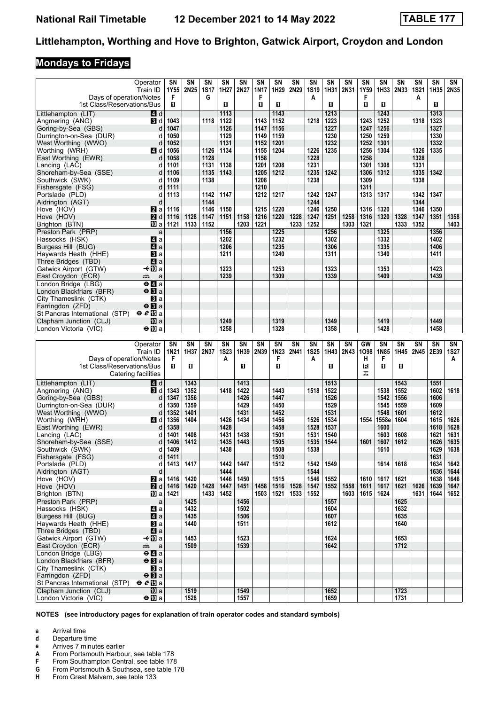# **Mondays to Fridays**

| Operator<br>Train ID<br>Days of operation/Notes                                             |                                             | SΝ<br>1Y55<br>F | SΝ<br>2N25   | SN<br><b>1S17</b><br>G | SN<br>1H27             | SN<br>2N27   | SN<br><b>1N17</b><br>F | SN<br>1H29   | SN<br>2N29 | SΝ<br><b>1S19</b><br>A | SN<br>1H31   | SN<br>2N31 | <b>SN</b><br>1Y59<br>F | <b>SN</b><br>1H33 | SN<br>2N33   | SΝ<br><b>1S21</b><br>A | SN<br>1H35   | SN<br>2N35   |
|---------------------------------------------------------------------------------------------|---------------------------------------------|-----------------|--------------|------------------------|------------------------|--------------|------------------------|--------------|------------|------------------------|--------------|------------|------------------------|-------------------|--------------|------------------------|--------------|--------------|
| 1st Class/Reservations/Bus                                                                  |                                             | O.              |              |                        | П                      |              | п                      | П            |            |                        | O            |            | O                      | 0                 |              |                        | п            |              |
| Littlehampton (LIT)<br>Angmering (ANG)                                                      | 4 d<br><b>B</b> Id                          | 1043            |              | 1118                   | 1113<br>1122           |              | 1143                   | 1143<br>1152 |            | 1218                   | 1213<br>1223 |            | 1243                   | 1243<br>1252      |              | 1318                   | 1313<br>1323 |              |
| Goring-by-Sea (GBS)                                                                         | d                                           | 1047            |              |                        | 1126                   |              | 1147                   | 1156         |            |                        | 1227         |            | 1247                   | 1256              |              |                        | 1327         |              |
| Durrington-on-Sea (DUR)                                                                     | d                                           | 1050            |              |                        | 1129                   |              | 1149                   | 1159         |            |                        | 1230         |            | 1250                   | 1259              |              |                        | 1330         |              |
| West Worthing (WWO)                                                                         | d                                           | 1052            |              |                        | 1131                   |              | 1152                   | 1201         |            |                        | 1232         |            | 1252                   | 1301              |              |                        | 1332         |              |
| Worthing (WRH)                                                                              | ZI d                                        | 1056            |              | 1126                   | 1134                   |              | 1155                   | 1204         |            | 1226                   | 1235         |            | 1256                   | 1304              |              | 1326                   | 1335         |              |
| East Worthing (EWR)<br>Lancing (LAC)                                                        | d<br>d                                      | 1058<br>1101    |              | 1128<br>1131           | 1138                   |              | 1158<br>1201           | 1208         |            | 1228<br>1231           |              |            | 1258<br>1301           | 1308              |              | 1328<br>1331           |              |              |
| Shoreham-by-Sea (SSE)                                                                       | d                                           | 1106            |              | 1135                   | 1143                   |              | 1205                   | 1212         |            | 1235                   | 1242         |            | 1306                   | 1312              |              | 1335                   | 1342         |              |
| Southwick (SWK)                                                                             | d                                           | 1109            |              | 1138                   |                        |              | 1208                   |              |            | 1238                   |              |            | 1309                   |                   |              | 1338                   |              |              |
| Fishersgate (FSG)                                                                           | d                                           | 1111            |              |                        |                        |              | 1210                   |              |            |                        |              |            | 1311                   |                   |              |                        |              |              |
| Portslade (PLD)<br>Aldrington (AGT)                                                         | d<br>d                                      | 1113            |              | 1142<br>1144           | 1147                   |              | 1212                   | 1217         |            | 1242<br>1244           | 1247         |            | 1313                   | 1317              |              | 1342<br>1344           | 1347         |              |
| Hove (HOV)                                                                                  | $\mathbf{z}$ a                              | 1116            |              | 1146                   | 1150                   |              | 1215                   | 1220         |            | 1246                   | 1250         |            | 1316                   | 1320              |              | 1346                   | 1350         |              |
| Hove (HOV)                                                                                  | 2d                                          | 1116            | 1128         | 1147                   | 1151                   | 1158         | 1216                   | 1220         | 1228       | 1247                   | 1251         | 1258       | 1316                   | 1320              | 1328         | 1347                   | 1351         | 1358         |
| Brighton (BTN)                                                                              | 10 a                                        | 1121            | 1133         | 1152                   |                        | 1203         | 1221                   |              | 1233       | 1252                   |              | 1303       | 1321                   |                   | 1333         | 1352                   |              | 1403         |
| Preston Park (PRP)                                                                          | a                                           |                 |              |                        | 1156                   |              |                        | 1225         |            |                        | 1256         |            |                        | 1325              |              |                        | 1356         |              |
| Hassocks (HSK)<br>Burgess Hill (BUG)                                                        | ZI a<br>4a                                  |                 |              |                        | 1202<br>1206           |              |                        | 1232<br>1235 |            |                        | 1302<br>1306 |            |                        | 1332<br>1335      |              |                        | 1402<br>1406 |              |
| Haywards Heath (HHE)                                                                        | <b>BI</b> a                                 |                 |              |                        | 1211                   |              |                        | 1240         |            |                        | 1311         |            |                        | 1340              |              |                        | 1411         |              |
| Three Bridges (TBD)                                                                         | ZI a                                        |                 |              |                        |                        |              |                        |              |            |                        |              |            |                        |                   |              |                        |              |              |
| Gatwick Airport (GTW)                                                                       | —t•M⊡a                                      |                 |              |                        | 1223                   |              |                        | 1253         |            |                        | 1323         |            |                        | 1353              |              |                        | 1423         |              |
| East Croydon (ECR)<br>پیشته                                                                 | a<br>$\overline{e}$ la                      |                 |              |                        | 1239                   |              |                        | 1309         |            |                        | 1339         |            |                        | 1409              |              |                        | 1439         |              |
| London Bridge (LBG)<br>London Blackfriars (BFR)                                             | $\Theta$ <b>B</b> a                         |                 |              |                        |                        |              |                        |              |            |                        |              |            |                        |                   |              |                        |              |              |
| City Thameslink (CTK)                                                                       | $\mathbf{B}$ a                              |                 |              |                        |                        |              |                        |              |            |                        |              |            |                        |                   |              |                        |              |              |
| Farringdon (ZFD)                                                                            | $\Theta$ <b>B</b> a                         |                 |              |                        |                        |              |                        |              |            |                        |              |            |                        |                   |              |                        |              |              |
| $eE$ a<br>St Pancras International (STP)                                                    |                                             |                 |              |                        |                        |              |                        |              |            |                        |              |            |                        |                   |              |                        |              |              |
| Clapham Junction (CLJ)<br>London Victoria (VIC)                                             | <b>10</b> a<br>$\Theta$ III a               |                 |              |                        | 1249<br>1258           |              |                        | 1319<br>1328 |            |                        | 1349<br>1358 |            |                        | 1419<br>1428      |              |                        | 1449<br>1458 |              |
|                                                                                             |                                             |                 |              |                        |                        |              |                        |              |            |                        |              |            |                        |                   |              |                        |              |              |
|                                                                                             |                                             |                 |              |                        |                        |              |                        |              |            |                        |              |            |                        |                   |              |                        |              |              |
| Operator                                                                                    |                                             | SΝ              | SN           | SN                     | $\overline{\text{SN}}$ | SN           | SN                     | SN           | SN         | SN                     | SN           | SN         | GW                     | SN                | SN           | SΝ                     | SN           | SN           |
| Train ID                                                                                    |                                             | <b>1N21</b>     | 1H37         | 2N37                   | <b>1S23</b>            | 1H39         | 2N39                   | 1N23         | 2N41       | <b>1S25</b>            | 1H43         | 2N43       | 1098                   | 1N85              | 1H45         | 2N45                   | 2E39         | <b>1S27</b>  |
| Days of operation/Notes                                                                     |                                             | F               |              |                        | Α                      |              |                        | F            |            | A                      |              |            | н                      | F                 |              |                        |              | A            |
| 1st Class/Reservations/Bus                                                                  |                                             | O.              | O.           |                        |                        | п            |                        | п            |            |                        | O            |            | R<br>ᠼ                 | O                 | O            |                        |              |              |
| Catering facilities                                                                         |                                             |                 |              |                        |                        |              |                        |              |            |                        |              |            |                        |                   |              |                        |              |              |
| Littlehampton (LIT)<br>Angmering (ANG)                                                      | <b>4</b> d<br><b>B</b> Id                   | 1343            | 1343<br>1352 |                        | 1418                   | 1413<br>1422 |                        | 1443         |            | 1518                   | 1513<br>1522 |            |                        | 1538              | 1543<br>1552 |                        | 1551<br>1602 | 1618         |
| Goring-by-Sea (GBS)                                                                         | d                                           | 1347            | 1356         |                        |                        | 1426         |                        | 1447         |            |                        | 1526         |            |                        | 1542              | 1556         |                        | 1606         |              |
| Durrington-on-Sea (DUR)                                                                     | d                                           | 1350            | 1359         |                        |                        | 1429         |                        | 1450         |            |                        | 1529         |            |                        | 1545              | 1559         |                        | 1609         |              |
| West Worthing (WWO)                                                                         | d                                           | 1352            | 1401         |                        |                        | 1431         |                        | 1452         |            |                        | 1531         |            |                        | 1548              | 1601         |                        | 1612         |              |
| Worthing (WRH)<br>East Worthing (EWR)                                                       | 41 d<br>d                                   | 1356<br>1358    | 1404         |                        | 1426<br>1428           | 1434         |                        | 1456<br>1458 |            | 1526<br>1528           | 1534<br>1537 |            | 1554                   | 1558e<br>1600     | 1604         |                        | 1615<br>1618 | 1626<br>1628 |
| Lancing (LAC)                                                                               | d                                           | 1401            | 1408         |                        | 1431                   | 1438         |                        | 1501         |            | 1531                   | 1540         |            |                        | 1603              | 1608         |                        | 1621         | 1631         |
| Shoreham-by-Sea (SSE)                                                                       | d                                           | 1406            | 1412         |                        | 1435                   | 1443         |                        | 1505         |            | 1535                   | 1544         |            | 1601                   | 1607              | 1612         |                        | 1626         | 1635         |
| Southwick (SWK)                                                                             | d                                           | 1409            |              |                        | 1438                   |              |                        | 1508         |            | 1538                   |              |            |                        | 1610              |              |                        | 1629         | 1638         |
| Fishersgate (FSG)                                                                           | d<br>d                                      | 1411            |              |                        |                        |              |                        | 1510         |            |                        | 1549         |            |                        |                   | 1618         |                        | 1631         |              |
| Portslade (PLD)<br>Aldrington (AGT)                                                         | d                                           | 1413            | 1417         |                        | 1442<br>1444           | 1447         |                        | 1512         |            | 1542<br>1544           |              |            |                        | 1614              |              |                        | 1634<br>1636 | 1642<br>1644 |
| Hove (HOV)                                                                                  | <b>2</b> a                                  | 1416            | 1420         |                        | 1446                   | 1450         |                        | 1515         |            | 1546                   | 1552         |            | 1610                   | 1617              | 1621         |                        | 1638         | 1646         |
| Hove (HOV)                                                                                  | $2 d$ 1416                                  |                 | 1420   1428  |                        | 1447                   | 1451         | 1458                   | 1516         | 1528       | 1547                   | 1552         | 1558       | 1611                   | 1617              | 1621         | 1626                   | 1639         | 1647         |
| Brighton (BTN)                                                                              | 100 a   1421                                |                 |              | 1433                   | 1452                   |              | 1503                   | 1521         | 1533       | 1552                   |              | 1603       | 1615   1624            |                   |              | 1631                   | 1644         | 1652         |
| Preston Park (PRP)<br>Hassocks (HSK)                                                        | a                                           |                 | 1425<br>1432 |                        |                        | 1456<br>1502 |                        |              |            |                        | 1557<br>1604 |            |                        |                   | 1625<br>1632 |                        |              |              |
| Burgess Hill (BUG)                                                                          | $\mathbf{A}$ a<br>$\overline{a}$ a          |                 | 1435         |                        |                        | 1506         |                        |              |            |                        | 1607         |            |                        |                   | 1635         |                        |              |              |
| Haywards Heath (HHE)                                                                        | $\mathbf{B}$ a                              |                 | 1440         |                        |                        | 1511         |                        |              |            |                        | 1612         |            |                        |                   | 1640         |                        |              |              |
| Three Bridges (TBD)                                                                         | $\blacksquare$ a                            |                 |              |                        |                        |              |                        |              |            |                        |              |            |                        |                   |              |                        |              |              |
| Gatwick Airport (GTW)<br>East Croydon (ECR)<br>پیشته                                        | –≁10 a<br>$\mathsf a$                       |                 | 1453<br>1509 |                        |                        | 1523<br>1539 |                        |              |            |                        | 1624<br>1642 |            |                        |                   | 1653<br>1712 |                        |              |              |
| London Bridge (LBG)                                                                         | $\Theta$ <b><math>\blacksquare</math></b> a |                 |              |                        |                        |              |                        |              |            |                        |              |            |                        |                   |              |                        |              |              |
| London Blackfriars (BFR)                                                                    | $\Theta$ <b>B</b> a                         |                 |              |                        |                        |              |                        |              |            |                        |              |            |                        |                   |              |                        |              |              |
| City Thameslink (CTK)                                                                       | $\mathbf{B}$ a                              |                 |              |                        |                        |              |                        |              |            |                        |              |            |                        |                   |              |                        |              |              |
| Farringdon (ZFD)                                                                            | $\Theta$ <b>B</b> a                         |                 |              |                        |                        |              |                        |              |            |                        |              |            |                        |                   |              |                        |              |              |
| $eE$ a<br>St Pancras International (STP)<br>Clapham Junction (CLJ)<br>London Victoria (VIC) | <b>ID</b> a<br>$\bigoplus a$                |                 | 1519<br>1528 |                        |                        | 1549<br>1557 |                        |              |            |                        | 1652         |            |                        |                   | 1723<br>1731 |                        |              |              |

- 
- **a** Arrival time<br>**d** Departure ti
- **d** Departure time<br>**e** Arrives 7 minut **e** Arrives 7 minutes earlier<br>**A** From Portsmouth Harbou
- **From Portsmouth Harbour, see table 178**
- 
- **F** From Southampton Central, see table 178<br>**G** From Portsmouth & Southsea, see table 17 **6** From Portsmouth & Southsea, see table 178<br>**H** From Great Malvern, see table 133
- **From Great Malvern, see table 133**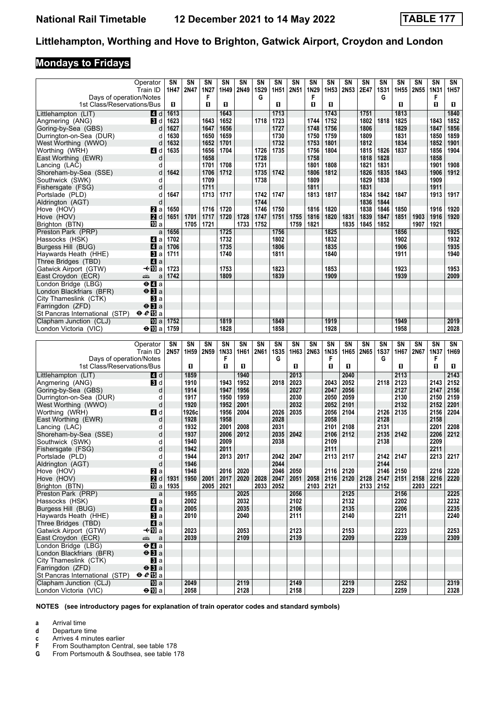# **Mondays to Fridays**

|                                                   | Operator                           | SΝ           | SN            | SΝ               | SN           | SN           | SN        | SN               | SN           | SN           | SN               | <b>SN</b>    | SN           | SN               | SΝ               | SΝ                | SN               | SN               |
|---------------------------------------------------|------------------------------------|--------------|---------------|------------------|--------------|--------------|-----------|------------------|--------------|--------------|------------------|--------------|--------------|------------------|------------------|-------------------|------------------|------------------|
| Days of operation/Notes                           | Train ID                           | 1H47         | 2N47          | 1N27<br>F        | 1H49         | 2N49         | 1S29<br>G | 1H <sub>51</sub> | 2N51         | 1N29<br>F    | 1H <sub>53</sub> | 2N53         | 2E47         | <b>1S31</b><br>G | 1H <sub>55</sub> | 2N55              | 1N31<br>F        | 1H <sub>57</sub> |
| 1st Class/Reservations/Bus                        |                                    | O            |               | П                | п            |              |           | п                |              | O            | O                |              |              |                  | п                |                   | $\mathbf{u}$     | П                |
| Littlehampton (LIT)                               | 4 d                                | 1613         |               |                  | 1643         |              |           | 1713             |              |              | 1743             |              | 1751         |                  | 1813             |                   |                  | 1840             |
| Angmering (ANG)                                   | <b>B</b> Id                        | 1623         |               | 1643             | 1652         |              | 1718      | 1723             |              | 1744         | 1752             |              | 1802         | 1818             | 1825             |                   | 1843             | 1852             |
| Goring-by-Sea (GBS)<br>Durrington-on-Sea (DUR)    | d<br>d                             | 1627<br>1630 |               | 1647<br>1650     | 1656<br>1659 |              |           | 1727<br>1730     |              | 1748<br>1750 | 1756<br>1759     |              | 1806<br>1809 |                  | 1829<br>1831     |                   | 1847<br>1850     | 1856<br>1859     |
| West Worthing (WWO)                               | d                                  | 1632         |               | 1652             | 1701         |              |           | 1732             |              | 1753         | 1801             |              | 1812         |                  | 1834             |                   | 1852             | 1901             |
| Worthing (WRH)                                    | 4 d                                | 1635         |               | 1656             | 1704         |              | 1726      | 1735             |              | 1756         | 1804             |              | 1815         | 1826             | 1837             |                   | 1856             | 1904             |
| East Worthing (EWR)                               | d                                  |              |               | 1658             |              |              | 1728      |                  |              | 1758         |                  |              | 1818         | 1828             |                  |                   | 1858             |                  |
| Lancing (LAC)                                     | d                                  |              |               | 1701             | 1708         |              | 1731      |                  |              | 1801         | 1808             |              | 1821         | 1831             |                  |                   | 1901             | 1908             |
| Shoreham-by-Sea (SSE)                             | d                                  | 1642         |               | 1706             | 1712         |              | 1735      | 1742             |              | 1806         | 1812             |              | 1826         | 1835             | 1843             |                   | 1906             | 1912             |
| Southwick (SWK)                                   | d                                  |              |               | 1709             |              |              | 1738      |                  |              | 1809         |                  |              | 1829         | 1838             |                  |                   | 1909             |                  |
| Fishersgate (FSG)<br>Portslade (PLD)              | d<br>d                             | 1647         |               | 1711<br>1713     | 1717         |              | 1742      | 1747             |              | 1811<br>1813 | 1817             |              | 1831<br>1834 | 1842             | 1847             |                   | 1911<br>1913     | 1917             |
| Aldrington (AGT)                                  | d                                  |              |               |                  |              |              | 1744      |                  |              |              |                  |              | 1836         | 1844             |                  |                   |                  |                  |
| Hove (HOV)                                        | <b>Z</b> a                         | 1650         |               | 1716             | 1720         |              | 1746      | 1750             |              | 1816         | 1820             |              | 1838         | 1846             | 1850             |                   | 1916             | 1920             |
| Hove (HOV)                                        | 2d                                 | 1651         | 1701          | 1717             | 1720         | 1728         | 1747      | 1751             | 1755         | 1816         | 1820             | 1831         | 1839         | 1847             | 1851             | 1903              | 1916             | 1920             |
| Brighton (BTN)                                    | <b>iD</b> a                        |              | 1705          | 1721             |              | 1733         | 1752      |                  | 1759         | 1821         |                  | 1835         | 1845         | 1852             |                  | 1907              | 1921             |                  |
| Preston Park (PRP)                                | a                                  | 1656         |               |                  | 1725         |              |           | 1756             |              |              | 1825             |              |              |                  | 1856             |                   |                  | 1925             |
| Hassocks (HSK)<br>Burgess Hill (BUG)              | 4 a<br>$\blacksquare$ a            | 1702<br>1706 |               |                  | 1732<br>1735 |              |           | 1802<br>1806     |              |              | 1832<br>1835     |              |              |                  | 1902<br>1906     |                   |                  | 1932<br>1935     |
| Haywards Heath (HHE)                              | BI a                               | 1711         |               |                  | 1740         |              |           | 1811             |              |              | 1840             |              |              |                  | 1911             |                   |                  | 1940             |
| Three Bridges (TBD)                               | Z1 a                               |              |               |                  |              |              |           |                  |              |              |                  |              |              |                  |                  |                   |                  |                  |
| Gatwick Airport (GTW)                             | —t∙l∏Da                            | 1723         |               |                  | 1753         |              |           | 1823             |              |              | 1853             |              |              |                  | 1923             |                   |                  | 1953             |
| East Croydon (ECR)                                | æ<br>a                             | 1742         |               |                  | 1809         |              |           | 1839             |              |              | 1909             |              |              |                  | 1939             |                   |                  | 2009             |
| London Bridge (LBG)                               | $\Theta$ $\blacksquare$ a          |              |               |                  |              |              |           |                  |              |              |                  |              |              |                  |                  |                   |                  |                  |
| London Blackfriars (BFR)                          | $\Theta$ <b>B</b> a<br><b>B</b> a  |              |               |                  |              |              |           |                  |              |              |                  |              |              |                  |                  |                   |                  |                  |
| City Thameslink (CTK)<br>Farringdon (ZFD)         | $\Theta$ <b>B</b> a                |              |               |                  |              |              |           |                  |              |              |                  |              |              |                  |                  |                   |                  |                  |
| St Pancras International (STP)                    | $e e E$ a                          |              |               |                  |              |              |           |                  |              |              |                  |              |              |                  |                  |                   |                  |                  |
| Clapham Junction (CLJ)                            | 100 a                              | 1752         |               |                  | 1819         |              |           | 1849             |              |              | 1919             |              |              |                  | 1949             |                   |                  | 2019             |
| London Victoria (VIC)                             | $\Theta$ <b>III</b> a              | 1759         |               |                  | 1828         |              |           | 1858             |              |              | 1928             |              |              |                  | 1958             |                   |                  | 2028             |
|                                                   |                                    |              |               |                  |              |              |           |                  |              |              |                  |              |              |                  |                  |                   |                  |                  |
|                                                   |                                    |              |               |                  |              |              |           |                  |              |              |                  |              |              |                  |                  |                   |                  |                  |
|                                                   | Operator                           | SΝ           | SN            | SN               | SN           | SN           | SN        | <b>SN</b>        | SN           | SN           | <b>SN</b>        | SN           | <b>SN</b>    | SN               | SN               | SΝ<br><b>2N67</b> | SN               | <b>SN</b>        |
| Days of operation/Notes                           | Train ID                           | 2N57         | 1H59          | 2N <sub>59</sub> | 1N33<br>F    | 1H61         | 2N61      | <b>1S35</b><br>G | 1H63         | 2N63         | 1N35<br>F        | 1H65         | 2N65         | <b>1S37</b><br>G | 1H67             |                   | <b>1N37</b><br>F | 1H69             |
| 1st Class/Reservations/Bus                        |                                    |              | П             |                  | п            | п            |           |                  | п            |              | п                | П            |              |                  | п                |                   | $\mathbf{u}$     | П                |
| Littlehampton (LIT)                               | 4 d                                |              | 1859          |                  |              | 1940         |           |                  | 2013         |              |                  | 2040         |              |                  | 2113             |                   |                  | 2143             |
| Angmering (ANG)                                   | <b>B</b> d                         |              | 1910          |                  | 1943         | 1952         |           | 2018             | 2023         |              | 2043             | 2052         |              | 2118             | 2123             |                   | 2143             | 2152             |
| Goring-by-Sea (GBS)                               | d                                  |              | 1914          |                  | 1947         | 1956         |           |                  | 2027         |              | 2047             | 2056         |              |                  | 2127             |                   | 2147             | 2156             |
| Durrington-on-Sea (DUR)                           | d                                  |              | 1917          |                  | 1950         | 1959         |           |                  | 2030         |              | 2050             | 2059         |              |                  | 2130             |                   | 2150             | 2159             |
| West Worthing (WWO)<br>Worthing (WRH)             | d<br>41 d                          |              | 1920<br>1926с |                  | 1952<br>1956 | 2001<br>2004 |           | 2026             | 2032<br>2035 |              | 2052<br>2056     | 2101<br>2104 |              | 2126             | 2132<br>2135     |                   | 2152<br>2156     | 2201<br>2204     |
| East Worthing (EWR)                               | d                                  |              | 1928          |                  | 1958         |              |           | 2028             |              |              | 2058             |              |              | 2128             |                  |                   | 2158             |                  |
| Lancing (LAC)                                     | d                                  |              | 1932          |                  | 2001         | 2008         |           | 2031             |              |              | 2101             | 2108         |              | 2131             |                  |                   | 2201             | 2208             |
| Shoreham-by-Sea (SSE)                             | d                                  |              | 1937          |                  | 2006         | 2012         |           | 2035             | 2042         |              | 2106             | 2112         |              | 2135             | 2142             |                   | 2206             | 2212             |
| Southwick (SWK)                                   | d                                  |              | 1940          |                  | 2009         |              |           | 2038             |              |              | 2109             |              |              | 2138             |                  |                   | 2209             |                  |
| Fishersgate (FSG)                                 | d<br>d                             |              | 1942<br>1944  |                  | 2011         |              |           | 2042             |              |              | 2111             |              |              |                  | 2147             |                   | 2211             |                  |
| Portslade (PLD)<br>Aldrington (AGT)               | d                                  |              | 1946          |                  | 2013         | 2017         |           | 2044             | 2047         |              | 2113 2117        |              |              | 2142<br>2144     |                  |                   | 2213             | 2217             |
| Hove (HOV)                                        | <b>2</b> a                         |              | 1948          |                  | 2016         | 2020         |           | 2046             | 2050         |              | 2116             | 2120         |              | 2146             | 2150             |                   | 2216             | 2220             |
| Hove (HOV)                                        | <b>2</b> d                         | 1931         | 1950          | 2001             | 2017         | 2020         | 2028      | 2047             | 2051         | 2058         | 2116             | $2120$ 2128  |              | 2147             | 2151             | 2158              | 2216             | 2220             |
| Brighton (BTN)                                    | [[] a                              | 1935         |               |                  | 2005   2021  |              | 2033      | 2052             |              | 2103 2121    |                  |              | 2133         | 2152             |                  | 2203              | 2221             |                  |
| Preston Park (PRP)                                | a                                  |              | 1955          |                  |              | 2025         |           |                  | 2056         |              |                  | 2125         |              |                  | 2156             |                   |                  | 2225             |
| Hassocks (HSK)<br>Burgess Hill (BUG)              | 4a<br>$\mathbf{A}$ a               |              | 2002<br>2005  |                  |              | 2032<br>2035 |           |                  | 2102<br>2106 |              |                  | 2132<br>2135 |              |                  | 2202<br>2206     |                   |                  | 2232<br>2235     |
| Haywards Heath (HHE)                              | $\mathbf{B}$ a                     |              | 2010          |                  |              | 2040         |           |                  | 2111         |              |                  | 2140         |              |                  | 2211             |                   |                  | 2240             |
| Three Bridges (TBD)                               | $\mathbf{A}$ a                     |              |               |                  |              |              |           |                  |              |              |                  |              |              |                  |                  |                   |                  |                  |
| Gatwick Airport (GTW)                             | —t•¶Dia                            |              | 2023          |                  |              | 2053         |           |                  | 2123         |              |                  | 2153         |              |                  | 2223             |                   |                  | 2253             |
| East Croydon (ECR)                                | æÊr<br>a                           |              | 2039          |                  |              | 2109         |           |                  | 2139         |              |                  | 2209         |              |                  | 2239             |                   |                  | 2309             |
| London Bridge (LBG)                               | $\overline{a}$                     |              |               |                  |              |              |           |                  |              |              |                  |              |              |                  |                  |                   |                  |                  |
| London Blackfriars (BFR)<br>City Thameslink (CTK) | $\Theta$ <b>B</b> a<br><b>B</b> la |              |               |                  |              |              |           |                  |              |              |                  |              |              |                  |                  |                   |                  |                  |
| Farringdon (ZFD)                                  | $\Theta$ <b>B</b> a                |              |               |                  |              |              |           |                  |              |              |                  |              |              |                  |                  |                   |                  |                  |
| St Pancras International (STP)                    | $eE$ a                             |              |               |                  |              |              |           |                  |              |              |                  |              |              |                  |                  |                   |                  |                  |
| Clapham Junction (CLJ)<br>London Victoria (VIC)   | $\overline{10}$ a<br>$\bigoplus a$ |              | 2049<br>2058  |                  |              | 2119<br>2128 |           |                  | 2149<br>2158 |              |                  | 2219<br>2229 |              |                  | 2252<br>2259     |                   |                  | 2319<br>2328     |

**NOTES (see introductory pages for explanation of train operator codes and standard symbols)**

**a** Arrival time<br>**d** Departure t

**d** Departure time

**c** Arrives 4 minutes earlier<br>**F** From Southampton Cent

**F** From Southampton Central, see table 178<br>**G** From Portsmouth & Southsea, see table 1 From Portsmouth & Southsea, see table 178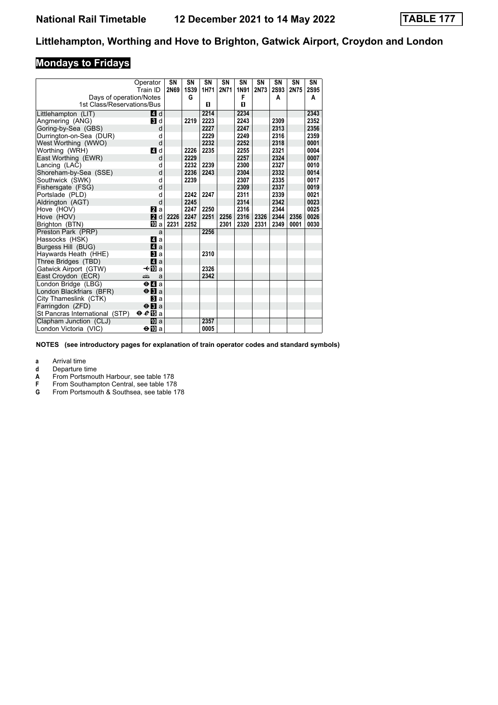# **Mondays to Fridays**

|                                | Operator                                    | SN   | SN          | SN   | SN   | SN   | SN          | SN          | SN   | SN          |
|--------------------------------|---------------------------------------------|------|-------------|------|------|------|-------------|-------------|------|-------------|
|                                | Train ID                                    | 2N69 | <b>1S39</b> | 1H71 | 2N71 | 1N91 | <b>2N73</b> | <b>2S93</b> | 2N75 | <b>2S95</b> |
| Days of operation/Notes        |                                             |      | G           |      |      | F    |             | A           |      | A           |
| 1st Class/Reservations/Bus     |                                             |      |             | п    |      | O    |             |             |      |             |
| Littlehampton (LIT)            | 4 d                                         |      |             | 2214 |      | 2234 |             |             |      | 2343        |
| Angmering (ANG)                | $\blacksquare$                              |      | 2219        | 2223 |      | 2243 |             | 2309        |      | 2352        |
| Goring-by-Sea (GBS)            | d                                           |      |             | 2227 |      | 2247 |             | 2313        |      | 2356        |
| Durrington-on-Sea (DUR)        | d                                           |      |             | 2229 |      | 2249 |             | 2316        |      | 2359        |
| West Worthing (WWO)            | d                                           |      |             | 2232 |      | 2252 |             | 2318        |      | 0001        |
| Worthing (WRH)                 | ZI d                                        |      | 2226        | 2235 |      | 2255 |             | 2321        |      | 0004        |
| East Worthing (EWR)            | d                                           |      | 2229        |      |      | 2257 |             | 2324        |      | 0007        |
| Lancing (LAC)                  | d                                           |      | 2232        | 2239 |      | 2300 |             | 2327        |      | 0010        |
| Shoreham-by-Sea (SSE)          | d                                           |      | 2236        | 2243 |      | 2304 |             | 2332        |      | 0014        |
| Southwick (SWK)                | d                                           |      | 2239        |      |      | 2307 |             | 2335        |      | 0017        |
| Fishersgate (FSG)              | d                                           |      |             |      |      | 2309 |             | 2337        |      | 0019        |
| Portslade (PLD)                | d                                           |      | 2242        | 2247 |      | 2311 |             | 2339        |      | 0021        |
| Aldrington (AGT)               | d                                           |      | 2245        |      |      | 2314 |             | 2342        |      | 0023        |
| Hove (HOV)                     | <b>Z</b> a                                  |      | 2247        | 2250 |      | 2316 |             | 2344        |      | 0025        |
| Hove (HOV)                     | 2d                                          | 2226 | 2247        | 2251 | 2256 | 2316 | 2326        | 2344        | 2356 | 0026        |
| Brighton (BTN)                 | IM a                                        | 2231 | 2252        |      | 2301 | 2320 | 2331        | 2349        | 0001 | 0030        |
| Preston Park (PRP)             | a                                           |      |             | 2256 |      |      |             |             |      |             |
| Hassocks (HSK)                 | 41 a                                        |      |             |      |      |      |             |             |      |             |
| Burgess Hill (BUG)             | $\mathbf{A}$ a                              |      |             |      |      |      |             |             |      |             |
| Haywards Heath (HHE)           | <b>3</b> a                                  |      |             | 2310 |      |      |             |             |      |             |
| Three Bridges (TBD)            | $\blacksquare$ a                            |      |             |      |      |      |             |             |      |             |
| Gatwick Airport (GTW)          | –≁l10a                                      |      |             | 2326 |      |      |             |             |      |             |
| East Croydon (ECR)             | æ<br>a                                      |      |             | 2342 |      |      |             |             |      |             |
| London Bridge (LBG)            | $\Theta$ <b><math>\blacksquare</math></b> a |      |             |      |      |      |             |             |      |             |
| London Blackfriars (BFR)       | $\Theta$ <b>E</b> a                         |      |             |      |      |      |             |             |      |             |
| City Thameslink (CTK)          | <b>El</b> a                                 |      |             |      |      |      |             |             |      |             |
| Farringdon (ZFD)               | $\Theta$ <b>B</b> a                         |      |             |      |      |      |             |             |      |             |
| St Pancras International (STP) | $e\mathbb{E}$ a                             |      |             |      |      |      |             |             |      |             |
| Clapham Junction (CLJ)         | 吅 a                                         |      |             | 2357 |      |      |             |             |      |             |
| London Victoria (VIC)          | ⊖Ma                                         |      |             | 0005 |      |      |             |             |      |             |

**NOTES (see introductory pages for explanation of train operator codes and standard symbols)**

**a** Arrival time<br>**d** Departure t

**d** Departure time<br> **A** From Portsmou<br> **F** From Southamp<br> **G** From Portsmou **Expression 2.** From Portsmouth Harbour, see table 178

From Southampton Central, see table 178

From Portsmouth & Southsea, see table 178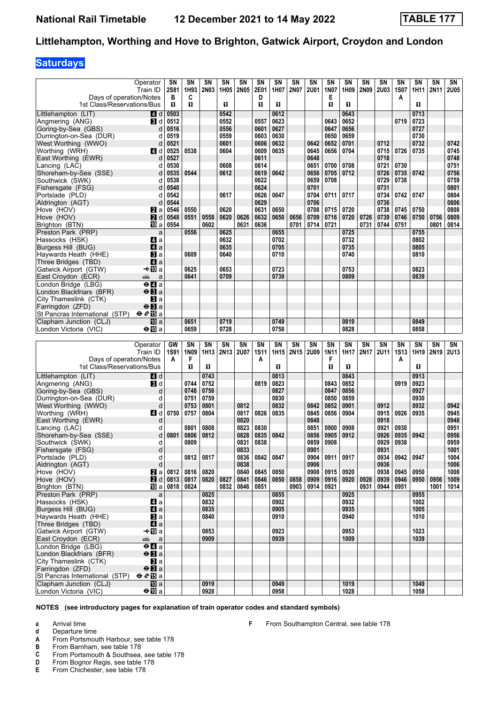# **Saturdays**

|                                                 | Operator                                    | SN           | SN           | SN           | SN   | SN          | SN          | SN                     | SN   | SΝ   | SΝ          | SΝ           | SN          | <b>SN</b>   | SN          | SN           | SN   | SN          |
|-------------------------------------------------|---------------------------------------------|--------------|--------------|--------------|------|-------------|-------------|------------------------|------|------|-------------|--------------|-------------|-------------|-------------|--------------|------|-------------|
|                                                 | Train ID                                    | <b>2S81</b>  | 1H93         | <b>2N03</b>  | 1H05 | 2N05        | 2E01        | 1H07                   | 2N07 | 2U01 | 1N07        | 1H09         | <b>2N09</b> | <b>2U03</b> | 1S07        | 1H11         | 2N11 | <b>2U05</b> |
| Days of operation/Notes                         |                                             | в            | C            |              |      |             | D           |                        |      |      | Е           |              |             |             | Α           |              |      |             |
| 1st Class/Reservations/Bus                      |                                             | $\mathbf{u}$ | $\mathbf{u}$ |              | O    |             | п           | п                      |      |      | п           | 0            |             |             |             | п            |      |             |
|                                                 |                                             |              |              |              |      |             |             |                        |      |      |             |              |             |             |             |              |      |             |
| Littlehampton (LIT)                             | ZI d                                        | 0503         |              |              | 0542 |             |             | 0612                   |      |      |             | 0643         |             |             |             | 0713         |      |             |
| Angmering (ANG)                                 | BI d                                        | 0512         |              |              | 0552 |             | 0557        | 0623                   |      |      | 0643        | 0652         |             |             | 0719        | 0723         |      |             |
| Goring-by-Sea (GBS)                             | d                                           | 0516         |              |              | 0556 |             | 0601        | 0627                   |      |      | 0647        | 0656         |             |             |             | 0727         |      |             |
| Durrington-on-Sea (DUR)                         | d                                           | 0519         |              |              | 0559 |             | 0603        | 0630                   |      |      | 0650        | 0659         |             |             |             | 0730         |      |             |
|                                                 |                                             |              |              |              | 0601 |             |             | 0632                   |      |      |             | 0701         |             | 0712        |             | 0732         |      | 0742        |
| West Worthing (WWO)                             | d                                           | 0521         |              |              |      |             | 0606        |                        |      | 0642 | 0652        |              |             |             |             |              |      |             |
| Worthing (WRH)                                  | <b>4</b> d                                  | 0525         | 0538         |              | 0604 |             | 0609        | 0635                   |      | 0645 | 0656        | 0704         |             | 0715        | 0726        | 0735         |      | 0745        |
| East Worthing (EWR)                             | d                                           | 0527         |              |              |      |             | 0611        |                        |      | 0648 |             |              |             | 0718        |             |              |      | 0748        |
| Lancing (LAC)                                   | d                                           | 0530         |              |              | 0608 |             | 0614        |                        |      | 0651 | 0700        | 0708         |             | 0721        | 0730        |              |      | 0751        |
| Shoreham-by-Sea (SSE)                           | d                                           | 0535         | 0544         |              | 0612 |             | 0619        | 0642                   |      | 0656 | 0705        | 0712         |             | 0726        | 0735        | 0742         |      | 0756        |
|                                                 |                                             |              |              |              |      |             |             |                        |      |      |             |              |             |             |             |              |      |             |
| Southwick (SWK)                                 | d                                           | 0538         |              |              |      |             | 0622        |                        |      | 0659 | 0708        |              |             | 0729        | 0738        |              |      | 0759        |
| Fishersgate (FSG)                               | d                                           | 0540         |              |              |      |             | 0624        |                        |      | 0701 |             |              |             | 0731        |             |              |      | 0801        |
| Portslade (PLD)                                 | d                                           | 0542         |              |              | 0617 |             | 0626        | 0647                   |      | 0704 | 0711        | 0717         |             | 0734        | 0742        | 0747         |      | 0804        |
| Aldrington (AGT)                                | d                                           | 0544         |              |              |      |             | 0629        |                        |      | 0706 |             |              |             | 0736        |             |              |      | 0806        |
|                                                 |                                             |              | 0550         |              | 0620 |             | 0631        | 0650                   |      | 0708 | 0715        | 0720         |             | 0738        | 0745        | 0750         |      | 0808        |
| Hove (HOV)                                      | <b>Z</b> a                                  | 0546         |              |              |      |             |             |                        |      |      |             |              |             |             |             |              |      |             |
| Hove (HOV)                                      | <b>2</b> d                                  | 0548         | 0551         | 0558         | 0620 | 0626        | 0632        | 0650                   | 0656 | 0709 | 0716        | 0720         | 0726        | 0739        | 0746        | 0750         | 0756 | 0809        |
| Brighton (BTN)                                  | 100 a                                       | 0554         |              | 0602         |      | 0631        | 0636        |                        | 0701 | 0714 | 0721        |              | 0731        | 0744        | 0751        |              | 0801 | 0814        |
| Preston Park (PRP)                              | a                                           |              | 0556         |              | 0625 |             |             | 0655                   |      |      |             | 0725         |             |             |             | 0755         |      |             |
| Hassocks (HSK)                                  | 41 a                                        |              |              |              | 0632 |             |             | 0702                   |      |      |             | 0732         |             |             |             | 0802         |      |             |
|                                                 |                                             |              |              |              |      |             |             |                        |      |      |             |              |             |             |             |              |      |             |
| Burgess Hill (BUG)                              | ZI a                                        |              |              |              | 0635 |             |             | 0705                   |      |      |             | 0735         |             |             |             | 0805         |      |             |
| Haywards Heath (HHE)                            | Вl a                                        |              | 0609         |              | 0640 |             |             | 0710                   |      |      |             | 0740         |             |             |             | 0810         |      |             |
| Three Bridges (TBD)                             | ZI a                                        |              |              |              |      |             |             |                        |      |      |             |              |             |             |             |              |      |             |
| Gatwick Airport (GTW)                           | $\overline{40a}$                            |              | 0625         |              | 0653 |             |             | 0723                   |      |      |             | 0753         |             |             |             | 0823         |      |             |
| East Croydon (ECR)                              | پیشته<br>a                                  |              | 0641         |              | 0709 |             |             | 0739                   |      |      |             | 0809         |             |             |             | 0839         |      |             |
|                                                 |                                             |              |              |              |      |             |             |                        |      |      |             |              |             |             |             |              |      |             |
| London Bridge (LBG)                             | $\Theta$ $\blacksquare$ a                   |              |              |              |      |             |             |                        |      |      |             |              |             |             |             |              |      |             |
| London Blackfriars (BFR)                        | $\Theta$ <b>B</b> a                         |              |              |              |      |             |             |                        |      |      |             |              |             |             |             |              |      |             |
| City Thameslink (CTK)                           | <b>El</b> a                                 |              |              |              |      |             |             |                        |      |      |             |              |             |             |             |              |      |             |
| Farringdon (ZFD)                                | $\Theta$ <b>El</b> a                        |              |              |              |      |             |             |                        |      |      |             |              |             |             |             |              |      |             |
| St Pancras International (STP)                  | $e\mathcal{E}$ is a                         |              |              |              |      |             |             |                        |      |      |             |              |             |             |             |              |      |             |
|                                                 |                                             |              |              |              |      |             |             |                        |      |      |             |              |             |             |             |              |      |             |
| Clapham Junction (CLJ)                          | <b>ID</b> a                                 |              | 0651         |              | 0719 |             |             | 0749                   |      |      |             | 0819         |             |             |             | 0849         |      |             |
| London Victoria (VIC)                           | $\bigoplus a$                               |              | 0659         |              | 0728 |             |             | 0758                   |      |      |             | 0828         |             |             |             | 0858         |      |             |
|                                                 |                                             |              |              |              |      |             |             |                        |      |      |             |              |             |             |             |              |      |             |
|                                                 |                                             |              |              |              |      |             |             |                        |      |      |             |              |             |             |             |              |      |             |
|                                                 |                                             |              |              |              |      |             |             |                        |      |      |             |              |             |             |             |              |      |             |
|                                                 | Operator                                    | GW           | SN           | SN           | SN   | SN          | SN          | $\overline{\text{SN}}$ | SN   | SN   | SN          | SN           | SN          | SN          | SN          | SN           | SN   | SN          |
|                                                 | Train ID                                    | <b>1S91</b>  | 1N09         | 1H13         | 2N13 | <b>2U07</b> | <b>1S11</b> | 1H15                   | 2N15 | 2U09 | <b>1N11</b> | 1H17         | 2N17        | <b>2U11</b> | <b>1S13</b> | 1H19         | 2N19 | 2U13        |
| Days of operation/Notes                         |                                             | A            | F            |              |      |             | A           |                        |      |      | F           |              |             |             | A           |              |      |             |
| 1st Class/Reservations/Bus                      |                                             |              | п            | п            |      |             |             | п                      |      |      | п           | O            |             |             |             | п            |      |             |
|                                                 |                                             |              |              |              |      |             |             |                        |      |      |             |              |             |             |             |              |      |             |
| Littlehampton (LIT)                             | 4 d                                         |              |              | 0743         |      |             |             | 0813                   |      |      |             | 0843         |             |             |             | 0913         |      |             |
| Angmering (ANG)                                 | BI d                                        |              | 0744         | 0752         |      |             | 0819        | 0823                   |      |      | 0843        | 0852         |             |             | 0919        | 0923         |      |             |
| Goring-by-Sea (GBS)                             | d                                           |              | 0748         | 0756         |      |             |             | 0827                   |      |      | 0847        | 0856         |             |             |             | 0927         |      |             |
| Durrington-on-Sea (DUR)                         | d                                           |              | 0751         | 0759         |      |             |             | 0830                   |      |      | 0850        | 0859         |             |             |             | 0930         |      |             |
|                                                 | d                                           |              | 0753         | 0801         |      |             |             | 0832                   |      | 0842 | 0852        | 0901         |             | 0912        |             | 0932         |      | 0942        |
| West Worthing (WWO)                             |                                             |              |              |              |      | 0812        |             |                        |      |      |             |              |             |             |             |              |      |             |
| Worthing (WRH)                                  | 4 d                                         | 0750         | 0757         | 0804         |      | 0817        | 0826        | 0835                   |      | 0845 | 0856        | 0904         |             | 0915        | 0926        | 0935         |      | 0945        |
| East Worthing (EWR)                             | d                                           |              |              |              |      | 0820        |             |                        |      | 0848 |             |              |             | 0918        |             |              |      | 0948        |
| Lancing (LAC)                                   | d                                           |              | 0801         | 0808         |      | 0823        | 0830        |                        |      | 0851 | 0900        | 0908         |             | 0921        | 0930        |              |      | 0951        |
| Shoreham-by-Sea (SSE)                           | d                                           | 0801         | 0806         | 0812         |      | 0828        | 0835        | 0842                   |      | 0856 | 0905        | 0912         |             | 0926        | 0935        | 0942         |      | 0956        |
| Southwick (SWK)                                 | d                                           |              | 0809         |              |      | 0831        | 0838        |                        |      | 0859 | 0908        |              |             | 0929        | 0938        |              |      | 0959        |
|                                                 |                                             |              |              |              |      |             |             |                        |      |      |             |              |             |             |             |              |      |             |
| Fishersgate (FSG)                               | d                                           |              |              |              |      | 0833        |             |                        |      | 0901 |             |              |             | 0931        |             |              |      | 1001        |
| Portslade (PLD)                                 | d                                           |              | 0812         | 0817         |      | 0836        | 0842        | 0847                   |      | 0904 | 0911        | 0917         |             | 0934        | 0942        | 0947         |      | 1004        |
| Aldrington (AGT)                                | d                                           |              |              |              |      | 0838        |             |                        |      | 0906 |             |              |             | 0936        |             |              |      | 1006        |
| Hove (HOV)                                      | $\mathbf{z}$ a                              | 0812         | 0816         | 0820         |      | 0840        | 0845        | 0850                   |      | 0908 | 0915        | 0920         |             | 0938        | 0945        | 0950         |      | 1008        |
|                                                 |                                             |              |              |              |      |             | 0846        |                        |      |      |             |              | 0926        |             | 0946        | 0950         | 0956 | 1009        |
| Hove (HOV)                                      | 2d                                          | 0813         | 0817         | 0820         | 0827 | 0841        |             | 0850                   | 0858 | 0909 | 0916        | 0920         |             | 0939        |             |              |      |             |
| Brighton (BTN)                                  | [[] a                                       | 0818         | 0824         |              | 0832 | 0846        | 0851        |                        | 0903 | 0914 | 0921        |              | 0931        | 0944        | 0951        |              | 1001 | 1014        |
| Preston Park (PRP)                              | a                                           |              |              | 0825         |      |             |             | 0855                   |      |      |             | 0925         |             |             |             | 0955         |      |             |
| Hassocks (HSK)                                  | 4a                                          |              |              | 0832         |      |             |             | 0902                   |      |      |             | 0932         |             |             |             | 1002         |      |             |
| Burgess Hill (BUG)                              | $\mathbf{A}$ a                              |              |              | 0835         |      |             |             | 0905                   |      |      |             | 0935         |             |             |             | 1005         |      |             |
| Havwards Heath (HHE)                            | $\mathbf{B}$ a                              |              |              | 0840         |      |             |             | 0910                   |      |      |             | 0940         |             |             |             | 1010         |      |             |
|                                                 |                                             |              |              |              |      |             |             |                        |      |      |             |              |             |             |             |              |      |             |
| Three Bridges (TBD)                             | $\mathbf{A}$ a                              |              |              |              |      |             |             |                        |      |      |             |              |             |             |             |              |      |             |
| Gatwick Airport (GTW)                           | —t∙l∐Da                                     |              |              | 0853         |      |             |             | 0923                   |      |      |             | 0953         |             |             |             | 1023         |      |             |
| East Croydon (ECR)                              | æ<br>a                                      |              |              | 0909         |      |             |             | 0939                   |      |      |             | 1009         |             |             |             | 1039         |      |             |
| London Bridge (LBG)                             | $\Theta$ <b><math>\blacksquare</math></b> a |              |              |              |      |             |             |                        |      |      |             |              |             |             |             |              |      |             |
| London Blackfriars (BFR)                        | $\Theta$ <b>B</b> a                         |              |              |              |      |             |             |                        |      |      |             |              |             |             |             |              |      |             |
|                                                 |                                             |              |              |              |      |             |             |                        |      |      |             |              |             |             |             |              |      |             |
| City Thameslink (CTK)                           | <b>B</b> la                                 |              |              |              |      |             |             |                        |      |      |             |              |             |             |             |              |      |             |
| Farringdon (ZFD)                                | $\Theta$ <b>B</b> a                         |              |              |              |      |             |             |                        |      |      |             |              |             |             |             |              |      |             |
| St Pancras International (STP)                  | $eE$ a                                      |              |              |              |      |             |             |                        |      |      |             |              |             |             |             |              |      |             |
| Clapham Junction (CLJ)<br>London Victoria (VIC) | 10 a<br>$\bigoplus a$                       |              |              | 0919<br>0928 |      |             |             | 0949<br>0958           |      |      |             | 1019<br>1028 |             |             |             | 1049<br>1058 |      |             |

**F** From Southampton Central, see table 178

- **a** Arrival time
- **d** Departure time<br>**A** From Portsmou
- **A** From Portsmouth Harbour, see table 178<br>**B** From Barnham, see table 178
- 
- **B** From Barnham, see table 178<br>**C** From Portsmouth & Southsea, **C** From Portsmouth & Southsea, see table 178<br>**D** From Bognor Regis, see table 178
- **D** From Bognor Regis, see table 178<br>**E** From Chichester, see table 178
- From Chichester, see table 178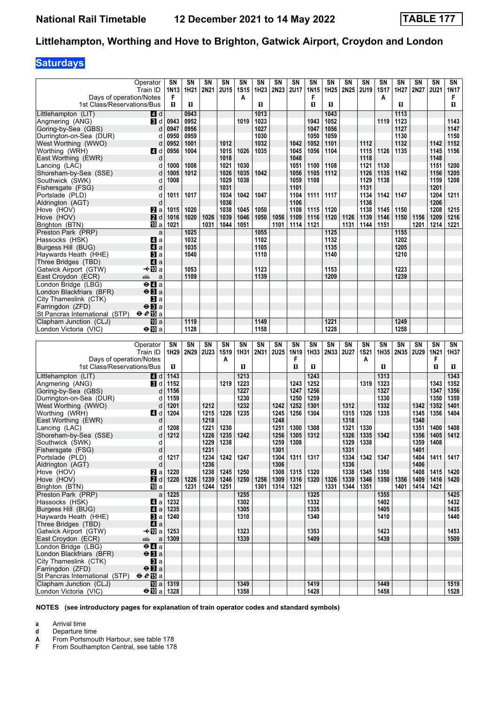# **Saturdays**

|                                                          | Operator<br>Train ID                                               | SΝ<br>1N <sub>13</sub><br>F | SΝ<br>1H21   | SN<br>2N21   | SN<br>2U15   | SN<br><b>1S15</b> | SN<br>1H23   | SN<br>2N23   | SN<br><b>2U17</b> | SΝ<br>1N15<br>F | SΝ<br>1H25   | SN<br>2N25   | SN<br><b>2U19</b> | SN<br><b>1S17</b> | SN<br>1H27   | SΝ<br>2N27   | SΝ<br><b>2U21</b> | SN<br>1N17<br>F |
|----------------------------------------------------------|--------------------------------------------------------------------|-----------------------------|--------------|--------------|--------------|-------------------|--------------|--------------|-------------------|-----------------|--------------|--------------|-------------------|-------------------|--------------|--------------|-------------------|-----------------|
| Days of operation/Notes<br>1st Class/Reservations/Bus    |                                                                    | O                           | O            |              |              | А                 | п            |              |                   | п               | O            |              |                   | A                 | O.           |              |                   | п               |
| Littlehampton (LIT)                                      | 4 d                                                                |                             | 0943         |              |              |                   | 1013         |              |                   |                 | 1043         |              |                   |                   | 1113         |              |                   |                 |
| Angmering (ANG)                                          | BI d                                                               | 0943                        | 0952         |              |              | 1019              | 1023         |              |                   | 1043            | 1052         |              |                   | 1119              | 1123         |              |                   | 1143            |
| Goring-by-Sea (GBS)<br>Durrington-on-Sea (DUR)           | d<br>d                                                             | 0947<br>0950                | 0956<br>0959 |              |              |                   | 1027<br>1030 |              |                   | 1047<br>1050    | 1056<br>1059 |              |                   |                   | 1127<br>1130 |              |                   | 1147<br>1150    |
| West Worthing (WWO)                                      | d                                                                  | 0952                        | 1001         |              | 1012         |                   | 1032         |              | 1042              | 1052            | 1101         |              | 1112              |                   | 1132         |              | 1142              | 1152            |
| Worthing (WRH)                                           | <b>4</b> d                                                         | 0956                        | 1004         |              | 1015         | 1026              | 1035         |              | 1045              | 1056            | 1104         |              | 1115              | 1126              | 1135         |              | 1145              | 1156            |
| East Worthing (EWR)                                      | d                                                                  |                             |              |              | 1018         |                   |              |              | 1048              |                 |              |              | 1118              |                   |              |              | 1148              |                 |
| Lancing (LAC)                                            | d                                                                  | 1000                        | 1008         |              | 1021         | 1030              |              |              | 1051              | 1100            | 1108         |              | 1121              | 1130              |              |              | 1151              | 1200            |
| Shoreham-by-Sea (SSE)                                    | d                                                                  | 1005                        | 1012         |              | 1026         | 1035              | 1042         |              | 1056              | 1105            | 1112         |              | 1126              | 1135              | 1142         |              | 1156              | 1205            |
| Southwick (SWK)                                          | d<br>d                                                             | 1008                        |              |              | 1029<br>1031 | 1038              |              |              | 1059<br>1101      | 1108            |              |              | 1129<br>1131      | 1138              |              |              | 1159<br>1201      | 1208            |
| Fishersgate (FSG)<br>Portslade (PLD)                     | d                                                                  | 1011                        | 1017         |              | 1034         | 1042              | 1047         |              | 1104              | 1111            | 1117         |              | 1134              | 1142              | 1147         |              | 1204              | 1211            |
| Aldrington (AGT)                                         | d                                                                  |                             |              |              | 1036         |                   |              |              | 1106              |                 |              |              | 1136              |                   |              |              | 1206              |                 |
| Hove (HOV)                                               | $\mathbf{z}$ a                                                     | 1015                        | 1020         |              | 1038         | 1045              | 1050         |              | 1108              | 1115            | 1120         |              | 1138              | 1145              | 1150         |              | 1208              | 1215            |
| Hove (HOV)                                               | <b>2</b> d                                                         | 1016                        | 1020         | 1026         | 1039         | 1046              | 1050         | 1056         | 1109              | 1116            | 1120         | 1126         | 1139              | 1146              | 1150         | 1156         | 1209              | 1216            |
| Brighton (BTN)                                           | 10 a                                                               | 1021                        |              | 1031         | 1044         | 1051              |              | 1101         | 1114              | 1121            |              | 1131         | 1144              | 1151              |              | 1201         | 1214              | 1221            |
| Preston Park (PRP)<br>Hassocks (HSK)                     | a<br>ZI a                                                          |                             | 1025<br>1032 |              |              |                   | 1055<br>1102 |              |                   |                 | 1125<br>1132 |              |                   |                   | 1155<br>1202 |              |                   |                 |
| Burgess Hill (BUG)                                       | ZI a                                                               |                             | 1035         |              |              |                   | 1105         |              |                   |                 | 1135         |              |                   |                   | 1205         |              |                   |                 |
| Haywards Heath (HHE)                                     | Вl а                                                               |                             | 1040         |              |              |                   | 1110         |              |                   |                 | 1140         |              |                   |                   | 1210         |              |                   |                 |
| Three Bridges (TBD)                                      | ZI a                                                               |                             |              |              |              |                   |              |              |                   |                 |              |              |                   |                   |              |              |                   |                 |
| Gatwick Airport (GTW)                                    | —t∙l∏Da                                                            |                             | 1053         |              |              |                   | 1123         |              |                   |                 | 1153         |              |                   |                   | 1223         |              |                   |                 |
| East Croydon (ECR)<br>London Bridge (LBG)                | پیشته<br>a<br>$\Theta$ $\blacksquare$ a                            |                             | 1109         |              |              |                   | 1139         |              |                   |                 | 1209         |              |                   |                   | 1239         |              |                   |                 |
| London Blackfriars (BFR)                                 | $\Theta$ <b>B</b> a                                                |                             |              |              |              |                   |              |              |                   |                 |              |              |                   |                   |              |              |                   |                 |
| City Thameslink (CTK)                                    | BI a                                                               |                             |              |              |              |                   |              |              |                   |                 |              |              |                   |                   |              |              |                   |                 |
| Farringdon (ZFD)                                         | $\Theta$ $\mathbf{H}$ a                                            |                             |              |              |              |                   |              |              |                   |                 |              |              |                   |                   |              |              |                   |                 |
| St Pancras International (STP)                           | $e e E$ a                                                          |                             |              |              |              |                   |              |              |                   |                 |              |              |                   |                   |              |              |                   |                 |
| Clapham Junction (CLJ)<br>London Victoria (VIC)          | $\overline{10}$ a<br>⊖n∏a                                          |                             | 1119<br>1128 |              |              |                   | 1149<br>1158 |              |                   |                 | 1221<br>1228 |              |                   |                   | 1249<br>1258 |              |                   |                 |
|                                                          |                                                                    |                             |              |              |              |                   |              |              |                   |                 |              |              |                   |                   |              |              |                   |                 |
|                                                          |                                                                    |                             |              |              |              |                   |              |              |                   |                 |              |              |                   |                   |              |              |                   |                 |
|                                                          | Operator                                                           | SN                          | SN           | SN           | SN           | SN                | SN           | SN           | SN                | SN              | SN           | SN           | SN                | SΝ                | SN           | SN           | SN                | SN              |
|                                                          | Train ID                                                           | 1H29                        | 2N29         | <b>2U23</b>  | <b>1S19</b>  | 1H31              | 2N31         | <b>2U25</b>  | 1N19              | 1H33            | 2N33         | 2U27         | <b>1S21</b>       | 1H35              | 2N35         | <b>2U29</b>  | <b>1N21</b>       | 1H37            |
| Days of operation/Notes                                  |                                                                    |                             |              |              | А            |                   |              |              | F                 |                 |              |              | A                 |                   |              |              | F                 |                 |
| 1st Class/Reservations/Bus                               |                                                                    | O                           |              |              |              | п                 |              |              | п                 | 0               |              |              |                   | O.                |              |              | п                 | O.              |
| Littlehampton (LIT)<br>Angmering (ANG)                   | 4 d<br>BI d                                                        | 1143<br>1152                |              |              | 1219         | 1213<br>1223      |              |              | 1243              | 1243<br>1252    |              |              | 1319              | 1313<br>1323      |              |              | 1343              | 1343<br>1352    |
| Goring-by-Sea (GBS)                                      | d                                                                  | 1156                        |              |              |              | 1227              |              |              | 1247              | 1256            |              |              |                   | 1327              |              |              | 1347              | 1356            |
| Durrington-on-Sea (DUR)                                  | d                                                                  | 1159                        |              |              |              | 1230              |              |              | 1250              | 1259            |              |              |                   | 1330              |              |              | 1350              | 1359            |
| West Worthing (WWO)                                      | d                                                                  | 1201                        |              | 1212         |              | 1232              |              | 1242         | 1252              | 1301            |              | 1312         |                   | 1332              |              | 1342         | 1352              | 1401            |
| Worthing (WRH)                                           | 4 d                                                                | 1204                        |              | 1215         | 1226         | 1235              |              | 1245         | 1256              | 1304            |              | 1315         | 1326              | 1335              |              | 1345         | 1356              | 1404            |
| East Worthing (EWR)<br>Lancing (LAC)                     | d<br>d                                                             | 1208                        |              | 1218<br>1221 | 1230         |                   |              | 1248<br>1251 | 1300              | 1308            |              | 1318<br>1321 | 1330              |                   |              | 1348<br>1351 | 1400              | 1408            |
| Shoreham-by-Sea (SSE)                                    | d                                                                  | 1212                        |              | 1226         | 1235         | 1242              |              | 1256         | 1305              | 1312            |              | 1326         | 1335              | 1342              |              | 1356         | 1405              | 1412            |
| Southwick (SWK)                                          | d                                                                  |                             |              | 1229         | 1238         |                   |              | 1259         | 1308              |                 |              | 1329         | 1338              |                   |              | 1359         | 1408              |                 |
| Fishersgate (FSG)                                        | d                                                                  |                             |              | 1231         |              |                   |              | 1301         |                   |                 |              | 1331         |                   |                   |              | 1401         |                   |                 |
| Portslade (PLD)                                          | d<br>d                                                             | 1217                        |              | 1234         | 1242         | 1247              |              | 1304<br>1306 | 1311              | 1317            |              | 1334<br>1336 | 1342              | 1347              |              | 1404<br>1406 | 1411              | 1417            |
| Aldrington (AGT)<br>Hove (HOV)                           | <b>2</b> a                                                         | 1220                        |              | 1236<br>1238 | 1245         | 1250              |              | 1308         | 1315              | 1320            |              | 1338         | 1345              | 1350              |              | 1408         | 1415              | 1420            |
| Hove (HOV)                                               | 2d                                                                 | 1220                        | 1226         | 1239         | 1246         | 1250              | 1256         | 1309         | 1316              | 1320            | 1326         | 1339         | 1346              | 1350              | 1356         | 1409         | 1416              | 1420            |
| Brighton (BTN)                                           | 吅 a                                                                |                             | 1231         |              | 1244 1251    |                   | 1301         | 1314         | 1321              |                 | 1331         | 1344         | 1351              |                   | 1401         | 1414         | 1421              |                 |
| Preston Park (PRP)                                       | a                                                                  | 1225                        |              |              |              | 1255              |              |              |                   | 1325            |              |              |                   | 1355              |              |              |                   | 1425            |
| Hassocks (HSK)<br>Burgess Hill (BUG)                     | 41 a                                                               | 1232<br>  1235              |              |              |              | 1302<br>1305      |              |              |                   | 1332<br>1335    |              |              |                   | 1402<br>1405      |              |              |                   | 1432<br>1435    |
| Haywards Heath (HHE)                                     | $\mathbf{A}$ a                                                     | $\blacksquare$ a   1240     |              |              |              | 1310              |              |              |                   | 1340            |              |              |                   | 1410              |              |              |                   | 1440            |
| Three Bridges (TBD)                                      | $\blacksquare$ a                                                   |                             |              |              |              |                   |              |              |                   |                 |              |              |                   |                   |              |              |                   |                 |
| Gatwick Airport (GTW)                                    | –≁10 a                                                             | 1253                        |              |              |              | 1323              |              |              |                   | 1353            |              |              |                   | 1423              |              |              |                   | 1453            |
| East Croydon (ECR)                                       | پېټو<br>a                                                          | 1309                        |              |              |              | 1339              |              |              |                   | 1409            |              |              |                   | 1439              |              |              |                   | 1509            |
| London Bridge (LBG)<br>London Blackfriars (BFR)          | $\Theta$ <b><math>\blacksquare</math></b> a<br>$\Theta$ <b>B</b> a |                             |              |              |              |                   |              |              |                   |                 |              |              |                   |                   |              |              |                   |                 |
| City Thameslink (CTK)                                    | <b>B</b> la                                                        |                             |              |              |              |                   |              |              |                   |                 |              |              |                   |                   |              |              |                   |                 |
| Farringdon (ZFD)                                         | $\Theta$ <b>B</b> a                                                |                             |              |              |              |                   |              |              |                   |                 |              |              |                   |                   |              |              |                   |                 |
| St Pancras International (STP)<br>Clapham Junction (CLJ) | $eE$ a                                                             | <b>iD</b> a   1319          |              |              |              | 1349              |              |              |                   | 1419            |              |              |                   | 1449              |              |              |                   | 1519            |

**NOTES (see introductory pages for explanation of train operator codes and standard symbols)**

**a** Arrival time

**d** Departure time<br>**A** From Portsmour<br>**F** From Southam **From Portsmouth Harbour, see table 178**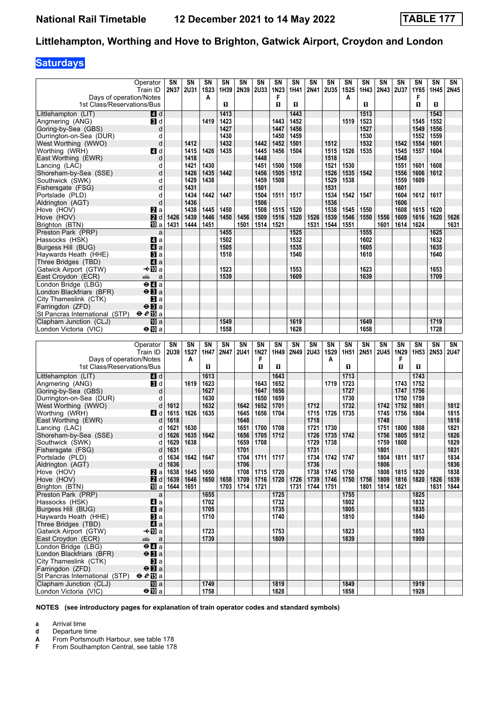# **Saturdays**

|                                                          | Operator<br>Train ID                        | SΝ<br>2N37       | SN<br><b>2U31</b> | SN<br><b>1S23</b> | SN<br>1H39   | SN<br>2N39    | SN<br><b>2U33</b> | SN<br>1N23   | SN<br>1H41 | SN<br>2N41 | SN<br><b>2U35</b> | SN<br><b>1S25</b> | SΝ<br>1H43 | SN<br><b>2N43</b> | SN<br><b>2U37</b> | SN<br>1Y65       | SN<br>1H45 | SN<br>2N45  |
|----------------------------------------------------------|---------------------------------------------|------------------|-------------------|-------------------|--------------|---------------|-------------------|--------------|------------|------------|-------------------|-------------------|------------|-------------------|-------------------|------------------|------------|-------------|
| Days of operation/Notes<br>1st Class/Reservations/Bus    |                                             |                  |                   | A                 | O            |               |                   | F<br>п       | п          |            |                   | A                 | О          |                   |                   | F<br>п           | п          |             |
| Littlehampton (LIT)                                      | 4 d                                         |                  |                   |                   | 1413         |               |                   |              | 1443       |            |                   |                   | 1513       |                   |                   |                  | 1543       |             |
| Angmering (ANG)                                          | $\mathbf{B}$ d                              |                  |                   | 1419              | 1423         |               |                   | 1443         | 1452       |            |                   | 1519              | 1523       |                   |                   | 1545             | 1552       |             |
| Goring-by-Sea (GBS)                                      | d                                           |                  |                   |                   | 1427         |               |                   | 1447         | 1456       |            |                   |                   | 1527       |                   |                   | 1549             | 1556       |             |
| Durrington-on-Sea (DUR)                                  | d                                           |                  |                   |                   | 1430         |               |                   | 1450         | 1459       |            |                   |                   | 1530       |                   |                   | 1552             | 1559       |             |
| West Worthing (WWO)                                      | d                                           |                  | 1412              |                   | 1432         |               | 1442              | 1452         | 1501       |            | 1512              |                   | 1532       |                   | 1542              | 1554             | 1601       |             |
| Worthing (WRH)                                           | 4 d                                         |                  | 1415              | 1426              | 1435         |               | 1445              | 1456         | 1504       |            | 1515              | 1526              | 1535       |                   | 1545              | 1557             | 1604       |             |
| East Worthing (EWR)                                      | d                                           |                  | 1418              |                   |              |               | 1448              |              |            |            | 1518              |                   |            |                   | 1548              |                  |            |             |
| Lancing (LAC)                                            | d                                           |                  | 1421              | 1430              |              |               | 1451              | 1500         | 1508       |            | 1521              | 1530              |            |                   | 1551              | 1601             | 1608       |             |
| Shoreham-by-Sea (SSE)                                    | d                                           |                  | 1426              | 1435              | 1442         |               | 1456              | 1505         | 1512       |            | 1526              | 1535              | 1542       |                   | 1556              | 1606             | 1612       |             |
| Southwick (SWK)                                          | d                                           |                  | 1429              | 1438              |              |               | 1459              | 1508         |            |            | 1529              | 1538              |            |                   | 1559              | 1609             |            |             |
| Fishersgate (FSG)                                        | d                                           |                  | 1431              |                   |              |               | 1501              |              |            |            | 1531              |                   |            |                   | 1601              |                  |            |             |
| Portslade (PLD)                                          | d                                           |                  | 1434              | 1442              | 1447         |               | 1504              | 1511         | 1517       |            | 1534              | 1542              | 1547       |                   | 1604              | 1612             | 1617       |             |
| Aldrington (AGT)                                         | d                                           |                  | 1436<br>1438      |                   |              |               | 1506<br>1508      | 1515         | 1520       |            | 1536<br>1538      |                   | 1550       |                   | 1606<br>1608      | 1615             | 1620       |             |
| Hove (HOV)<br>Hove (HOV)                                 | <b>і2</b> а<br>2d                           | 1426             | 1439              | 1445<br>1446      | 1450<br>1450 | 1456          | 1509              | 1516         | 1520       | 1526       | 1539              | 1545<br>1546      | 1550       | 1556              | 1609              | 1616             | 1620       | 1626        |
| Brighton (BTN)                                           | TO a                                        | 1431             | 1444              | 1451              |              | 1501          | 1514              | 1521         |            | 1531       | 1544              | 1551              |            | 1601              | 1614              | 1624             |            | 1631        |
| Preston Park (PRP)                                       | a                                           |                  |                   |                   | 1455         |               |                   |              | 1525       |            |                   |                   | 1555       |                   |                   |                  | 1625       |             |
| Hassocks (HSK)                                           | 41 a                                        |                  |                   |                   | 1502         |               |                   |              | 1532       |            |                   |                   | 1602       |                   |                   |                  | 1632       |             |
| Burgess Hill (BUG)                                       | a                                           |                  |                   |                   | 1505         |               |                   |              | 1535       |            |                   |                   | 1605       |                   |                   |                  | 1635       |             |
| Haywards Heath (HHE)                                     | $\mathbf{B}$ a                              |                  |                   |                   | 1510         |               |                   |              | 1540       |            |                   |                   | 1610       |                   |                   |                  | 1640       |             |
| Three Bridges (TBD)                                      | a                                           |                  |                   |                   |              |               |                   |              |            |            |                   |                   |            |                   |                   |                  |            |             |
| Gatwick Airport (GTW)                                    | –≁l10a                                      |                  |                   |                   | 1523         |               |                   |              | 1553       |            |                   |                   | 1623       |                   |                   |                  | 1653       |             |
| East Croydon (ECR)                                       | a<br>پېښتنه                                 |                  |                   |                   | 1539         |               |                   |              | 1609       |            |                   |                   | 1639       |                   |                   |                  | 1709       |             |
| London Bridge (LBG)                                      | $\Theta$ <b><math>\blacksquare</math></b> a |                  |                   |                   |              |               |                   |              |            |            |                   |                   |            |                   |                   |                  |            |             |
| London Blackfriars (BFR)                                 | $\Theta$ <b>B</b> a                         |                  |                   |                   |              |               |                   |              |            |            |                   |                   |            |                   |                   |                  |            |             |
| City Thameslink (CTK)                                    | $\mathbf{B}$ a                              |                  |                   |                   |              |               |                   |              |            |            |                   |                   |            |                   |                   |                  |            |             |
| Farringdon (ZFD)                                         | $\Theta$ <b>B</b> a                         |                  |                   |                   |              |               |                   |              |            |            |                   |                   |            |                   |                   |                  |            |             |
| St Pancras International (STP)                           | $eE$ a                                      |                  |                   |                   |              |               |                   |              |            |            |                   |                   |            |                   |                   |                  |            |             |
| Clapham Junction (CLJ)                                   | $\overline{m}$ a                            |                  |                   |                   | 1549<br>1558 |               |                   |              | 1619       |            |                   |                   | 1649       |                   |                   |                  | 1719       |             |
| London Victoria (VIC)                                    | $\Theta$ III a                              |                  |                   |                   |              |               |                   |              | 1628       |            |                   |                   | 1658       |                   |                   |                  | 1728       |             |
|                                                          |                                             |                  |                   |                   |              |               |                   |              |            |            |                   |                   |            |                   |                   |                  |            |             |
|                                                          |                                             |                  |                   |                   |              |               |                   |              |            |            |                   |                   |            |                   |                   |                  |            |             |
|                                                          | Operator                                    | SΝ               | SN                | SN                | SN           | SN            | <b>SN</b>         | SN           | SN         | <b>SN</b>  | SΝ                | SN                | SN         | SN                | <b>SN</b>         | <b>SN</b>        | <b>SN</b>  | SN          |
|                                                          | Train ID                                    | 2U39             | <b>1S27</b>       | 1H47              | 2N47         | <b>2U41</b>   | 1N27              | 1H49         | 2N49       | 2U43       | <b>1S29</b>       | 1H <sub>51</sub>  | 2N51       | <b>2U45</b>       | 1N29<br>F         | 1H <sub>53</sub> | 2N53       | <b>2U47</b> |
| Days of operation/Notes<br>1st Class/Reservations/Bus    |                                             |                  | A                 | O                 |              |               | F<br>п            | п            |            |            | A                 | О                 |            |                   | п                 | п                |            |             |
|                                                          |                                             |                  |                   |                   |              |               |                   |              |            |            |                   |                   |            |                   |                   |                  |            |             |
| Littlehampton (LIT)                                      | 4 d                                         |                  |                   | 1613              |              |               |                   | 1643         |            |            |                   | 1713              |            |                   |                   | 1743             |            |             |
| Angmering (ANG)<br>Goring-by-Sea (GBS)                   | BI d<br>d                                   |                  | 1619              | 1623<br>1627      |              |               | 1643<br>1647      | 1652<br>1656 |            |            | 1719              | 1723<br>1727      |            |                   | 1743<br>1747      | 1752<br>1756     |            |             |
| Durrington-on-Sea (DUR)                                  | d                                           |                  |                   | 1630              |              |               | 1650              | 1659         |            |            |                   | 1730              |            |                   | 1750              | 1759             |            |             |
| West Worthing (WWO)                                      | d                                           | 1612             |                   | 1632              |              | 1642          | 1652              | 1701         |            | 1712       |                   | 1732              |            | 1742              | 1752              | 1801             |            | 1812        |
| Worthing (WRH)                                           | 4 d                                         | 1615             | 1626              | 1635              |              | 1645          | 1656              | 1704         |            | 1715       | 1726              | 1735              |            | 1745              | 1756              | 1804             |            | 1815        |
| East Worthing (EWR)                                      | d                                           | 1618             |                   |                   |              | 1648          |                   |              |            | 1718       |                   |                   |            | 1748              |                   |                  |            | 1818        |
| Lancing (LAC)                                            | d                                           | 1621             | 1630              |                   |              | 1651          | 1700              | 1708         |            | 1721       | 1730              |                   |            | 1751              | 1800              | 1808             |            | 1821        |
| Shoreham-by-Sea (SSE)                                    | d                                           | 1626             | 1635              | 1642              |              | 1656          | 1705              | 1712         |            | 1726       | 1735              | 1742              |            | 1756              | 1805              | 1812             |            | 1826        |
| Southwick (SWK)                                          | d                                           | 1629             | 1638              |                   |              | 1659          | 1708              |              |            | 1729       | 1738              |                   |            | 1759              | 1808              |                  |            | 1829        |
| Fishersgate (FSG)                                        | d                                           | 1631             |                   |                   |              | 1701          |                   |              |            | 1731       |                   |                   |            | 1801              |                   |                  |            | 1831        |
| Portslade (PLD)                                          | d                                           | 1634             | 1642              | 1647              |              | 1704          | 1711              | 1717         |            | 1734       | 1742              | 1747              |            | 1804              | 1811              | 1817             |            | 1834        |
| Aldrington (AGT)                                         | d                                           | 1636             |                   |                   |              | 1706          |                   |              |            | 1736       |                   |                   |            | 1806              |                   |                  |            | 1836        |
| Hove (HOV)                                               | Zа                                          | 1638             | 1645              | 1650              |              | 1708          | 1715              | 1720         |            | 1738       | 1745              | 1750              |            | 1808              | 1815              | 1820             |            | 1838        |
| Hove (HOV)                                               | 2d                                          | 1639             | 1646              | 1650              | 1658         | 1709          | 1716              | 1720         | 1726       | 1739       | 1746              | 1750              | 1756       | 1809              | 1816              | 1820             | 1826       | 1839        |
| Brighton (BTN)                                           |                                             | <b>10</b> a 1644 | 1651              |                   |              | $1703$   1714 | 1721              |              | 1731       | 1744       | 1751              |                   | 1801       | 1814              | 1821              |                  | 1831       | 1844        |
| Preston Park (PRP)<br>Hassocks (HSK)                     | $\mathsf{a}$                                |                  |                   | 1655              |              |               |                   | 1725<br>1732 |            |            |                   | 1755<br>1802      |            |                   |                   | 1825<br>1832     |            |             |
| Burgess Hill (BUG)                                       | 41 a<br>$\mathbf{A}$ a                      |                  |                   | 1702<br>1705      |              |               |                   | 1735         |            |            |                   | 1805              |            |                   |                   | 1835             |            |             |
| Haywards Heath (HHE)                                     | <b>B</b> la                                 |                  |                   | 1710              |              |               |                   | 1740         |            |            |                   | 1810              |            |                   |                   | 1840             |            |             |
| Three Bridges (TBD)                                      | $\blacksquare$ a                            |                  |                   |                   |              |               |                   |              |            |            |                   |                   |            |                   |                   |                  |            |             |
| Gatwick Airport (GTW)                                    | —t∕l a                                      |                  |                   | 1723              |              |               |                   | 1753         |            |            |                   | 1823              |            |                   |                   | 1853             |            |             |
| East Croydon (ECR)                                       | æb.<br>a                                    |                  |                   | 1739              |              |               |                   | 1809         |            |            |                   | 1839              |            |                   |                   | 1909             |            |             |
| London Bridge (LBG)                                      | $\Theta$ <b><math>\blacksquare</math></b> a |                  |                   |                   |              |               |                   |              |            |            |                   |                   |            |                   |                   |                  |            |             |
| London Blackfriars (BFR)                                 | $\Theta$ <b>B</b> a                         |                  |                   |                   |              |               |                   |              |            |            |                   |                   |            |                   |                   |                  |            |             |
| City Thameslink (CTK)                                    | <b>B</b> la                                 |                  |                   |                   |              |               |                   |              |            |            |                   |                   |            |                   |                   |                  |            |             |
| Farringdon (ZFD)                                         | $\Theta$ <b>B</b> a                         |                  |                   |                   |              |               |                   |              |            |            |                   |                   |            |                   |                   |                  |            |             |
| St Pancras International (STP)<br>Clapham Junction (CLJ) | $eE$ a<br>$\overline{10}$ a                 |                  |                   | 1749              |              |               |                   | 1819         |            |            |                   | 1849              |            |                   |                   | 1919             |            |             |

**NOTES (see introductory pages for explanation of train operator codes and standard symbols)**

**a** Arrival time

**d** Departure time<br>**A** From Portsmour<br>**F** From Southam **From Portsmouth Harbour, see table 178**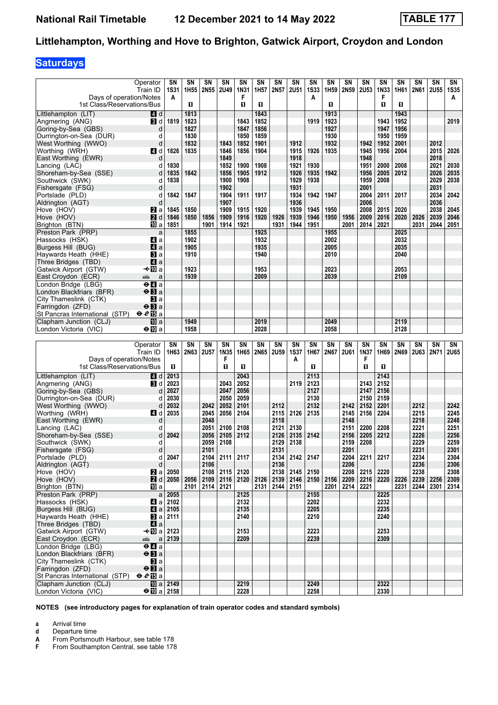# **Saturdays**

| Days of operation/Notes                                  | Operator<br>Train ID            | SΝ<br><b>1S31</b><br>A          | SΝ<br>1H <sub>55</sub> | SN<br>2N55   | SΝ<br><b>2U49</b> | SN<br>1N31<br>F | SN<br>1H57   | SN<br>2N57   | SΝ<br><b>2U51</b> | SΝ<br><b>1S33</b><br>A | SΝ<br>1H <sub>59</sub> | SΝ<br>2N59   | <b>SN</b><br><b>2U53</b> | <b>SN</b><br>1N33<br>F | SN<br>1H61   | SΝ<br>2N61   | SN<br><b>2U55</b> | SN<br><b>1S35</b><br>A |
|----------------------------------------------------------|---------------------------------|---------------------------------|------------------------|--------------|-------------------|-----------------|--------------|--------------|-------------------|------------------------|------------------------|--------------|--------------------------|------------------------|--------------|--------------|-------------------|------------------------|
| 1st Class/Reservations/Bus                               |                                 |                                 | O.                     |              |                   | п               | O            |              |                   |                        | O                      |              |                          | O                      | O            |              |                   |                        |
| Littlehampton (LIT)                                      | 4 d                             | 1819                            | 1813<br>1823           |              |                   |                 | 1843         |              |                   |                        | 1913<br>1923           |              |                          |                        | 1943<br>1952 |              |                   | 2019                   |
| Angmering (ANG)<br>Goring-by-Sea (GBS)                   | BI d<br>d                       |                                 | 1827                   |              |                   | 1843<br>1847    | 1852<br>1856 |              |                   | 1919                   | 1927                   |              |                          | 1943<br>1947           | 1956         |              |                   |                        |
| Durrington-on-Sea (DUR)                                  | d                               |                                 | 1830                   |              |                   | 1850            | 1859         |              |                   |                        | 1930                   |              |                          | 1950                   | 1959         |              |                   |                        |
| West Worthing (WWO)                                      | d                               |                                 | 1832                   |              | 1843              | 1852            | 1901         |              | 1912              |                        | 1932                   |              | 1942                     | 1952                   | 2001         |              | 2012              |                        |
| Worthing (WRH)                                           | <b>4</b> d                      | 1826                            | 1835                   |              | 1846              | 1856            | 1904         |              | 1915              | 1926                   | 1935                   |              | 1945                     | 1956                   | 2004         |              | 2015              | 2026                   |
| East Worthing (EWR)                                      |                                 |                                 |                        |              | 1849              |                 |              |              | 1918              |                        |                        |              | 1948                     |                        |              |              | 2018              |                        |
| Lancing (LAC)                                            | d                               | 1830                            |                        |              | 1852              | 1900            | 1908         |              | 1921              | 1930                   |                        |              | 1951                     | 2000                   | 2008         |              | 2021              | 2030                   |
| Shoreham-by-Sea (SSE)<br>Southwick (SWK)                 | d<br>d                          | 1835<br>1838                    | 1842                   |              | 1856<br>1900      | 1905<br>1908    | 1912         |              | 1926<br>1929      | 1935<br>1938           | 1942                   |              | 1956<br>1959             | 2005<br>2008           | 2012         |              | 2026<br>2029      | 2035<br>2038           |
| Fishersgate (FSG)                                        | d                               |                                 |                        |              | 1902              |                 |              |              | 1931              |                        |                        |              | 2001                     |                        |              |              | 2031              |                        |
| Portslade (PLD)                                          | d                               | 1842                            | 1847                   |              | 1904              | 1911            | 1917         |              | 1934              | 1942                   | 1947                   |              | 2004                     | 2011                   | 2017         |              | 2034              | 2042                   |
| Aldrington (AGT)                                         | d                               |                                 |                        |              | 1907              |                 |              |              | 1936              |                        |                        |              | 2006                     |                        |              |              | 2036              |                        |
| Hove (HOV)                                               | <b>Z</b> a                      | 1845                            | 1850                   |              | 1909              | 1915            | 1920         |              | 1939              | 1945                   | 1950                   |              | 2008                     | 2015                   | 2020         |              | 2038              | 2045                   |
| Hove (HOV)                                               | 2d                              | 1846                            | 1850                   | 1856         | 1909              | 1916            | 1920         | 1926         | 1939              | 1946                   | 1950                   | 1956         | 2009                     | 2016                   | 2020         | 2026         | 2039              | 2046                   |
| Brighton (BTN)<br>Preston Park (PRP)                     | <b>ID</b> a<br>a                | 1851                            | 1855                   | 1901         | 1914              | 1921            | 1925         | 1931         | 1944              | 1951                   | 1955                   | 2001         | 2014                     | 2021                   | 2025         | 2031         | 2044              | 2051                   |
| Hassocks (HSK)                                           | 41 a                            |                                 | 1902                   |              |                   |                 | 1932         |              |                   |                        | 2002                   |              |                          |                        | 2032         |              |                   |                        |
| Burgess Hill (BUG)                                       | a                               |                                 | 1905                   |              |                   |                 | 1935         |              |                   |                        | 2005                   |              |                          |                        | 2035         |              |                   |                        |
| Haywards Heath (HHE)                                     | $\mathbf{B}$ a                  |                                 | 1910                   |              |                   |                 | 1940         |              |                   |                        | 2010                   |              |                          |                        | 2040         |              |                   |                        |
| Three Bridges (TBD)                                      | ZI a                            |                                 |                        |              |                   |                 |              |              |                   |                        |                        |              |                          |                        |              |              |                   |                        |
| Gatwick Airport (GTW)                                    | –≁l10a                          |                                 | 1923                   |              |                   |                 | 1953         |              |                   |                        | 2023                   |              |                          |                        | 2053         |              |                   |                        |
| East Croydon (ECR)<br>London Bridge (LBG)                | پیشته<br>a<br>$\overline{e}$ la |                                 | 1939                   |              |                   |                 | 2009         |              |                   |                        | 2039                   |              |                          |                        | 2109         |              |                   |                        |
| London Blackfriars (BFR)                                 | $\Theta$ <b>B</b> a             |                                 |                        |              |                   |                 |              |              |                   |                        |                        |              |                          |                        |              |              |                   |                        |
| City Thameslink (CTK)                                    | Вl а                            |                                 |                        |              |                   |                 |              |              |                   |                        |                        |              |                          |                        |              |              |                   |                        |
| Farringdon (ZFD)                                         | $\Theta$ <b>B</b> a             |                                 |                        |              |                   |                 |              |              |                   |                        |                        |              |                          |                        |              |              |                   |                        |
| St Pancras International (STP)                           | $e e E$ a                       |                                 |                        |              |                   |                 |              |              |                   |                        |                        |              |                          |                        |              |              |                   |                        |
| Clapham Junction (CLJ)                                   | <b>ID</b> a<br>$\bigoplus a$    |                                 | 1949<br>1958           |              |                   |                 | 2019<br>2028 |              |                   |                        | 2049<br>2058           |              |                          |                        | 2119<br>2128 |              |                   |                        |
| London Victoria (VIC)                                    |                                 |                                 |                        |              |                   |                 |              |              |                   |                        |                        |              |                          |                        |              |              |                   |                        |
|                                                          |                                 |                                 |                        |              |                   |                 |              |              |                   |                        |                        |              |                          |                        |              |              |                   |                        |
|                                                          | Operator                        | SN                              | SN                     | SN           | SN                | <b>SN</b>       | SN           | SN           | SΝ                | SΝ                     | SN                     | SN           | <b>SN</b>                | <b>SN</b>              | SN           | SΝ           | SΝ                | SN                     |
|                                                          | Train ID                        | 1H63                            | 2N63                   | <b>2U57</b>  | 1N35              | 1H65            | 2N65         | <b>2U59</b>  | <b>1S37</b>       | 1H67                   | 2N67                   | <b>2U61</b>  | 1N37                     | 1H69                   | 2N69         | <b>2U63</b>  | 2N71              | <b>2U65</b>            |
| Days of operation/Notes                                  |                                 |                                 |                        |              | F                 |                 |              |              | A                 |                        |                        |              | F                        |                        |              |              |                   |                        |
| 1st Class/Reservations/Bus                               |                                 | O.                              |                        |              | O                 | п               |              |              |                   | п                      |                        |              | O                        | п                      |              |              |                   |                        |
| Littlehampton (LIT)                                      | ZI d                            | 2013                            |                        |              |                   | 2043            |              |              |                   | 2113                   |                        |              |                          | 2143                   |              |              |                   |                        |
| Angmering (ANG)                                          | <b>B</b> Id                     | 2023                            |                        |              | 2043              | 2052            |              |              | 2119              | 2123                   |                        |              | 2143                     | 2152                   |              |              |                   |                        |
| Goring-by-Sea (GBS)                                      | d<br>d                          | 2027                            |                        |              | 2047              | 2056            |              |              |                   | 2127<br>2130           |                        |              | 2147                     | 2156<br>2159           |              |              |                   |                        |
| Durrington-on-Sea (DUR)<br>West Worthing (WWO)           | d                               | 2030<br>2032                    |                        | 2042         | 2050<br>2052      | 2059<br>2101    |              | 2112         |                   | 2132                   |                        | 2142         | 2150<br>2152             | 2201                   |              | 2212         |                   | 2242                   |
| Worthing (WRH)                                           | <b>4</b> d                      | 2035                            |                        | 2045         | 2056              | 2104            |              | 2115         | 2126              | 2135                   |                        | 2145         | 2156                     | 2204                   |              | 2215         |                   | 2245                   |
| East Worthing (EWR)                                      | d                               |                                 |                        | 2048         |                   |                 |              | 2118         |                   |                        |                        | 2148         |                          |                        |              | 2218         |                   | 2248                   |
| Lancing (LAC)                                            | d                               |                                 |                        | 2051         | 2100              | 2108            |              | 2121         | 2130              |                        |                        | 2151         | 2200                     | 2208                   |              | 2221         |                   | 2251                   |
| Shoreham-by-Sea (SSE)                                    | d                               | 2042                            |                        | 2056         | 2105              | 2112            |              | 2126         | 2135              | 2142                   |                        | 2156         | 2205                     | 2212                   |              | 2226         |                   | 2256                   |
| Southwick (SWK)                                          | d<br>d                          |                                 |                        | 2059<br>2101 | 2108              |                 |              | 2129<br>2131 | 2138              |                        |                        | 2159<br>2201 | 2208                     |                        |              | 2229<br>2231 |                   | 2259<br>2301           |
| Fishersgate (FSG)<br>Portslade (PLD)                     | d                               | 2047                            |                        |              | 2104 2111 2117    |                 |              | 2134         | 2142 2147         |                        |                        | 2204         | 2211                     | 2217                   |              | 2234         |                   | 2304                   |
| Aldrington (AGT)                                         | d                               |                                 |                        | 2106         |                   |                 |              | 2136         |                   |                        |                        | 2206         |                          |                        |              | 2236         |                   | 2306                   |
| Hove (HOV)                                               | <b>Z</b> a                      | 2050                            |                        |              | $2108$   2115     | 2120            |              | 2138 2145    |                   | 2150                   |                        | 2208         | 2215                     | 2220                   |              | 2238         |                   | 2308                   |
| Hove (HOV)                                               | <b>2</b> d                      | $ 2050\rangle$                  | 2056                   |              |                   | 2109 2116 2120  | 2126         | 2139         | 2146              | 2150                   | 2156                   | 2209         | 2216                     | 2220                   | 2226         | 2239         | 2256              | 2309                   |
| Brighton (BTN)                                           | 吅 a                             |                                 | 2101                   |              | $2114$ 2121       |                 | 2131         | 2144         | 2151              |                        | 2201                   | 2214         | 2221                     |                        | 2231         | 2244         | 2301              | 2314                   |
| Preston Park (PRP)                                       |                                 | $a$ 2055                        |                        |              |                   | 2125            |              |              |                   | 2155                   |                        |              |                          | 2225                   |              |              |                   |                        |
| Hassocks (HSK)<br>Burgess Hill (BUG)                     |                                 | $\blacksquare$ a   2102<br>2105 |                        |              |                   | 2132<br>2135    |              |              |                   | 2202<br>2205           |                        |              |                          | 2232<br>2235           |              |              |                   |                        |
| Haywards Heath (HHE)                                     |                                 | <b>B</b> a $2111$               |                        |              |                   | 2140            |              |              |                   | 2210                   |                        |              |                          | 2240                   |              |              |                   |                        |
| Three Bridges (TBD)                                      | ZI a                            |                                 |                        |              |                   |                 |              |              |                   |                        |                        |              |                          |                        |              |              |                   |                        |
| Gatwick Airport (GTW)                                    | <b>+</b> III a 2123             |                                 |                        |              |                   | 2153            |              |              |                   | 2223                   |                        |              |                          | 2253                   |              |              |                   |                        |
| East Croydon (ECR)                                       | æÊr                             | $a$   2139                      |                        |              |                   | 2209            |              |              |                   | 2239                   |                        |              |                          | 2309                   |              |              |                   |                        |
| London Bridge (LBG)<br>London Blackfriars (BFR)          | ⊖Иа<br>$\Theta$ $\mathbf{B}$ a  |                                 |                        |              |                   |                 |              |              |                   |                        |                        |              |                          |                        |              |              |                   |                        |
| City Thameslink (CTK)                                    | Bla∣                            |                                 |                        |              |                   |                 |              |              |                   |                        |                        |              |                          |                        |              |              |                   |                        |
| Farringdon (ZFD)                                         | $\Theta$ <b>B</b> a             |                                 |                        |              |                   |                 |              |              |                   |                        |                        |              |                          |                        |              |              |                   |                        |
| St Pancras International (STP)<br>Clapham Junction (CLJ) | $eE$ a                          | <b>10</b> a 2149                |                        |              |                   | 2219            |              |              |                   | 2249                   |                        |              |                          | 2322                   |              |              |                   |                        |

**NOTES (see introductory pages for explanation of train operator codes and standard symbols)**

**a** Arrival time

**d** Departure time<br>**A** From Portsmour<br>**F** From Southam **From Portsmouth Harbour, see table 178**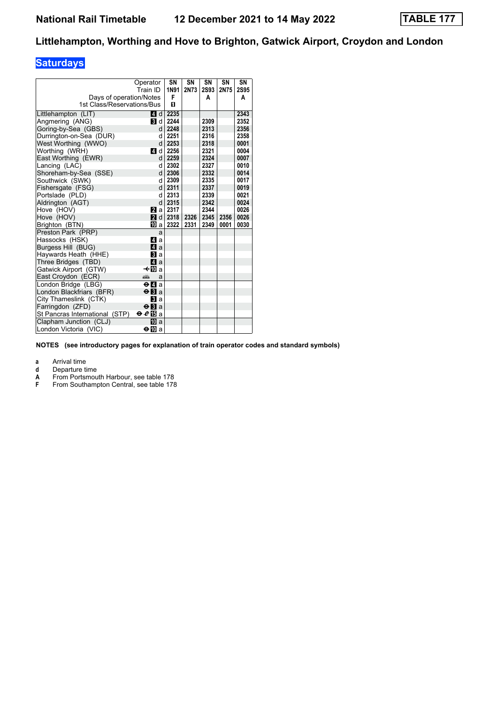# **Saturdays**

|                                | Operator<br>Train ID                        | SN<br>1N91 | <b>SN</b><br>2N73 | SN<br><b>2S93</b> | SN<br>2N75 | SN<br>2S95 |
|--------------------------------|---------------------------------------------|------------|-------------------|-------------------|------------|------------|
| Days of operation/Notes        |                                             | F          |                   | A                 |            | A          |
| 1st Class/Reservations/Bus     |                                             | п          |                   |                   |            |            |
| Littlehampton (LIT)            | 4 d                                         | 2235       |                   |                   |            | 2343       |
| Angmering (ANG)                | 3 d                                         | 2244       |                   | 2309              |            | 2352       |
| Goring-by-Sea (GBS)            | d                                           | 2248       |                   | 2313              |            | 2356       |
| Durrington-on-Sea (DUR)        | d                                           | 2251       |                   | 2316              |            | 2358       |
| West Worthing (WWO)            | d                                           | 2253       |                   | 2318              |            | 0001       |
| Worthing (WRH)                 | 4 d                                         | 2256       |                   | 2321              |            | 0004       |
| East Worthing (EWR)            | d                                           | 2259       |                   | 2324              |            | 0007       |
| Lancing (LAC)                  | d                                           | 2302       |                   | 2327              |            | 0010       |
| Shoreham-by-Sea (SSE)          | d                                           | 2306       |                   | 2332              |            | 0014       |
| Southwick (SWK)                | d                                           | 2309       |                   | 2335              |            | 0017       |
| Fishersgate (FSG)              | d                                           | 2311       |                   | 2337              |            | 0019       |
| Portslade (PLD)                | d                                           | 2313       |                   | 2339              |            | 0021       |
| Aldrington (AGT)               | d                                           | 2315       |                   | 2342              |            | 0024       |
| Hove (HOV)                     | 2a a                                        | 2317       |                   | 2344              |            | 0026       |
| Hove (HOV)                     | 2 d                                         | 2318       | 2326              | 2345              | 2356       | 0026       |
| Brighton (BTN)                 | 吅 a                                         | 2322       | 2331              | 2349              | 0001       | 0030       |
| Preston Park (PRP)             | a                                           |            |                   |                   |            |            |
| Hassocks (HSK)                 | ZI a                                        |            |                   |                   |            |            |
| Burgess Hill (BUG)             | $\blacksquare$ a                            |            |                   |                   |            |            |
| Haywards Heath (HHE)           | <b>El</b> a                                 |            |                   |                   |            |            |
| Three Bridges (TBD)            | Z4 a                                        |            |                   |                   |            |            |
| Gatwick Airport (GTW)          | –≁i∏la                                      |            |                   |                   |            |            |
| East Croydon (ECR)             | پیشته<br>a                                  |            |                   |                   |            |            |
| London Bridge (LBG)            | $\Theta$ <b><math>\blacksquare</math></b> a |            |                   |                   |            |            |
| London Blackfriars (BFR)       | $\Theta$ <b>B</b> a                         |            |                   |                   |            |            |
| City Thameslink (CTK)          | <b>El</b> a                                 |            |                   |                   |            |            |
| Farringdon (ZFD)               | $\Theta$ <b>B</b> a                         |            |                   |                   |            |            |
| St Pancras International (STP) | ⊖€l∃a                                       |            |                   |                   |            |            |
| Clapham Junction (CLJ)         | ЮЮ а                                        |            |                   |                   |            |            |
| London Victoria (VIC)          | ⊖l∏a                                        |            |                   |                   |            |            |

**NOTES (see introductory pages for explanation of train operator codes and standard symbols)**

**a** Arrival time<br>**d** Departure t

**d** Departure time<br> **A** From Portsmou<br> **F** From Southamp

From Portsmouth Harbour, see table 178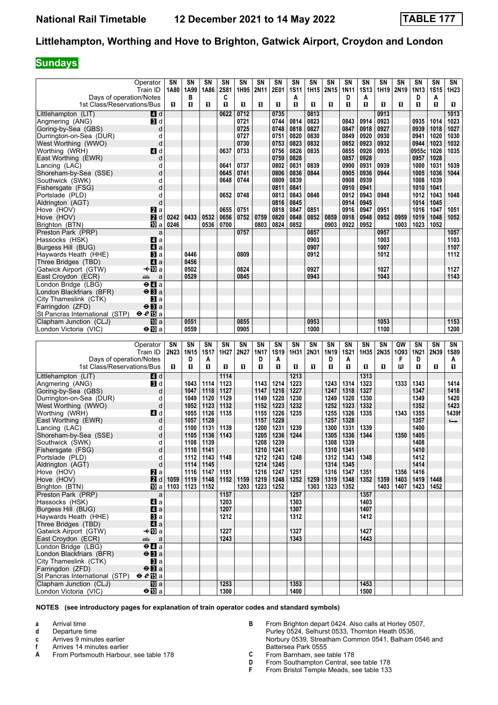### **Sundays**

|                                                          | Operator<br>Train ID                        | SΝ<br>1A80 | SΝ<br>1A99       | SΝ<br>1A86         | SN<br><b>2S81</b> | SΝ<br>1H95 | SN<br>2N11   | SΝ<br>2E01   | SΝ<br><b>1S11</b> | SΝ<br>1H15 | SN<br>2N15       | SN<br><b>1N11</b> | SN<br><b>1S13</b> | SΝ<br>1H19 | SΝ<br>2N <sub>19</sub> | SΝ<br>1N <sub>13</sub> | SN<br><b>1S15</b> | SN<br>1H23    |
|----------------------------------------------------------|---------------------------------------------|------------|------------------|--------------------|-------------------|------------|--------------|--------------|-------------------|------------|------------------|-------------------|-------------------|------------|------------------------|------------------------|-------------------|---------------|
| Days of operation/Notes<br>1st Class/Reservations/Bus    |                                             | п          | в<br>0           | П                  | C<br>O            | п          | п            | п            | A<br>п            | п          | 0                | D<br>O            | A<br>O            | п          | O                      | D<br>O                 | A<br>O            | O.            |
| Littlehampton (LIT)                                      | 4 d                                         |            |                  |                    | 0622              | 0712       |              | 0735         |                   | 0813       |                  |                   |                   | 0913       |                        |                        |                   | 1013          |
| Angmering (ANG)                                          | $\mathbf{B}$ d                              |            |                  |                    |                   | 0721       |              | 0744         | 0814              | 0823       |                  | 0843              | 0914              | 0923       |                        | 0935                   | 1014              | 1023          |
| Goring-by-Sea (GBS)                                      | d                                           |            |                  |                    |                   | 0725       |              | 0748         | 0818              | 0827       |                  | 0847              | 0918              | 0927       |                        | 0939                   | 1018              | 1027          |
| Durrington-on-Sea (DUR)                                  | d                                           |            |                  |                    |                   | 0727       |              | 0751         | 0820              | 0830       |                  | 0849              | 0920              | 0930       |                        | 0941                   | 1020              | 1030          |
| West Worthing (WWO)                                      | d                                           |            |                  |                    |                   | 0730       |              | 0753         | 0823              | 0832       |                  | 0852              | 0923              | 0932       |                        | 0944                   | 1023              | 1032          |
| Worthing (WRH)                                           | 41 d                                        |            |                  |                    | 0637              | 0733       |              | 0756         | 0826              | 0835       |                  | 0855              | 0926              | 0935       |                        | 0955c                  | 1026              | 1035          |
| East Worthing (EWR)                                      | d                                           |            |                  |                    |                   |            |              | 0759         | 0828              |            |                  | 0857              | 0928              |            |                        | 0957                   | 1028              |               |
| Lancing (LAC)                                            | d                                           |            |                  |                    | 0641              | 0737       |              | 0802         | 0831              | 0839       |                  | 0900              | 0931              | 0939       |                        | 1000                   | 1031              | 1039          |
| Shoreham-by-Sea (SSE)                                    | d                                           |            |                  |                    | 0645              | 0741       |              | 0806         | 0836              | 0844       |                  | 0905              | 0936              | 0944       |                        | 1005                   | 1036              | 1044          |
| Southwick (SWK)                                          | d                                           |            |                  |                    | 0648              | 0744       |              | 0809         | 0839              |            |                  | 0908              | 0939              |            |                        | 1008                   | 1039              |               |
| Fishersgate (FSG)                                        | d                                           |            |                  |                    |                   |            |              | 0811         | 0841              |            |                  | 0910              | 0941              |            |                        | 1010                   | 1041              |               |
| Portslade (PLD)                                          | d                                           |            |                  |                    | 0652              | 0748       |              | 0813         | 0843              | 0848       |                  | 0912              | 0943              | 0948       |                        | 1012                   | 1043              | 1048          |
| Aldrington (AGT)                                         | d                                           |            |                  |                    |                   |            |              | 0816         | 0845              |            |                  | 0914              | 0945              |            |                        | 1014                   | 1045              |               |
| Hove (HOV)                                               | <b>2</b> a                                  |            |                  |                    | 0655              | 0751       |              | 0818         | 0847              | 0851       |                  | 0916              | 0947              | 0951       |                        | 1016                   | 1047              | 1051          |
| Hove (HOV)                                               | <b>2</b> d                                  | 0242       | 0433             | 0532               | 0656              | 0752       | 0759         | 0820         | 0848              | 0852       | 0859             | 0918              | 0948              | 0952       | 0959                   | 1019                   | 1048              | 1052          |
| Brighton (BTN)                                           | III a                                       | 0246       |                  | 0536               | 0700              |            | 0803         | 0824         | 0852              |            | 0903             | 0922              | 0952              |            | 1003                   | 1023                   | 1052              |               |
| Preston Park (PRP)                                       | a                                           |            |                  |                    |                   | 0757       |              |              |                   | 0857       |                  |                   |                   | 0957       |                        |                        |                   | 1057          |
| Hassocks (HSK)                                           | ZI a                                        |            |                  |                    |                   |            |              |              |                   | 0903       |                  |                   |                   | 1003       |                        |                        |                   | 1103          |
| Burgess Hill (BUG)                                       | ZI a                                        |            |                  |                    |                   |            |              |              |                   | 0907       |                  |                   |                   | 1007       |                        |                        |                   | 1107          |
| Haywards Heath (HHE)                                     | Вl а                                        |            | 0446             |                    |                   | 0809       |              |              |                   | 0912       |                  |                   |                   | 1012       |                        |                        |                   | 1112          |
| Three Bridges (TBD)                                      | ZI a                                        |            | 0456             |                    |                   |            |              |              |                   |            |                  |                   |                   |            |                        |                        |                   |               |
| Gatwick Airport (GTW)                                    | —t∙l∐Da                                     |            | 0502             |                    |                   | 0824       |              |              |                   | 0927       |                  |                   |                   | 1027       |                        |                        |                   | 1127          |
| East Croydon (ECR)                                       | a<br>پېښ                                    |            | 0529             |                    |                   | 0845       |              |              |                   | 0943       |                  |                   |                   | 1043       |                        |                        |                   | 1143          |
| London Bridge (LBG)                                      | $\Theta$ $\bm{\Pi}$ a                       |            |                  |                    |                   |            |              |              |                   |            |                  |                   |                   |            |                        |                        |                   |               |
| London Blackfriars (BFR)                                 | $\Theta$ $\mathbf B$ a                      |            |                  |                    |                   |            |              |              |                   |            |                  |                   |                   |            |                        |                        |                   |               |
| City Thameslink (CTK)                                    | <b>B</b> a                                  |            |                  |                    |                   |            |              |              |                   |            |                  |                   |                   |            |                        |                        |                   |               |
| Farringdon (ZFD)                                         | $\Theta$ $\mathbf{H}$ a                     |            |                  |                    |                   |            |              |              |                   |            |                  |                   |                   |            |                        |                        |                   |               |
| St Pancras International (STP)                           | $e e E$ a                                   |            |                  |                    |                   |            |              |              |                   |            |                  |                   |                   |            |                        |                        |                   |               |
| Clapham Junction (CLJ)                                   | III a                                       |            | 0551             |                    |                   | 0855       |              |              |                   | 0953       |                  |                   |                   | 1053       |                        |                        |                   | 1153          |
| London Victoria (VIC)                                    | ⊖o∏Da                                       |            | 0559             |                    |                   | 0905       |              |              |                   | 1000       |                  |                   |                   | 1100       |                        |                        |                   | 1200          |
|                                                          |                                             |            |                  |                    |                   |            |              |              |                   |            |                  |                   |                   |            |                        |                        |                   |               |
|                                                          |                                             |            |                  |                    |                   |            |              |              |                   |            |                  |                   |                   |            |                        |                        |                   |               |
|                                                          | Operator                                    | SN         | SN               | SN                 | SN                | SN         | SN           | SN           | SN                | <b>SN</b>  | SN               | SN                | <b>SN</b>         | SN         | GW                     | SN                     | SN                | SN            |
|                                                          | Train ID                                    | 2N23       | 1N <sub>15</sub> | 1S17               | 1H27              | 2N27       | 1N17         | 1S19         | 1H31              | 2N31       | 1N <sub>19</sub> | 1S21              | 1H35              | 2N35       | 1093                   | <b>1N21</b>            | 2N39              | <b>1S89</b>   |
| Days of operation/Notes<br>1st Class/Reservations/Bus    |                                             | п          | D<br>0           | A<br>П             | п                 | п          | D<br>О       | A<br>O       | п                 | О          | D<br>п           | A<br>0            | 0                 | 0          | F<br>В                 | D<br>O                 | п                 | Α<br>O        |
|                                                          |                                             |            |                  |                    |                   |            |              |              |                   |            |                  |                   |                   |            |                        |                        |                   |               |
| Littlehampton (LIT)                                      | 4 d                                         |            |                  |                    | 1114              |            |              |              | 1213              |            |                  |                   | 1313              |            |                        |                        |                   |               |
| Angmering (ANG)                                          | $\blacksquare$                              |            | 1043             | 1114               | 1123              |            | 1143         | 1214         | 1223              |            | 1243             | 1314              | 1323              |            | 1333                   | 1343                   |                   | 1414          |
| Goring-by-Sea (GBS)                                      | d                                           |            | 1047             | 1118               | 1127              |            | 1147         | 1218         | 1227              |            | 1247             | 1318              | 1327              |            |                        | 1347                   |                   | 1418          |
| Durrington-on-Sea (DUR)                                  | d                                           |            | 1049             | 1120               | 1129              |            | 1149         | 1220         | 1230              |            | 1249             | 1320              | 1330              |            |                        | 1349                   |                   | 1420          |
| West Worthing (WWO)                                      | d                                           |            | 1052             | 1123               | 1132              |            | 1152<br>1155 | 1223<br>1226 | 1232              |            | 1252<br>1255     | 1323<br>1326      | 1332              |            | 1343                   | 1352<br>1355           |                   | 1423<br>1439f |
| Worthing (WRH)<br>East Worthing (EWR)                    | 4 d<br>d                                    |            | 1055<br>1057     | 1126<br>1128       | 1135              |            | 1157         | 1228         | 1235              |            | 1257             | 1328              | 1335              |            |                        | 1357                   |                   | $\rightarrow$ |
| Lancing (LAC)                                            | d                                           |            | 1100             | 1131               | 1139              |            | 1200         | 1231         | 1239              |            | 1300             | 1331              | 1339              |            |                        | 1400                   |                   |               |
| Shoreham-by-Sea (SSE)                                    | d                                           |            | 1105             | 1136               | 1143              |            | 1205         | 1236         | 1244              |            | 1305             | 1336              | 1344              |            | 1350                   | 1405                   |                   |               |
| Southwick (SWK)                                          | d                                           |            | 1108             | 1139               |                   |            | 1208         | 1239         |                   |            | 1308             | 1339              |                   |            |                        | 1408                   |                   |               |
| Fishersgate (FSG)                                        |                                             |            | 1110 1141        |                    |                   |            | 1210         | 1241         |                   |            | 1310             | 1341              |                   |            |                        | 1410                   |                   |               |
| Portslade (PLD)                                          | d                                           |            |                  | 1112   1143        | 1148              |            | 1212         | 1243         | 1248              |            | 1312             | 1343              | 1348              |            |                        | 1412                   |                   |               |
| Aldrington (AGT)                                         | d                                           |            |                  | $1114$   1145      |                   |            | 1214         | 1245         |                   |            | 1314             | 1345              |                   |            |                        | 1414                   |                   |               |
| Hove (HOV)                                               | $\mathbf{z}$ a                              |            | 1116             | 1147               | 1151              |            | 1216         | 1247         | 1251              |            | 1316             | 1347              | 1351              |            | 1356                   | 1416                   |                   |               |
| Hove (HOV)                                               | 2 d                                         | 1059       |                  | 1119   1148   1152 |                   | 1159       | 1219         | 1248         | 1252              | 1259       | 1319             | 1348              | 1352 1359         |            | 1403                   | 1419                   | 1448              |               |
| Brighton (BTN)                                           | [10] a                                      | 1103       |                  | 1123 1152          |                   | 1203       | 1223         | 1252         |                   | 1303       | 1323             | 1352              |                   | 1403       | 1407                   | 1423                   | 1452              |               |
| Preston Park (PRP)                                       | a                                           |            |                  |                    | 1157              |            |              |              | 1257              |            |                  |                   | 1357              |            |                        |                        |                   |               |
| Hassocks (HSK)                                           | $\blacksquare$ a                            |            |                  |                    | 1203              |            |              |              | 1303              |            |                  |                   | 1403              |            |                        |                        |                   |               |
| Burgess Hill (BUG)                                       | 4 a                                         |            |                  |                    | 1207              |            |              |              | 1307              |            |                  |                   | 1407              |            |                        |                        |                   |               |
| Haywards Heath (HHE)                                     | <b>Bl</b> a                                 |            |                  |                    | 1212              |            |              |              | 1312              |            |                  |                   | 1412              |            |                        |                        |                   |               |
| Three Bridges (TBD)                                      | $\blacksquare$ a                            |            |                  |                    |                   |            |              |              |                   |            |                  |                   |                   |            |                        |                        |                   |               |
| Gatwick Airport (GTW)                                    | —t∙l∐Da                                     |            |                  |                    | 1227              |            |              |              | 1327              |            |                  |                   | 1427              |            |                        |                        |                   |               |
| East Croydon (ECR)                                       | æ<br>a                                      |            |                  |                    | 1243              |            |              |              | 1343              |            |                  |                   | 1443              |            |                        |                        |                   |               |
| London Bridge (LBG)                                      | $\Theta$ <b><math>\blacksquare</math></b> a |            |                  |                    |                   |            |              |              |                   |            |                  |                   |                   |            |                        |                        |                   |               |
| London Blackfriars (BFR)                                 | $\Theta$ <b>B</b> a                         |            |                  |                    |                   |            |              |              |                   |            |                  |                   |                   |            |                        |                        |                   |               |
| City Thameslink (CTK)                                    | <b>B</b> la                                 |            |                  |                    |                   |            |              |              |                   |            |                  |                   |                   |            |                        |                        |                   |               |
| Farringdon (ZFD)                                         | $\Theta$ <b>B</b> a                         |            |                  |                    |                   |            |              |              |                   |            |                  |                   |                   |            |                        |                        |                   |               |
| St Pancras International (STP)<br>Clapham Junction (CLJ) | $\Theta$ $e$ $\mathbb{E}$ a<br>il0 al       |            |                  |                    | 1253              |            |              |              | 1353              |            |                  |                   | 1453              |            |                        |                        |                   |               |

**NOTES (see introductory pages for explanation of train operator codes and standard symbols)**

**a** Arrival time

**d** Departure time

**c** Arrives 9 minutes earlier<br>**f** Arrives 14 minutes earlie

**f** Arrives 14 minutes earlier

**A** From Portsmouth Harbour, see table 178

**B** From Brighton depart 0424. Also calls at Horley 0507, Purley 0524, Selhurst 0533, Thornton Heath 0536, Norbury 0539, Streatham Common 0541, Balham 0546 and Battersea Park 0555

**C** From Barnham, see table 178<br>**D** From Southampton Central, se

**D** From Southampton Central, see table 178<br>**F** From Bristol Temple Meads, see table 133

From Bristol Temple Meads, see table 133